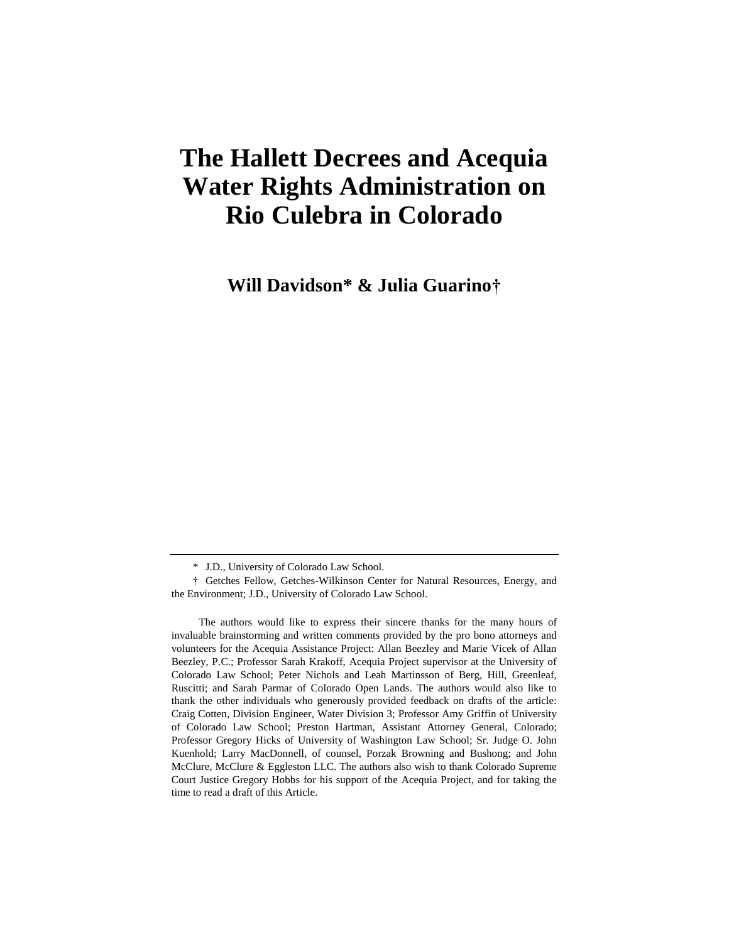# **The Hallett Decrees and Acequia Water Rights Administration on Rio Culebra in Colorado**

**Will Davidson\* & Julia Guarino†**

The authors would like to express their sincere thanks for the many hours of invaluable brainstorming and written comments provided by the pro bono attorneys and volunteers for the Acequia Assistance Project: Allan Beezley and Marie Vicek of Allan Beezley, P.C.; Professor Sarah Krakoff, Acequia Project supervisor at the University of Colorado Law School; Peter Nichols and Leah Martinsson of Berg, Hill, Greenleaf, Ruscitti; and Sarah Parmar of Colorado Open Lands. The authors would also like to thank the other individuals who generously provided feedback on drafts of the article: Craig Cotten, Division Engineer, Water Division 3; Professor Amy Griffin of University of Colorado Law School; Preston Hartman, Assistant Attorney General, Colorado; Professor Gregory Hicks of University of Washington Law School; Sr. Judge O. John Kuenhold; Larry MacDonnell, of counsel, Porzak Browning and Bushong; and John McClure, McClure & Eggleston LLC. The authors also wish to thank Colorado Supreme Court Justice Gregory Hobbs for his support of the Acequia Project, and for taking the time to read a draft of this Article.

<sup>\*</sup> J.D., University of Colorado Law School.

<sup>†</sup> Getches Fellow, Getches-Wilkinson Center for Natural Resources, Energy, and the Environment; J.D., University of Colorado Law School.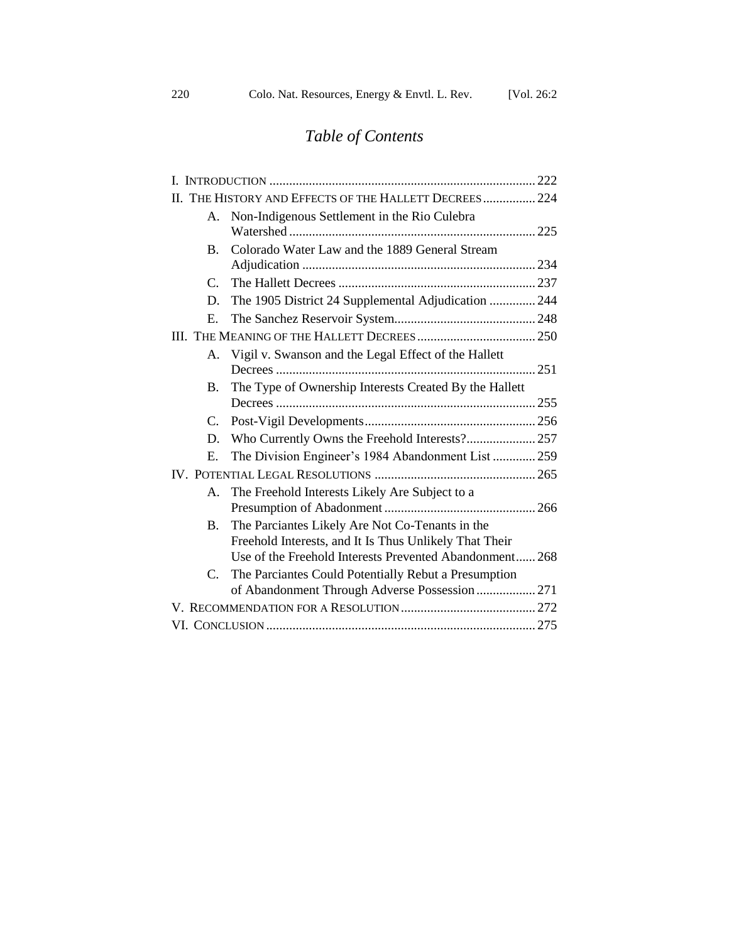# *Table of Contents*

|               | II. THE HISTORY AND EFFECTS OF THE HALLETT DECREES 224  |  |
|---------------|---------------------------------------------------------|--|
| A.            | Non-Indigenous Settlement in the Rio Culebra            |  |
|               |                                                         |  |
| <b>B.</b>     | Colorado Water Law and the 1889 General Stream          |  |
|               |                                                         |  |
| $\mathcal{C}$ |                                                         |  |
| D.            | The 1905 District 24 Supplemental Adjudication  244     |  |
| Е.            |                                                         |  |
|               |                                                         |  |
| Α.            | Vigil v. Swanson and the Legal Effect of the Hallett    |  |
|               |                                                         |  |
| B.            | The Type of Ownership Interests Created By the Hallett  |  |
|               |                                                         |  |
| C.            |                                                         |  |
| D.            |                                                         |  |
| Е.            | The Division Engineer's 1984 Abandonment List  259      |  |
|               |                                                         |  |
| A.            | The Freehold Interests Likely Are Subject to a          |  |
|               |                                                         |  |
| <b>B.</b>     | The Parciantes Likely Are Not Co-Tenants in the         |  |
|               | Freehold Interests, and It Is Thus Unlikely That Their  |  |
|               | Use of the Freehold Interests Prevented Abandonment 268 |  |
| C.            | The Parciantes Could Potentially Rebut a Presumption    |  |
|               | of Abandonment Through Adverse Possession 271           |  |
|               |                                                         |  |
|               |                                                         |  |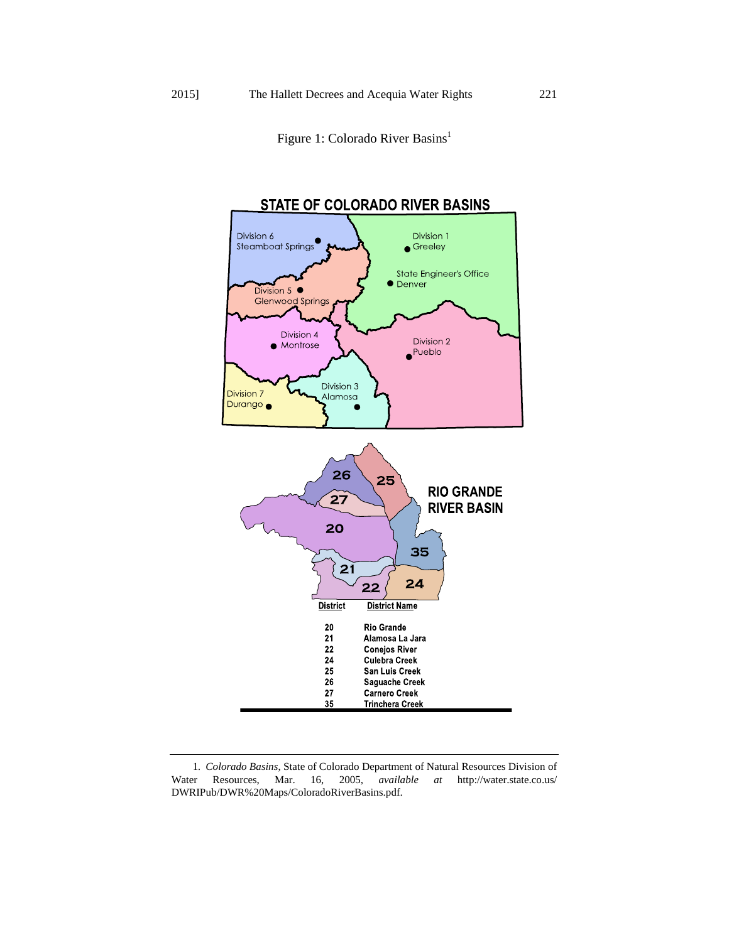<span id="page-2-0"></span>Figure 1: Colorado River Basins<sup>1</sup>



<sup>1</sup>*. Colorado Basins*, State of Colorado Department of Natural Resources Division of Water Resources, Mar. 16, 2005, *available at* http://water.state.co.us/ DWRIPub/DWR%20Maps/ColoradoRiverBasins.pdf.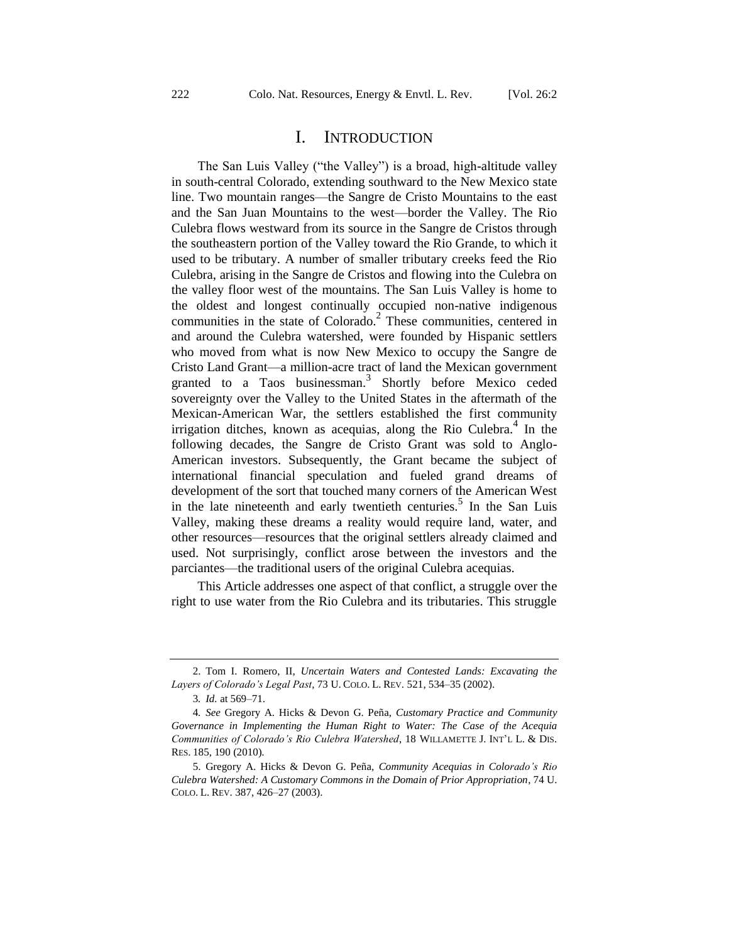# <span id="page-3-2"></span><span id="page-3-0"></span>I. INTRODUCTION

The San Luis Valley ("the Valley") is a broad, high-altitude valley in south-central Colorado, extending southward to the New Mexico state line. Two mountain ranges—the Sangre de Cristo Mountains to the east and the San Juan Mountains to the west—border the Valley. The Rio Culebra flows westward from its source in the Sangre de Cristos through the southeastern portion of the Valley toward the Rio Grande, to which it used to be tributary. A number of smaller tributary creeks feed the Rio Culebra, arising in the Sangre de Cristos and flowing into the Culebra on the valley floor west of the mountains. The San Luis Valley is home to the oldest and longest continually occupied non-native indigenous communities in the state of Colorado.<sup>2</sup> These communities, centered in and around the Culebra watershed, were founded by Hispanic settlers who moved from what is now New Mexico to occupy the Sangre de Cristo Land Grant—a million-acre tract of land the Mexican government granted to a Taos businessman.<sup>3</sup> Shortly before Mexico ceded sovereignty over the Valley to the United States in the aftermath of the Mexican-American War, the settlers established the first community irrigation ditches, known as acequias, along the Rio Culebra.<sup>4</sup> In the following decades, the Sangre de Cristo Grant was sold to Anglo-American investors. Subsequently, the Grant became the subject of international financial speculation and fueled grand dreams of development of the sort that touched many corners of the American West in the late nineteenth and early twentieth centuries.<sup>5</sup> In the San Luis Valley, making these dreams a reality would require land, water, and other resources—resources that the original settlers already claimed and used. Not surprisingly, conflict arose between the investors and the parciantes—the traditional users of the original Culebra acequias.

<span id="page-3-1"></span>This Article addresses one aspect of that conflict, a struggle over the right to use water from the Rio Culebra and its tributaries. This struggle

<sup>2.</sup> Tom I. Romero, II, *Uncertain Waters and Contested Lands: Excavating the Layers of Colorado's Legal Past*, 73 U. COLO. L. REV. 521, 534–35 (2002).

<sup>3</sup>*. Id.* at 569–71.

<sup>4</sup>*. See* Gregory A. Hicks & Devon G. Peña, *Customary Practice and Community Governance in Implementing the Human Right to Water: The Case of the Acequia Communities of Colorado's Rio Culebra Watershed*, 18 WILLAMETTE J. INT'L L. & DIS. RES. 185, 190 (2010).

<sup>5.</sup> Gregory A. Hicks & Devon G. Peña, *Community Acequias in Colorado's Rio Culebra Watershed: A Customary Commons in the Domain of Prior Appropriation*, 74 U. COLO. L. REV. 387, 426–27 (2003).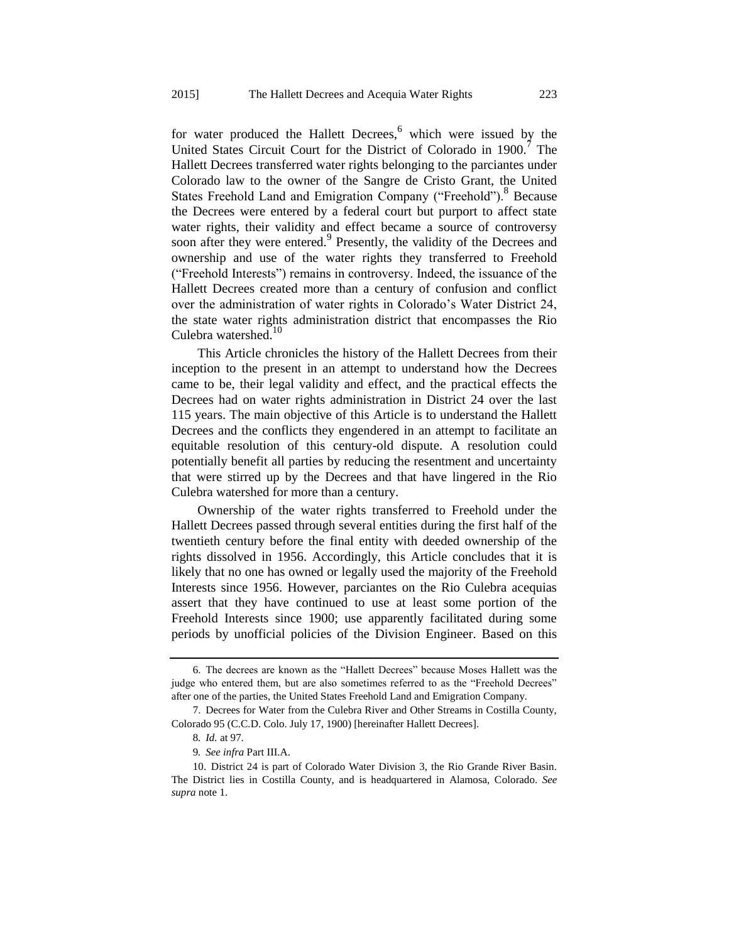<span id="page-4-0"></span>for water produced the Hallett Decrees,<sup>6</sup> which were issued by the United States Circuit Court for the District of Colorado in  $1900$ .<sup>7</sup> The Hallett Decrees transferred water rights belonging to the parciantes under Colorado law to the owner of the Sangre de Cristo Grant, the United States Freehold Land and Emigration Company ("Freehold").<sup>8</sup> Because the Decrees were entered by a federal court but purport to affect state water rights, their validity and effect became a source of controversy soon after they were entered.<sup>9</sup> Presently, the validity of the Decrees and ownership and use of the water rights they transferred to Freehold ("Freehold Interests") remains in controversy. Indeed, the issuance of the Hallett Decrees created more than a century of confusion and conflict over the administration of water rights in Colorado's Water District 24, the state water rights administration district that encompasses the Rio Culebra watershed.<sup>10</sup>

This Article chronicles the history of the Hallett Decrees from their inception to the present in an attempt to understand how the Decrees came to be, their legal validity and effect, and the practical effects the Decrees had on water rights administration in District 24 over the last 115 years. The main objective of this Article is to understand the Hallett Decrees and the conflicts they engendered in an attempt to facilitate an equitable resolution of this century-old dispute. A resolution could potentially benefit all parties by reducing the resentment and uncertainty that were stirred up by the Decrees and that have lingered in the Rio Culebra watershed for more than a century.

Ownership of the water rights transferred to Freehold under the Hallett Decrees passed through several entities during the first half of the twentieth century before the final entity with deeded ownership of the rights dissolved in 1956. Accordingly, this Article concludes that it is likely that no one has owned or legally used the majority of the Freehold Interests since 1956. However, parciantes on the Rio Culebra acequias assert that they have continued to use at least some portion of the Freehold Interests since 1900; use apparently facilitated during some periods by unofficial policies of the Division Engineer. Based on this

<sup>6.</sup> The decrees are known as the "Hallett Decrees" because Moses Hallett was the judge who entered them, but are also sometimes referred to as the "Freehold Decrees" after one of the parties, the United States Freehold Land and Emigration Company.

<sup>7.</sup> Decrees for Water from the Culebra River and Other Streams in Costilla County, Colorado 95 (C.C.D. Colo. July 17, 1900) [hereinafter Hallett Decrees].

<sup>8</sup>*. Id.* at 97.

<sup>9</sup>*. See infra* Part III.A.

<sup>10.</sup> District 24 is part of Colorado Water Division 3, the Rio Grande River Basin. The District lies in Costilla County, and is headquartered in Alamosa, Colorado. *See supra* not[e 1.](#page-2-0)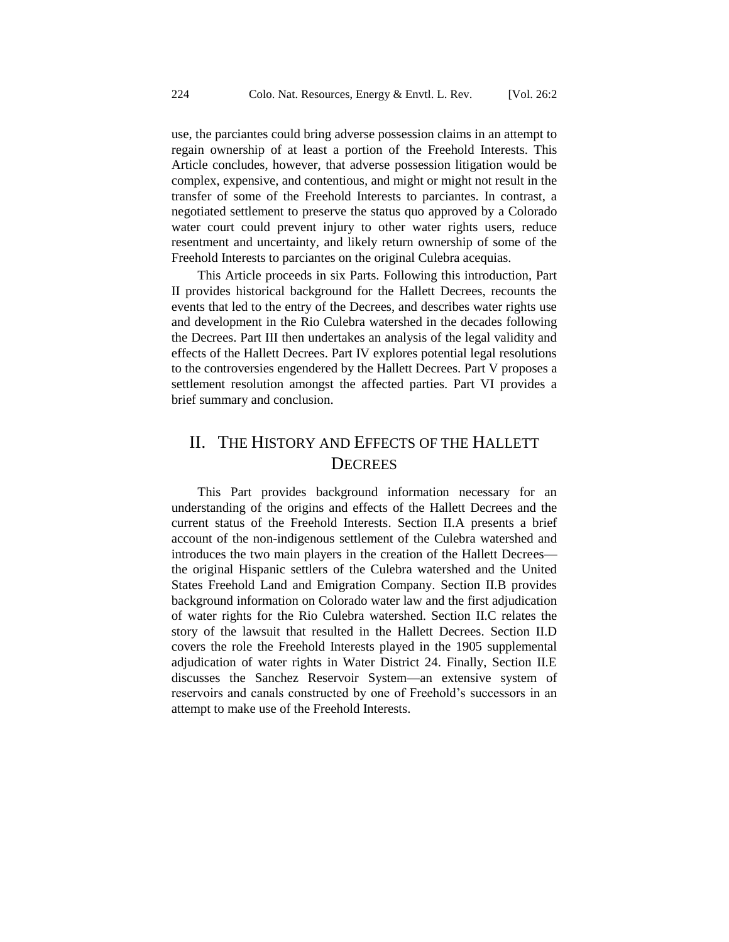use, the parciantes could bring adverse possession claims in an attempt to regain ownership of at least a portion of the Freehold Interests. This Article concludes, however, that adverse possession litigation would be complex, expensive, and contentious, and might or might not result in the transfer of some of the Freehold Interests to parciantes. In contrast, a negotiated settlement to preserve the status quo approved by a Colorado water court could prevent injury to other water rights users, reduce resentment and uncertainty, and likely return ownership of some of the Freehold Interests to parciantes on the original Culebra acequias.

This Article proceeds in six Parts. Following this introduction, Part II provides historical background for the Hallett Decrees, recounts the events that led to the entry of the Decrees, and describes water rights use and development in the Rio Culebra watershed in the decades following the Decrees. Part III then undertakes an analysis of the legal validity and effects of the Hallett Decrees. Part IV explores potential legal resolutions to the controversies engendered by the Hallett Decrees. Part V proposes a settlement resolution amongst the affected parties. Part VI provides a brief summary and conclusion.

# II. THE HISTORY AND EFFECTS OF THE HALLETT **DECREES**

This Part provides background information necessary for an understanding of the origins and effects of the Hallett Decrees and the current status of the Freehold Interests. Section II.A presents a brief account of the non-indigenous settlement of the Culebra watershed and introduces the two main players in the creation of the Hallett Decrees the original Hispanic settlers of the Culebra watershed and the United States Freehold Land and Emigration Company. Section II.B provides background information on Colorado water law and the first adjudication of water rights for the Rio Culebra watershed. Section II.C relates the story of the lawsuit that resulted in the Hallett Decrees. Section II.D covers the role the Freehold Interests played in the 1905 supplemental adjudication of water rights in Water District 24. Finally, Section II.E discusses the Sanchez Reservoir System—an extensive system of reservoirs and canals constructed by one of Freehold's successors in an attempt to make use of the Freehold Interests.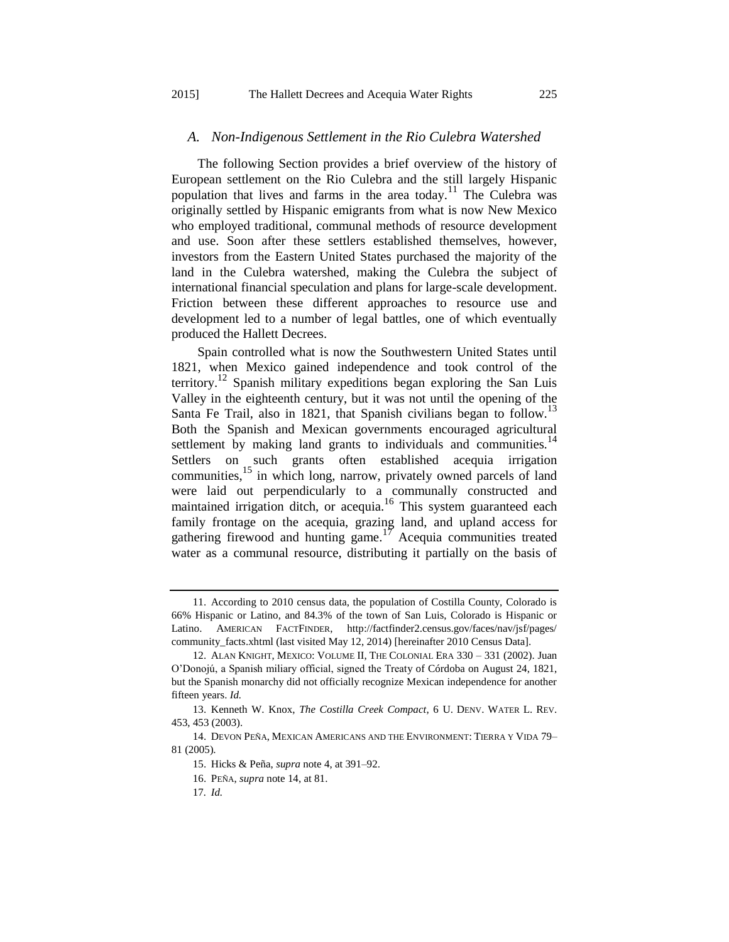#### <span id="page-6-2"></span>*A. Non-Indigenous Settlement in the Rio Culebra Watershed*

The following Section provides a brief overview of the history of European settlement on the Rio Culebra and the still largely Hispanic population that lives and farms in the area today.<sup>11</sup> The Culebra was originally settled by Hispanic emigrants from what is now New Mexico who employed traditional, communal methods of resource development and use. Soon after these settlers established themselves, however, investors from the Eastern United States purchased the majority of the land in the Culebra watershed, making the Culebra the subject of international financial speculation and plans for large-scale development. Friction between these different approaches to resource use and development led to a number of legal battles, one of which eventually produced the Hallett Decrees.

<span id="page-6-1"></span><span id="page-6-0"></span>Spain controlled what is now the Southwestern United States until 1821, when Mexico gained independence and took control of the territory.<sup>12</sup> Spanish military expeditions began exploring the San Luis Valley in the eighteenth century, but it was not until the opening of the Santa Fe Trail, also in 1821, that Spanish civilians began to follow.<sup>13</sup> Both the Spanish and Mexican governments encouraged agricultural settlement by making land grants to individuals and communities.<sup>14</sup> Settlers on such grants often established acequia irrigation communities,<sup>15</sup> in which long, narrow, privately owned parcels of land were laid out perpendicularly to a communally constructed and maintained irrigation ditch, or acequia.<sup>16</sup> This system guaranteed each family frontage on the acequia, grazing land, and upland access for gathering firewood and hunting game.<sup>17</sup> Acequia communities treated water as a communal resource, distributing it partially on the basis of

<sup>11.</sup> According to 2010 census data, the population of Costilla County, Colorado is 66% Hispanic or Latino, and 84.3% of the town of San Luis, Colorado is Hispanic or Latino. AMERICAN FACTFINDER, http://factfinder2.census.gov/faces/nav/jsf/pages/ community\_facts.xhtml (last visited May 12, 2014) [hereinafter 2010 Census Data].

<sup>12.</sup> ALAN KNIGHT, MEXICO: VOLUME II, THE COLONIAL ERA 330 – 331 (2002). Juan O'Donojú, a Spanish miliary official, signed the Treaty of Córdoba on August 24, 1821, but the Spanish monarchy did not officially recognize Mexican independence for another fifteen years. *Id.* 

<sup>13.</sup> Kenneth W. Knox, *The Costilla Creek Compact*, 6 U. DENV. WATER L. REV. 453, 453 (2003).

<sup>14.</sup> DEVON PEÑA, MEXICAN AMERICANS AND THE ENVIRONMENT: TIERRA Y VIDA 79– 81 (2005).

<sup>15.</sup> Hicks & Peña, *supra* not[e 4,](#page-3-0) at 391–92.

<sup>16.</sup> PEÑA, *supra* not[e 14,](#page-6-0) at 81.

<sup>17</sup>*. Id.*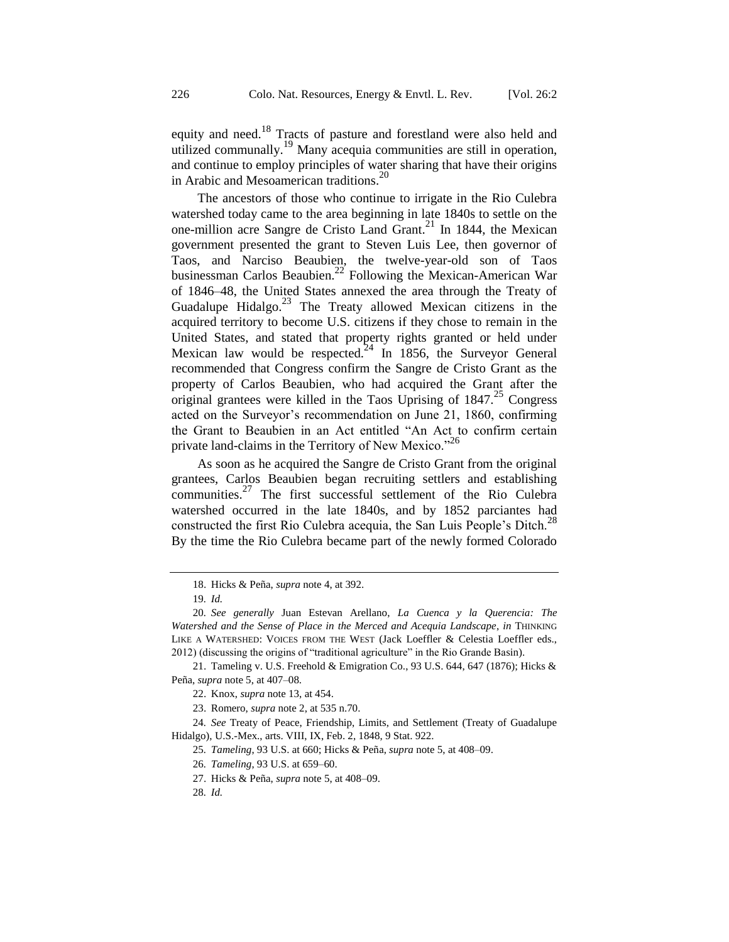equity and need.<sup>18</sup> Tracts of pasture and forestland were also held and utilized communally.<sup>19</sup> Many acequia communities are still in operation, and continue to employ principles of water sharing that have their origins in Arabic and Mesoamerican traditions.<sup>20</sup>

The ancestors of those who continue to irrigate in the Rio Culebra watershed today came to the area beginning in late 1840s to settle on the one-million acre Sangre de Cristo Land Grant. $^{21}$  In 1844, the Mexican government presented the grant to Steven Luis Lee, then governor of Taos, and Narciso Beaubien, the twelve-year-old son of Taos businessman Carlos Beaubien.<sup>22</sup> Following the Mexican-American War of 1846–48, the United States annexed the area through the Treaty of Guadalupe Hidalgo.<sup>23</sup> The Treaty allowed Mexican citizens in the acquired territory to become U.S. citizens if they chose to remain in the United States, and stated that property rights granted or held under Mexican law would be respected.<sup>24</sup> In 1856, the Surveyor General recommended that Congress confirm the Sangre de Cristo Grant as the property of Carlos Beaubien, who had acquired the Grant after the original grantees were killed in the Taos Uprising of  $1847<sup>25</sup>$  Congress acted on the Surveyor's recommendation on June 21, 1860, confirming the Grant to Beaubien in an Act entitled "An Act to confirm certain private land-claims in the Territory of New Mexico."<sup>26</sup>

As soon as he acquired the Sangre de Cristo Grant from the original grantees, Carlos Beaubien began recruiting settlers and establishing communities.<sup>27</sup> The first successful settlement of the Rio Culebra watershed occurred in the late 1840s, and by 1852 parciantes had constructed the first Rio Culebra acequia, the San Luis People's Ditch.<sup>28</sup> By the time the Rio Culebra became part of the newly formed Colorado

<sup>18.</sup> Hicks & Peña, *supra* not[e 4,](#page-3-0) at 392.

<sup>19</sup>*. Id.*

<sup>20</sup>*. See generally* Juan Estevan Arellano, *La Cuenca y la Querencia: The Watershed and the Sense of Place in the Merced and Acequia Landscape*, *in* THINKING LIKE A WATERSHED: VOICES FROM THE WEST (Jack Loeffler & Celestia Loeffler eds., 2012) (discussing the origins of "traditional agriculture" in the Rio Grande Basin).

<sup>21.</sup> Tameling v. U.S. Freehold & Emigration Co., 93 U.S. 644, 647 (1876); Hicks & Peña, *supra* not[e 5,](#page-3-1) at 407–08.

<sup>22.</sup> Knox, *supra* not[e 13,](#page-6-1) at 454.

<sup>23.</sup> Romero, *supra* not[e 2,](#page-3-2) at 535 n.70.

<sup>24</sup>*. See* Treaty of Peace, Friendship, Limits, and Settlement (Treaty of Guadalupe Hidalgo), U.S.-Mex., arts. VIII, IX, Feb. 2, 1848, 9 Stat. 922.

<sup>25</sup>*. Tameling*, 93 U.S. at 660; Hicks & Peña, *supra* not[e 5,](#page-3-1) at 408–09.

<sup>26</sup>*. Tameling*, 93 U.S. at 659–60.

<sup>27.</sup> Hicks & Peña, *supra* not[e 5,](#page-3-1) at 408–09.

<sup>28</sup>*. Id.*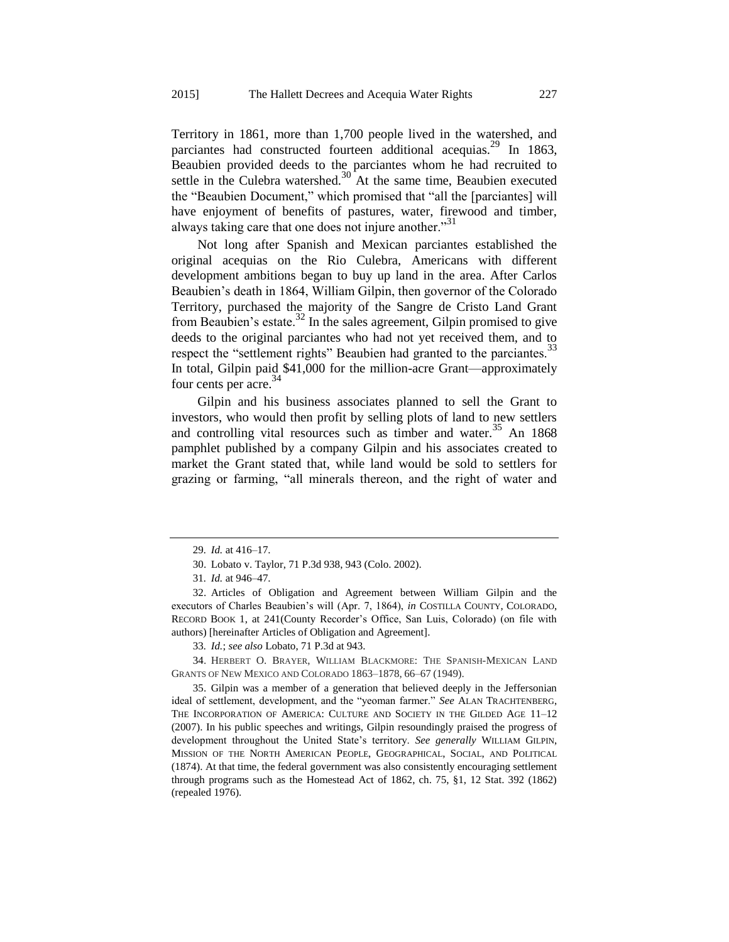Territory in 1861, more than 1,700 people lived in the watershed, and parciantes had constructed fourteen additional acequias.<sup>29</sup> In 1863, Beaubien provided deeds to the parciantes whom he had recruited to settle in the Culebra watershed.<sup>30</sup> At the same time, Beaubien executed the "Beaubien Document," which promised that "all the [parciantes] will have enjoyment of benefits of pastures, water, firewood and timber, always taking care that one does not injure another."<sup>31</sup>

<span id="page-8-2"></span>Not long after Spanish and Mexican parciantes established the original acequias on the Rio Culebra, Americans with different development ambitions began to buy up land in the area. After Carlos Beaubien's death in 1864, William Gilpin, then governor of the Colorado Territory, purchased the majority of the Sangre de Cristo Land Grant from Beaubien's estate.<sup>32</sup> In the sales agreement, Gilpin promised to give deeds to the original parciantes who had not yet received them, and to respect the "settlement rights" Beaubien had granted to the parciantes.<sup>33</sup> In total, Gilpin paid \$41,000 for the million-acre Grant—approximately four cents per acre.<sup>34</sup>

<span id="page-8-1"></span><span id="page-8-0"></span>Gilpin and his business associates planned to sell the Grant to investors, who would then profit by selling plots of land to new settlers and controlling vital resources such as timber and water.<sup>35</sup> An 1868 pamphlet published by a company Gilpin and his associates created to market the Grant stated that, while land would be sold to settlers for grazing or farming, "all minerals thereon, and the right of water and

<sup>29</sup>*. Id.* at 416–17.

<sup>30.</sup> Lobato v. Taylor, 71 P.3d 938, 943 (Colo. 2002).

<sup>31</sup>*. Id.* at 946–47.

<sup>32.</sup> Articles of Obligation and Agreement between William Gilpin and the executors of Charles Beaubien's will (Apr. 7, 1864), *in* COSTILLA COUNTY, COLORADO, RECORD BOOK 1, at 241(County Recorder's Office, San Luis, Colorado) (on file with authors) [hereinafter Articles of Obligation and Agreement].

<sup>33</sup>*. Id.*; *see also* Lobato, 71 P.3d at 943.

<sup>34.</sup> HERBERT O. BRAYER, WILLIAM BLACKMORE: THE SPANISH-MEXICAN LAND GRANTS OF NEW MEXICO AND COLORADO 1863–1878, 66–67 (1949).

<sup>35.</sup> Gilpin was a member of a generation that believed deeply in the Jeffersonian ideal of settlement, development, and the "yeoman farmer." *See* ALAN TRACHTENBERG, THE INCORPORATION OF AMERICA: CULTURE AND SOCIETY IN THE GILDED AGE 11–12 (2007). In his public speeches and writings, Gilpin resoundingly praised the progress of development throughout the United State's territory. *See generally* WILLIAM GILPIN, MISSION OF THE NORTH AMERICAN PEOPLE, GEOGRAPHICAL, SOCIAL, AND POLITICAL (1874). At that time, the federal government was also consistently encouraging settlement through programs such as the Homestead Act of 1862, ch. 75, §1, 12 Stat. 392 (1862) (repealed 1976).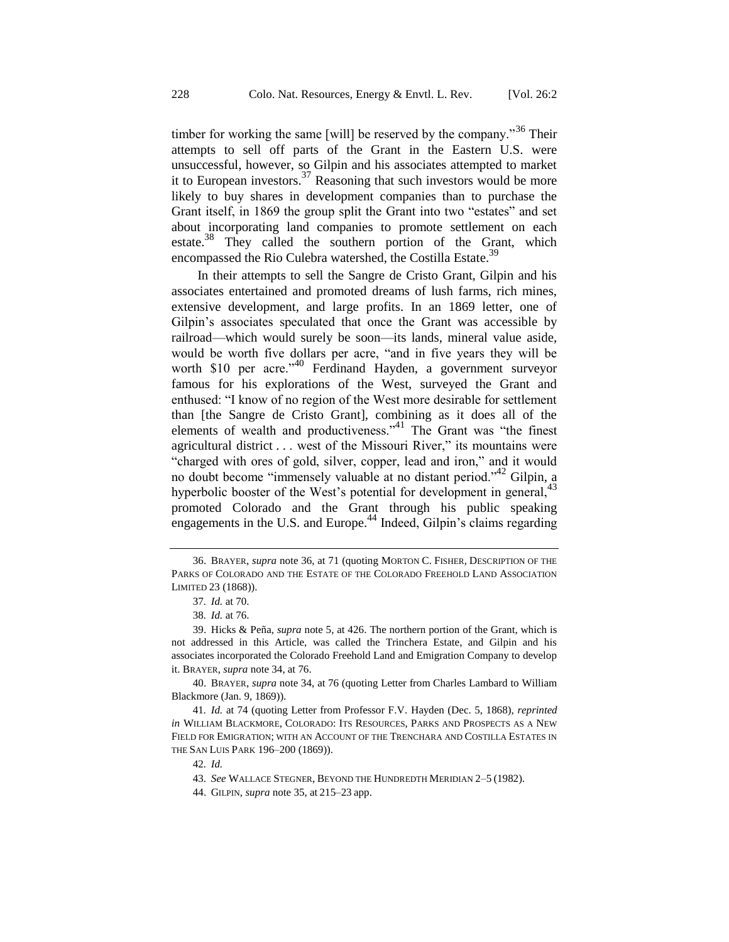timber for working the same [will] be reserved by the company.<sup>36</sup> Their attempts to sell off parts of the Grant in the Eastern U.S. were unsuccessful, however, so Gilpin and his associates attempted to market it to European investors. $37$  Reasoning that such investors would be more likely to buy shares in development companies than to purchase the Grant itself, in 1869 the group split the Grant into two "estates" and set about incorporating land companies to promote settlement on each estate.<sup>38</sup> They called the southern portion of the Grant, which encompassed the Rio Culebra watershed, the Costilla Estate.<sup>39</sup>

In their attempts to sell the Sangre de Cristo Grant, Gilpin and his associates entertained and promoted dreams of lush farms, rich mines, extensive development, and large profits. In an 1869 letter, one of Gilpin's associates speculated that once the Grant was accessible by railroad—which would surely be soon—its lands, mineral value aside, would be worth five dollars per acre, "and in five years they will be worth \$10 per acre."<sup>40</sup> Ferdinand Hayden, a government surveyor famous for his explorations of the West, surveyed the Grant and enthused: "I know of no region of the West more desirable for settlement than [the Sangre de Cristo Grant], combining as it does all of the elements of wealth and productiveness."<sup>41</sup> The Grant was "the finest agricultural district . . . west of the Missouri River," its mountains were "charged with ores of gold, silver, copper, lead and iron," and it would no doubt become "immensely valuable at no distant period."<sup>42</sup> Gilpin, a hyperbolic booster of the West's potential for development in general,<sup>43</sup> promoted Colorado and the Grant through his public speaking engagements in the U.S. and Europe.<sup>44</sup> Indeed, Gilpin's claims regarding

40. BRAYER, *supra* not[e 34,](#page-8-0) at 76 (quoting Letter from Charles Lambard to William Blackmore (Jan. 9, 1869)).

42*. Id.*

43*. See* WALLACE STEGNER, BEYOND THE HUNDREDTH MERIDIAN 2–5 (1982).

<sup>36.</sup> BRAYER, *supra* note 36, at 71 (quoting MORTON C. FISHER, DESCRIPTION OF THE PARKS OF COLORADO AND THE ESTATE OF THE COLORADO FREEHOLD LAND ASSOCIATION LIMITED 23 (1868)).

<span id="page-9-0"></span><sup>37</sup>*. Id.* at 70.

<sup>38</sup>*. Id.* at 76.

<sup>39.</sup> Hicks & Peña, *supra* note [5,](#page-3-1) at 426. The northern portion of the Grant, which is not addressed in this Article, was called the Trinchera Estate, and Gilpin and his associates incorporated the Colorado Freehold Land and Emigration Company to develop it. BRAYER, *supra* note 34, at 76.

<sup>41</sup>*. Id.* at 74 (quoting Letter from Professor F.V. Hayden (Dec. 5, 1868), *reprinted in* WILLIAM BLACKMORE, COLORADO: ITS RESOURCES, PARKS AND PROSPECTS AS A NEW FIELD FOR EMIGRATION; WITH AN ACCOUNT OF THE TRENCHARA AND COSTILLA ESTATES IN THE SAN LUIS PARK 196–200 (1869)).

<sup>44.</sup> GILPIN, *supra* not[e 35,](#page-8-1) at 215–23 app.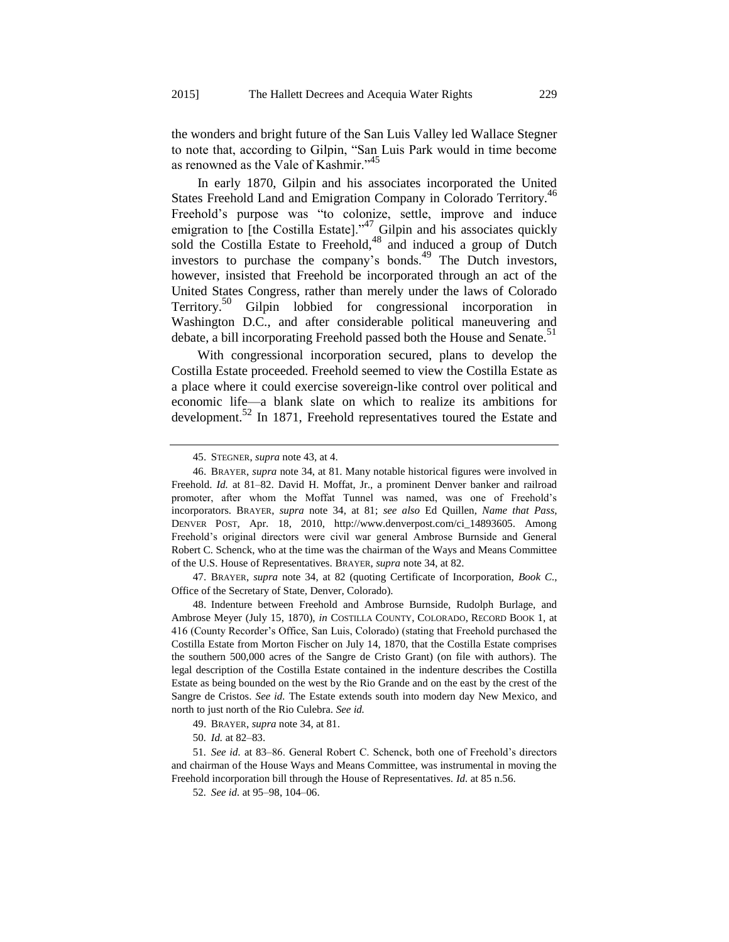the wonders and bright future of the San Luis Valley led Wallace Stegner to note that, according to Gilpin, "San Luis Park would in time become as renowned as the Vale of Kashmir."<sup>45</sup>

In early 1870, Gilpin and his associates incorporated the United States Freehold Land and Emigration Company in Colorado Territory.<sup>46</sup> Freehold's purpose was "to colonize, settle, improve and induce emigration to [the Costilla Estate]."<sup>47</sup> Gilpin and his associates quickly sold the Costilla Estate to Freehold, $48$  and induced a group of Dutch investors to purchase the company's bonds.<sup>49</sup> The Dutch investors, however, insisted that Freehold be incorporated through an act of the United States Congress, rather than merely under the laws of Colorado Territory.<sup>50</sup> Gilpin lobbied for congressional incorporation in Washington D.C., and after considerable political maneuvering and debate, a bill incorporating Freehold passed both the House and Senate.<sup>51</sup>

With congressional incorporation secured, plans to develop the Costilla Estate proceeded. Freehold seemed to view the Costilla Estate as a place where it could exercise sovereign-like control over political and economic life—a blank slate on which to realize its ambitions for development.<sup>52</sup> In 1871, Freehold representatives toured the Estate and

47. BRAYER, *supra* note [34,](#page-8-0) at 82 (quoting Certificate of Incorporation, *Book C.*, Office of the Secretary of State, Denver, Colorado).

48. Indenture between Freehold and Ambrose Burnside, Rudolph Burlage, and Ambrose Meyer (July 15, 1870), *in* COSTILLA COUNTY, COLORADO, RECORD BOOK 1, at 416 (County Recorder's Office, San Luis, Colorado) (stating that Freehold purchased the Costilla Estate from Morton Fischer on July 14, 1870, that the Costilla Estate comprises the southern 500,000 acres of the Sangre de Cristo Grant) (on file with authors). The legal description of the Costilla Estate contained in the indenture describes the Costilla Estate as being bounded on the west by the Rio Grande and on the east by the crest of the Sangre de Cristos. *See id.* The Estate extends south into modern day New Mexico, and north to just north of the Rio Culebra. *See id.*

<sup>45.</sup> STEGNER, *supra* note [43,](#page-9-0) at 4.

<sup>46.</sup> BRAYER, *supra* note [34,](#page-8-0) at 81. Many notable historical figures were involved in Freehold. *Id.* at 81–82. David H. Moffat, Jr., a prominent Denver banker and railroad promoter, after whom the Moffat Tunnel was named, was one of Freehold's incorporators. BRAYER, *supra* note 34, at 81; *see also* Ed Quillen, *Name that Pass*, DENVER POST, Apr. 18, 2010, http://www.denverpost.com/ci\_14893605. Among Freehold's original directors were civil war general Ambrose Burnside and General Robert C. Schenck, who at the time was the chairman of the Ways and Means Committee of the U.S. House of Representatives. BRAYER, *supra* not[e 34,](#page-8-0) at 82.

<sup>49.</sup> BRAYER, *supra* note [34,](#page-8-0) at 81.

<sup>50</sup>*. Id.* at 82–83.

<sup>51</sup>*. See id.* at 83–86. General Robert C. Schenck, both one of Freehold's directors and chairman of the House Ways and Means Committee, was instrumental in moving the Freehold incorporation bill through the House of Representatives. *Id.* at 85 n.56.

<sup>52</sup>*. See id.* at 95–98, 104–06.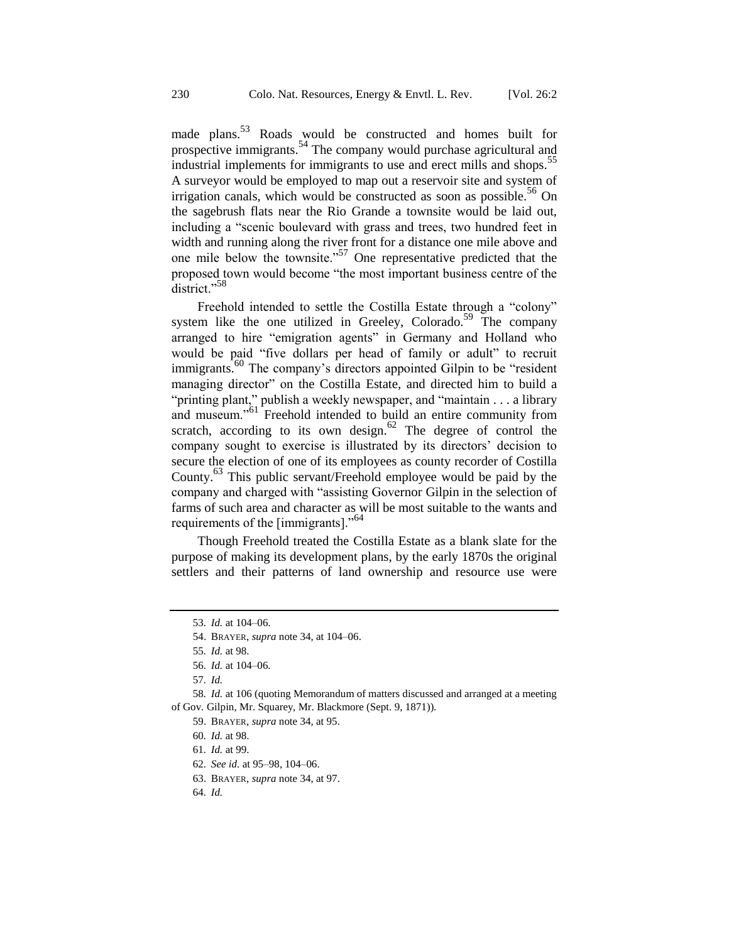made plans.<sup>53</sup> Roads would be constructed and homes built for prospective immigrants.<sup>54</sup> The company would purchase agricultural and industrial implements for immigrants to use and erect mills and shops.<sup>55</sup> A surveyor would be employed to map out a reservoir site and system of irrigation canals, which would be constructed as soon as possible.<sup>56</sup> On the sagebrush flats near the Rio Grande a townsite would be laid out, including a "scenic boulevard with grass and trees, two hundred feet in width and running along the river front for a distance one mile above and one mile below the townsite."<sup>57</sup> One representative predicted that the proposed town would become "the most important business centre of the district."<sup>58</sup>

Freehold intended to settle the Costilla Estate through a "colony" system like the one utilized in Greeley, Colorado.<sup>59</sup> The company arranged to hire "emigration agents" in Germany and Holland who would be paid "five dollars per head of family or adult" to recruit immigrants.<sup>60</sup> The company's directors appointed Gilpin to be "resident managing director" on the Costilla Estate, and directed him to build a "printing plant," publish a weekly newspaper, and "maintain . . . a library and museum."<sup>61</sup> Freehold intended to build an entire community from scratch, according to its own design. $62$  The degree of control the company sought to exercise is illustrated by its directors' decision to secure the election of one of its employees as county recorder of Costilla County.<sup>63</sup> This public servant/Freehold employee would be paid by the company and charged with "assisting Governor Gilpin in the selection of farms of such area and character as will be most suitable to the wants and requirements of the [immigrants]."<sup>64</sup>

Though Freehold treated the Costilla Estate as a blank slate for the purpose of making its development plans, by the early 1870s the original settlers and their patterns of land ownership and resource use were

- 62*. See id.* at 95–98, 104–06.
- 63. BRAYER, *supra* note [34,](#page-8-0) at 97.
- 64*. Id.*

<sup>53</sup>*. Id.* at 104–06.

<sup>54.</sup> BRAYER, *supra* note [34,](#page-8-0) at 104–06.

<sup>55</sup>*. Id.* at 98.

<sup>56</sup>*. Id.* at 104–06.

<sup>57</sup>*. Id.*

<sup>58</sup>*. Id.* at 106 (quoting Memorandum of matters discussed and arranged at a meeting of Gov. Gilpin, Mr. Squarey, Mr. Blackmore (Sept. 9, 1871)).

<sup>59.</sup> BRAYER, *supra* note [34,](#page-8-0) at 95.

<sup>60</sup>*. Id.* at 98.

<sup>61</sup>*. Id.* at 99.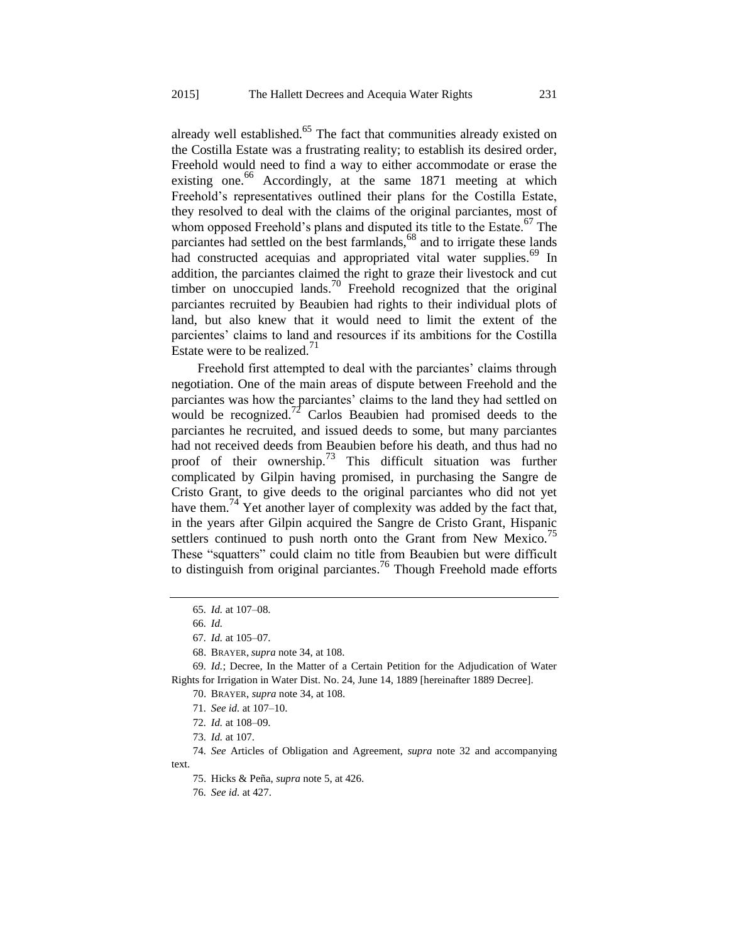already well established. $65$  The fact that communities already existed on the Costilla Estate was a frustrating reality; to establish its desired order, Freehold would need to find a way to either accommodate or erase the existing one.<sup>66</sup> Accordingly, at the same  $1871$  meeting at which Freehold's representatives outlined their plans for the Costilla Estate, they resolved to deal with the claims of the original parciantes, most of whom opposed Freehold's plans and disputed its title to the Estate.<sup>67</sup> The parciantes had settled on the best farmlands,  $68$  and to irrigate these lands had constructed acequias and appropriated vital water supplies.<sup>69</sup> In addition, the parciantes claimed the right to graze their livestock and cut timber on unoccupied lands.<sup>70</sup> Freehold recognized that the original parciantes recruited by Beaubien had rights to their individual plots of land, but also knew that it would need to limit the extent of the parcientes' claims to land and resources if its ambitions for the Costilla Estate were to be realized. $11$ 

<span id="page-12-0"></span>Freehold first attempted to deal with the parciantes' claims through negotiation. One of the main areas of dispute between Freehold and the parciantes was how the parciantes' claims to the land they had settled on would be recognized.<sup>72</sup> Carlos Beaubien had promised deeds to the parciantes he recruited, and issued deeds to some, but many parciantes had not received deeds from Beaubien before his death, and thus had no proof of their ownership.<sup>73</sup> This difficult situation was further complicated by Gilpin having promised, in purchasing the Sangre de Cristo Grant, to give deeds to the original parciantes who did not yet have them.<sup>74</sup> Yet another layer of complexity was added by the fact that, in the years after Gilpin acquired the Sangre de Cristo Grant, Hispanic settlers continued to push north onto the Grant from New Mexico.<sup>75</sup> These "squatters" could claim no title from Beaubien but were difficult to distinguish from original parciantes.<sup>76</sup> Though Freehold made efforts

- 71*. See id.* at 107–10.
- 72*. Id.* at 108–09.
- 73*. Id.* at 107.

74*. See* Articles of Obligation and Agreement, *supra* note [32](#page-8-2) and accompanying text.

<sup>65</sup>*. Id.* at 107–08.

<sup>66</sup>*. Id.*

<sup>67</sup>*. Id.* at 105–07.

<sup>68.</sup> BRAYER, *supra* not[e 34,](#page-8-0) at 108.

<sup>69</sup>*. Id.*; Decree, In the Matter of a Certain Petition for the Adjudication of Water Rights for Irrigation in Water Dist. No. 24, June 14, 1889 [hereinafter 1889 Decree].

<sup>70.</sup> BRAYER, *supra* note [34,](#page-8-0) at 108.

<sup>75.</sup> Hicks & Peña, *supra* not[e 5,](#page-3-1) at 426.

<sup>76</sup>*. See id.* at 427.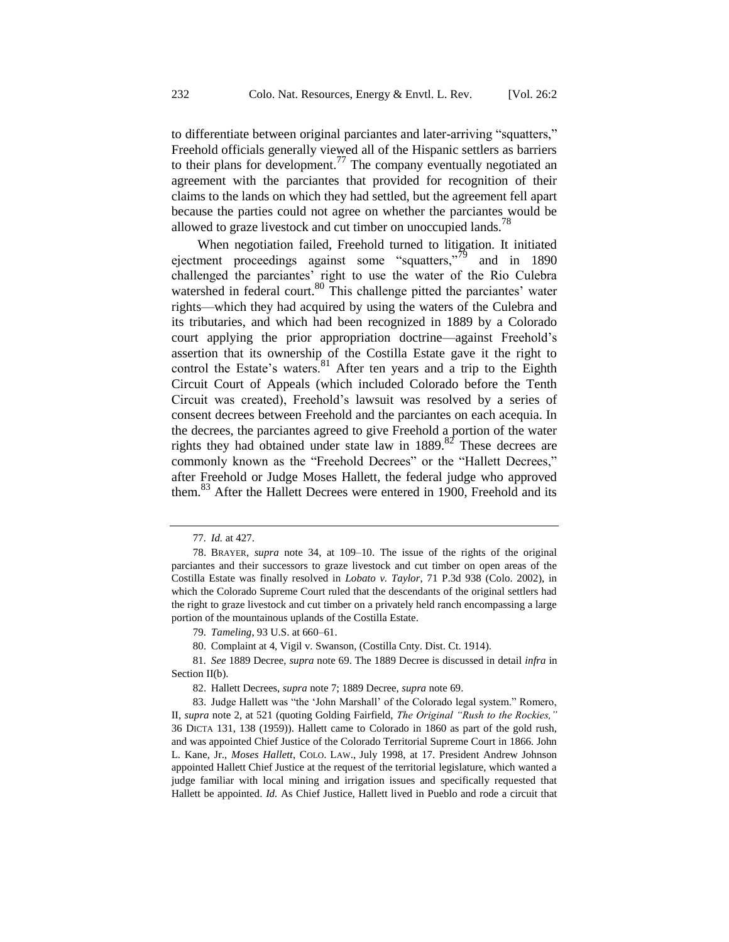to differentiate between original parciantes and later-arriving "squatters," Freehold officials generally viewed all of the Hispanic settlers as barriers to their plans for development.<sup>77</sup> The company eventually negotiated an agreement with the parciantes that provided for recognition of their claims to the lands on which they had settled, but the agreement fell apart because the parties could not agree on whether the parciantes would be allowed to graze livestock and cut timber on unoccupied lands.<sup>78</sup>

<span id="page-13-0"></span>When negotiation failed, Freehold turned to litigation. It initiated ejectment proceedings against some "squatters,"<sup>79</sup> and in 1890 challenged the parciantes' right to use the water of the Rio Culebra watershed in federal court.<sup>80</sup> This challenge pitted the parciantes' water rights—which they had acquired by using the waters of the Culebra and its tributaries, and which had been recognized in 1889 by a Colorado court applying the prior appropriation doctrine—against Freehold's assertion that its ownership of the Costilla Estate gave it the right to control the Estate's waters.<sup>81</sup> After ten years and a trip to the Eighth Circuit Court of Appeals (which included Colorado before the Tenth Circuit was created), Freehold's lawsuit was resolved by a series of consent decrees between Freehold and the parciantes on each acequia. In the decrees, the parciantes agreed to give Freehold a portion of the water rights they had obtained under state law in  $1889$ .<sup>82</sup> These decrees are commonly known as the "Freehold Decrees" or the "Hallett Decrees," after Freehold or Judge Moses Hallett, the federal judge who approved them.<sup>83</sup> After the Hallett Decrees were entered in 1900, Freehold and its

<span id="page-13-1"></span><sup>77</sup>*. Id.* at 427.

<sup>78.</sup> BRAYER, *supra* note [34,](#page-8-0) at 109–10. The issue of the rights of the original parciantes and their successors to graze livestock and cut timber on open areas of the Costilla Estate was finally resolved in *Lobato v. Taylor*, 71 P.3d 938 (Colo. 2002), in which the Colorado Supreme Court ruled that the descendants of the original settlers had the right to graze livestock and cut timber on a privately held ranch encompassing a large portion of the mountainous uplands of the Costilla Estate.

<sup>79</sup>*. Tameling*, 93 U.S. at 660–61.

<sup>80.</sup> Complaint at 4, Vigil v. Swanson, (Costilla Cnty. Dist. Ct. 1914).

<sup>81</sup>*. See* 1889 Decree, *supra* note [69.](#page-12-0) The 1889 Decree is discussed in detail *infra* in Section II(b).

<sup>82.</sup> Hallett Decrees, *supra* note [7;](#page-4-0) 1889 Decree, *supra* note [69.](#page-12-0)

<sup>83.</sup> Judge Hallett was "the 'John Marshall' of the Colorado legal system." Romero, II, *supra* note [2,](#page-3-2) at 521 (quoting Golding Fairfield, *The Original "Rush to the Rockies,"* 36 DICTA 131, 138 (1959)). Hallett came to Colorado in 1860 as part of the gold rush, and was appointed Chief Justice of the Colorado Territorial Supreme Court in 1866. John L. Kane, Jr., *Moses Hallett*, COLO. LAW., July 1998, at 17. President Andrew Johnson appointed Hallett Chief Justice at the request of the territorial legislature, which wanted a judge familiar with local mining and irrigation issues and specifically requested that Hallett be appointed. *Id.* As Chief Justice, Hallett lived in Pueblo and rode a circuit that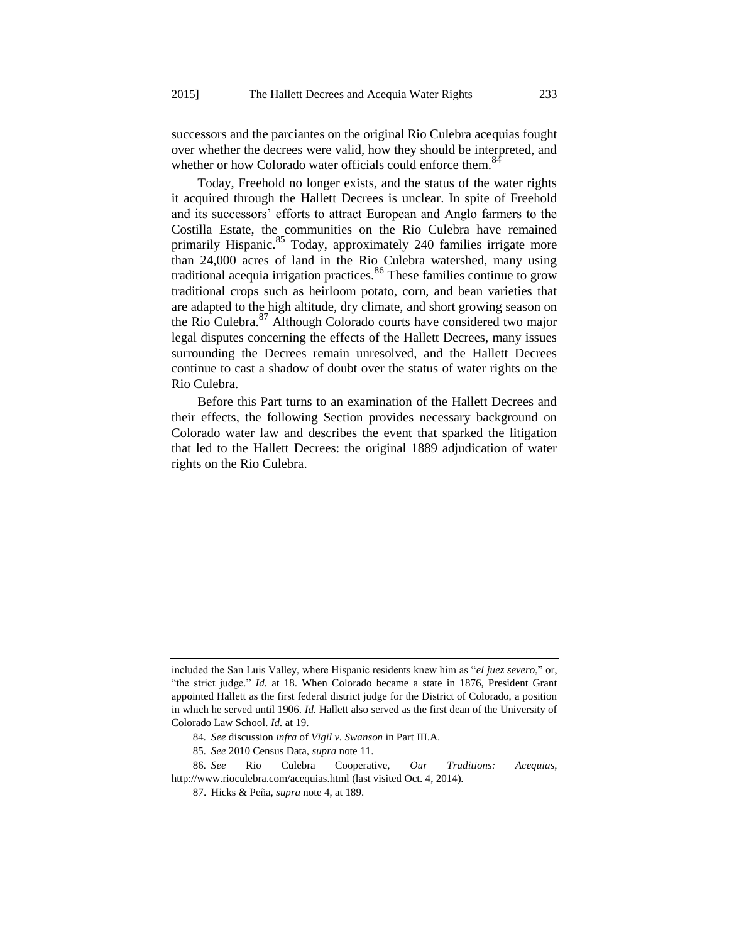successors and the parciantes on the original Rio Culebra acequias fought over whether the decrees were valid, how they should be interpreted, and whether or how Colorado water officials could enforce them.<sup>84</sup>

Today, Freehold no longer exists, and the status of the water rights it acquired through the Hallett Decrees is unclear. In spite of Freehold and its successors' efforts to attract European and Anglo farmers to the Costilla Estate, the communities on the Rio Culebra have remained primarily Hispanic.<sup>85</sup> Today, approximately 240 families irrigate more than 24,000 acres of land in the Rio Culebra watershed, many using traditional acequia irrigation practices.<sup>86</sup> These families continue to grow traditional crops such as heirloom potato, corn, and bean varieties that are adapted to the high altitude, dry climate, and short growing season on the Rio Culebra.<sup>87</sup> Although Colorado courts have considered two major legal disputes concerning the effects of the Hallett Decrees, many issues surrounding the Decrees remain unresolved, and the Hallett Decrees continue to cast a shadow of doubt over the status of water rights on the Rio Culebra.

Before this Part turns to an examination of the Hallett Decrees and their effects, the following Section provides necessary background on Colorado water law and describes the event that sparked the litigation that led to the Hallett Decrees: the original 1889 adjudication of water rights on the Rio Culebra.

included the San Luis Valley, where Hispanic residents knew him as "*el juez severo*," or, "the strict judge." *Id.* at 18. When Colorado became a state in 1876, President Grant appointed Hallett as the first federal district judge for the District of Colorado, a position in which he served until 1906. *Id.* Hallett also served as the first dean of the University of Colorado Law School. *Id.* at 19.

<sup>84</sup>*. See* discussion *infra* of *Vigil v. Swanson* in Part III.A.

<sup>85</sup>*. See* 2010 Census Data, *supra* not[e 11.](#page-6-2)

<sup>86</sup>*. See* Rio Culebra Cooperative, *Our Traditions: Acequias*, http://www.rioculebra.com/acequias.html (last visited Oct. 4, 2014).

<sup>87.</sup> Hicks & Peña, *supra* not[e 4,](#page-3-0) at 189.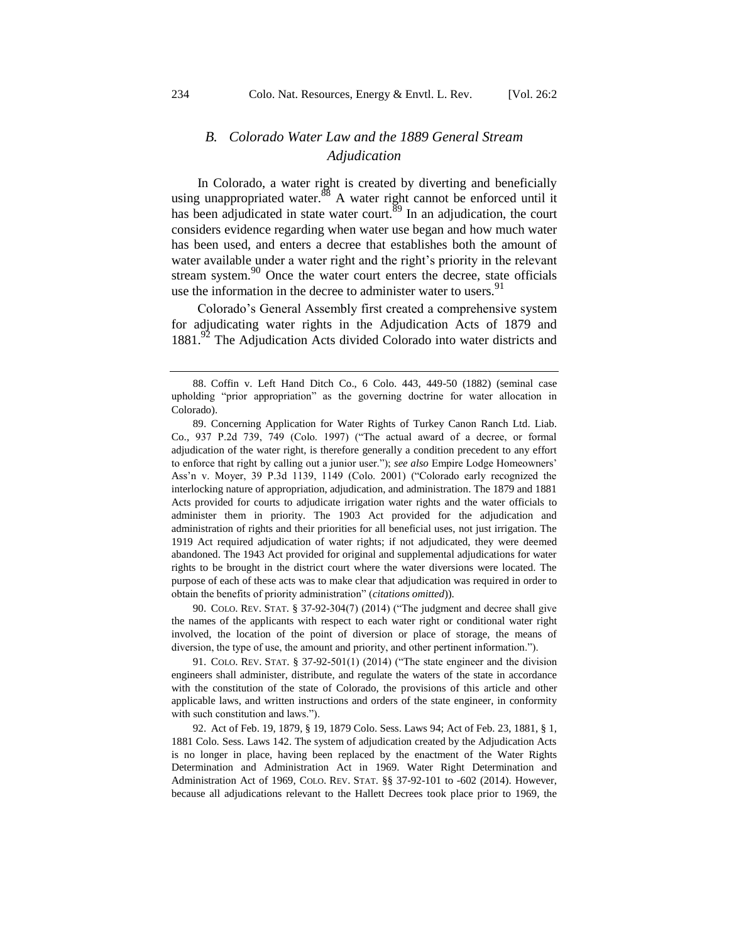# *B. Colorado Water Law and the 1889 General Stream Adjudication*

In Colorado, a water right is created by diverting and beneficially using unappropriated water.<sup>88</sup> A water right cannot be enforced until it has been adjudicated in state water court.<sup>89</sup> In an adjudication, the court considers evidence regarding when water use began and how much water has been used, and enters a decree that establishes both the amount of water available under a water right and the right's priority in the relevant stream system. $90$  Once the water court enters the decree, state officials use the information in the decree to administer water to users.<sup>91</sup>

Colorado's General Assembly first created a comprehensive system for adjudicating water rights in the Adjudication Acts of 1879 and 1881.<sup>92</sup> The Adjudication Acts divided Colorado into water districts and

90. COLO. REV. STAT. § 37-92-304(7) (2014) ("The judgment and decree shall give the names of the applicants with respect to each water right or conditional water right involved, the location of the point of diversion or place of storage, the means of diversion, the type of use, the amount and priority, and other pertinent information.").

91. COLO. REV. STAT. § 37-92-501(1) (2014) ("The state engineer and the division engineers shall administer, distribute, and regulate the waters of the state in accordance with the constitution of the state of Colorado, the provisions of this article and other applicable laws, and written instructions and orders of the state engineer, in conformity with such constitution and laws.").

92. Act of Feb. 19, 1879, § 19, 1879 Colo. Sess. Laws 94; Act of Feb. 23, 1881, § 1, 1881 Colo. Sess. Laws 142. The system of adjudication created by the Adjudication Acts is no longer in place, having been replaced by the enactment of the Water Rights Determination and Administration Act in 1969. Water Right Determination and Administration Act of 1969, COLO. REV. STAT. §§ 37-92-101 to -602 (2014). However, because all adjudications relevant to the Hallett Decrees took place prior to 1969, the

<sup>88.</sup> Coffin v. Left Hand Ditch Co., 6 Colo. 443, 449-50 (1882) (seminal case upholding "prior appropriation" as the governing doctrine for water allocation in Colorado).

<sup>89.</sup> Concerning Application for Water Rights of Turkey Canon Ranch Ltd. Liab. Co.*,* 937 P.2d 739, 749 (Colo. 1997) ("The actual award of a decree, or formal adjudication of the water right, is therefore generally a condition precedent to any effort to enforce that right by calling out a junior user."); *see also* Empire Lodge Homeowners' Ass'n v. Moyer, 39 P.3d 1139, 1149 (Colo. 2001) ("Colorado early recognized the interlocking nature of appropriation, adjudication, and administration. The 1879 and 1881 Acts provided for courts to adjudicate irrigation water rights and the water officials to administer them in priority. The 1903 Act provided for the adjudication and administration of rights and their priorities for all beneficial uses, not just irrigation. The 1919 Act required adjudication of water rights; if not adjudicated, they were deemed abandoned. The 1943 Act provided for original and supplemental adjudications for water rights to be brought in the district court where the water diversions were located. The purpose of each of these acts was to make clear that adjudication was required in order to obtain the benefits of priority administration" (*citations omitted*)).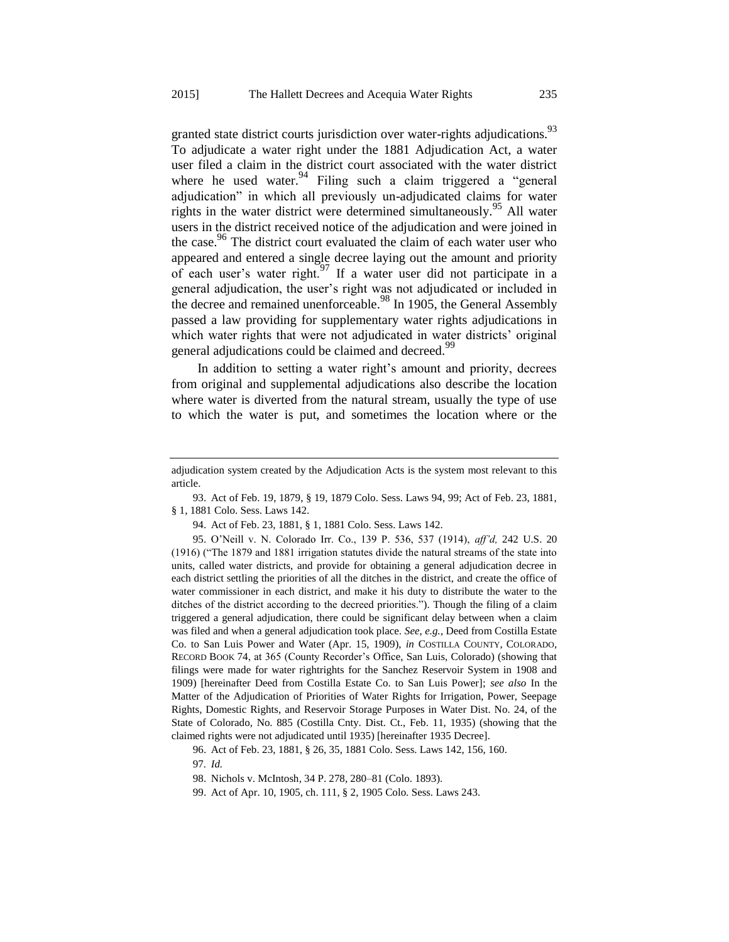<span id="page-16-0"></span>granted state district courts jurisdiction over water-rights adjudications.<sup>93</sup> To adjudicate a water right under the 1881 Adjudication Act, a water user filed a claim in the district court associated with the water district where he used water. $94$  Filing such a claim triggered a "general adjudication" in which all previously un-adjudicated claims for water rights in the water district were determined simultaneously.<sup>95</sup> All water users in the district received notice of the adjudication and were joined in the case.<sup>96</sup> The district court evaluated the claim of each water user who appeared and entered a single decree laying out the amount and priority of each user's water right.<sup>97</sup> If a water user did not participate in a general adjudication, the user's right was not adjudicated or included in the decree and remained unenforceable.<sup>98</sup> In 1905, the General Assembly passed a law providing for supplementary water rights adjudications in which water rights that were not adjudicated in water districts' original general adjudications could be claimed and decreed.<sup>99</sup>

In addition to setting a water right's amount and priority, decrees from original and supplemental adjudications also describe the location where water is diverted from the natural stream, usually the type of use to which the water is put, and sometimes the location where or the

93. Act of Feb. 19, 1879, § 19, 1879 Colo. Sess. Laws 94, 99; Act of Feb. 23, 1881, § 1, 1881 Colo. Sess. Laws 142.

94. Act of Feb. 23, 1881, § 1, 1881 Colo. Sess. Laws 142.

95. O'Neill v. N. Colorado Irr. Co., 139 P. 536, 537 (1914), *aff'd,* 242 U.S. 20 (1916) ("The 1879 and 1881 irrigation statutes divide the natural streams of the state into units, called water districts, and provide for obtaining a general adjudication decree in each district settling the priorities of all the ditches in the district, and create the office of water commissioner in each district, and make it his duty to distribute the water to the ditches of the district according to the decreed priorities."). Though the filing of a claim triggered a general adjudication, there could be significant delay between when a claim was filed and when a general adjudication took place. *See*, *e.g.*, Deed from Costilla Estate Co. to San Luis Power and Water (Apr. 15, 1909), *in* COSTILLA COUNTY, COLORADO, RECORD BOOK 74, at 365 (County Recorder's Office, San Luis, Colorado) (showing that filings were made for water rightrights for the Sanchez Reservoir System in 1908 and 1909) [hereinafter Deed from Costilla Estate Co. to San Luis Power]; *see also* In the Matter of the Adjudication of Priorities of Water Rights for Irrigation, Power, Seepage Rights, Domestic Rights, and Reservoir Storage Purposes in Water Dist. No. 24, of the State of Colorado, No. 885 (Costilla Cnty. Dist. Ct., Feb. 11, 1935) (showing that the claimed rights were not adjudicated until 1935) [hereinafter 1935 Decree].

96. Act of Feb. 23, 1881, § 26, 35, 1881 Colo. Sess. Laws 142, 156, 160.

97*. Id.*

adjudication system created by the Adjudication Acts is the system most relevant to this article.

<sup>98.</sup> Nichols v. McIntosh*,* 34 P. 278, 280–81 (Colo. 1893).

<sup>99.</sup> Act of Apr. 10, 1905, ch. 111, § 2, 1905 Colo. Sess. Laws 243.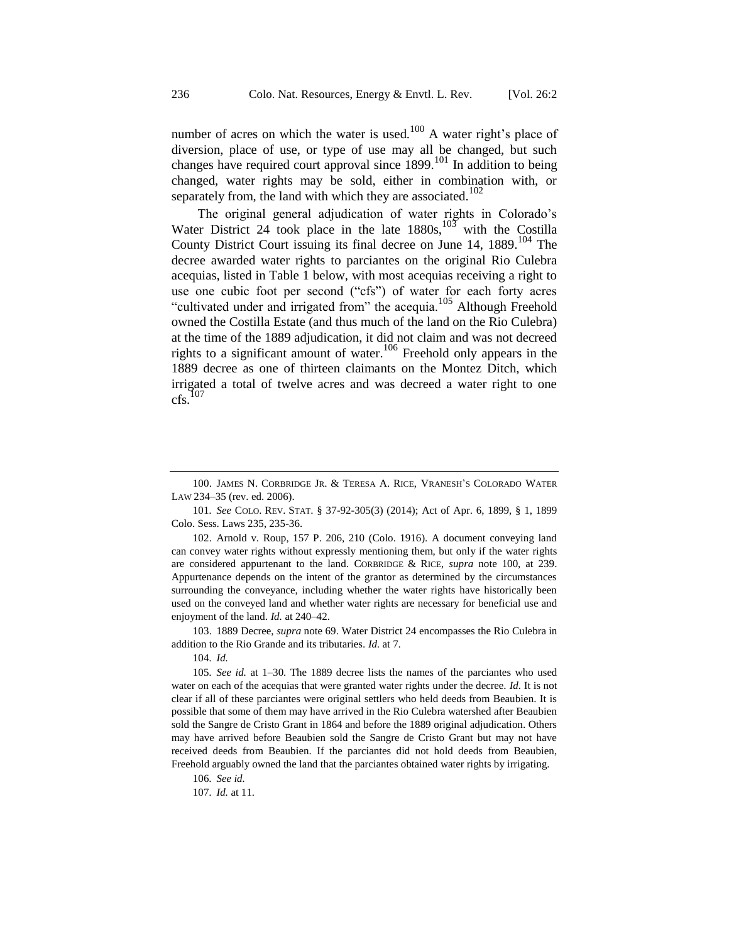<span id="page-17-0"></span>number of acres on which the water is used.<sup>100</sup> A water right's place of diversion, place of use, or type of use may all be changed, but such changes have required court approval since  $1899$ .<sup>101</sup> In addition to being changed, water rights may be sold, either in combination with, or separately from, the land with which they are associated.<sup>102</sup>

The original general adjudication of water rights in Colorado's Water District 24 took place in the late  $1880s$ , with the Costilla County District Court issuing its final decree on June  $14$ ,  $1889$ .<sup>104</sup> The decree awarded water rights to parciantes on the original Rio Culebra acequias, listed in Table 1 below, with most acequias receiving a right to use one cubic foot per second ("cfs") of water for each forty acres "cultivated under and irrigated from" the acequia.<sup>105</sup> Although Freehold owned the Costilla Estate (and thus much of the land on the Rio Culebra) at the time of the 1889 adjudication, it did not claim and was not decreed rights to a significant amount of water.<sup>106</sup> Freehold only appears in the 1889 decree as one of thirteen claimants on the Montez Ditch, which irrigated a total of twelve acres and was decreed a water right to one  $cfs.<sup>107</sup>$ 

102. Arnold v. Roup, 157 P. 206, 210 (Colo. 1916). A document conveying land can convey water rights without expressly mentioning them, but only if the water rights are considered appurtenant to the land. CORBRIDGE & RICE, *supra* note [100,](#page-17-0) at 239. Appurtenance depends on the intent of the grantor as determined by the circumstances surrounding the conveyance, including whether the water rights have historically been used on the conveyed land and whether water rights are necessary for beneficial use and enjoyment of the land. *Id.* at 240–42.

103. 1889 Decree, *supra* not[e 69.](#page-12-0) Water District 24 encompasses the Rio Culebra in addition to the Rio Grande and its tributaries. *Id.* at 7.

104*. Id.*

105*. See id.* at 1–30. The 1889 decree lists the names of the parciantes who used water on each of the acequias that were granted water rights under the decree. *Id.* It is not clear if all of these parciantes were original settlers who held deeds from Beaubien. It is possible that some of them may have arrived in the Rio Culebra watershed after Beaubien sold the Sangre de Cristo Grant in 1864 and before the 1889 original adjudication. Others may have arrived before Beaubien sold the Sangre de Cristo Grant but may not have received deeds from Beaubien. If the parciantes did not hold deeds from Beaubien, Freehold arguably owned the land that the parciantes obtained water rights by irrigating.

106*. See id.*

107*. Id.* at 11.

<sup>100.</sup> JAMES N. CORBRIDGE JR. & TERESA A. RICE, VRANESH'S COLORADO WATER LAW 234–35 (rev. ed. 2006).

<sup>101</sup>*. See* COLO. REV. STAT. § 37-92-305(3) (2014); Act of Apr. 6, 1899, § 1, 1899 Colo. Sess. Laws 235, 235-36.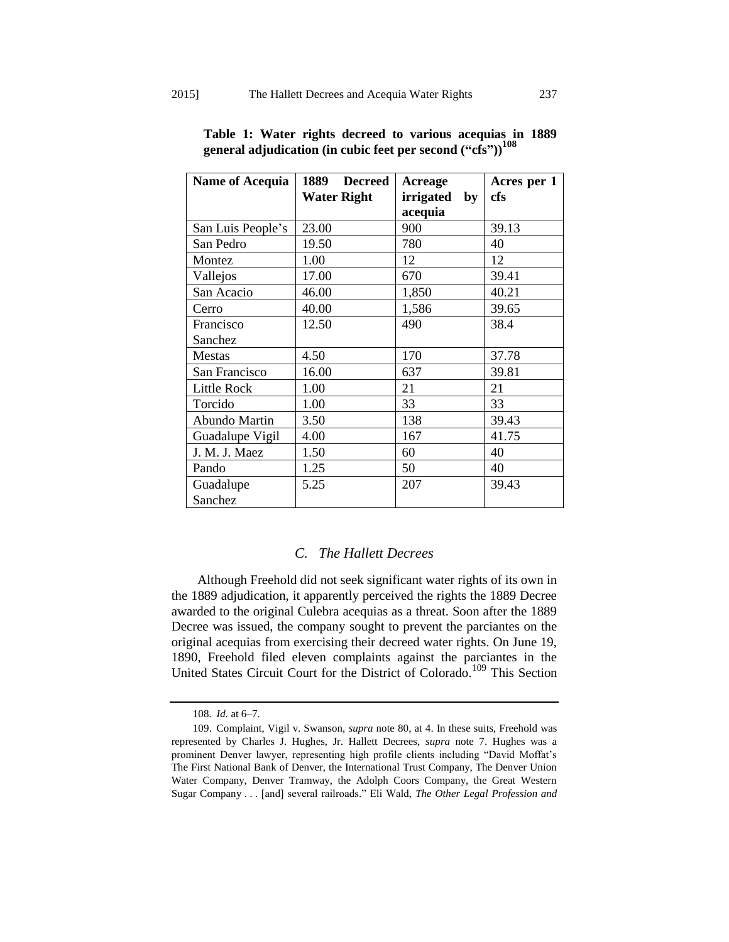| <b>Name of Acequia</b> | 1889<br><b>Decreed</b> | <b>Acreage</b>  | Acres per 1 |
|------------------------|------------------------|-----------------|-------------|
|                        | <b>Water Right</b>     | irrigated<br>by | cfs         |
|                        |                        | acequia         |             |
| San Luis People's      | 23.00                  | 900             | 39.13       |
| San Pedro              | 19.50                  | 780             | 40          |
| Montez                 | 1.00                   | 12              | 12          |
| Vallejos               | 17.00                  | 670             | 39.41       |
| San Acacio             | 46.00                  | 1,850           | 40.21       |
| Cerro                  | 40.00                  | 1,586           | 39.65       |
| Francisco              | 12.50                  | 490             | 38.4        |
| Sanchez                |                        |                 |             |
| <b>Mestas</b>          | 4.50                   | 170             | 37.78       |
| San Francisco          | 16.00                  | 637             | 39.81       |
| <b>Little Rock</b>     | 1.00                   | 21              | 21          |
| Torcido                | 1.00                   | 33              | 33          |
| Abundo Martin          | 3.50                   | 138             | 39.43       |
| Guadalupe Vigil        | 4.00                   | 167             | 41.75       |
| J. M. J. Maez          | 1.50                   | 60              | 40          |
| Pando                  | 1.25                   | 50              | 40          |
| Guadalupe              | 5.25                   | 207             | 39.43       |
| Sanchez                |                        |                 |             |

**Table 1: Water rights decreed to various acequias in 1889 general adjudication (in cubic feet per second ("cfs"))<sup>108</sup>**

#### *C. The Hallett Decrees*

Although Freehold did not seek significant water rights of its own in the 1889 adjudication, it apparently perceived the rights the 1889 Decree awarded to the original Culebra acequias as a threat. Soon after the 1889 Decree was issued, the company sought to prevent the parciantes on the original acequias from exercising their decreed water rights. On June 19, 1890, Freehold filed eleven complaints against the parciantes in the United States Circuit Court for the District of Colorado.<sup>109</sup> This Section

<sup>108</sup>*. Id.* at 6–7.

<sup>109.</sup> Complaint, Vigil v. Swanson, *supra* note [80,](#page-13-0) at 4. In these suits, Freehold was represented by Charles J. Hughes, Jr. Hallett Decrees, *supra* note [7.](#page-4-0) Hughes was a prominent Denver lawyer, representing high profile clients including "David Moffat's The First National Bank of Denver, the International Trust Company, The Denver Union Water Company, Denver Tramway, the Adolph Coors Company, the Great Western Sugar Company . . . [and] several railroads." Eli Wald, *The Other Legal Profession and*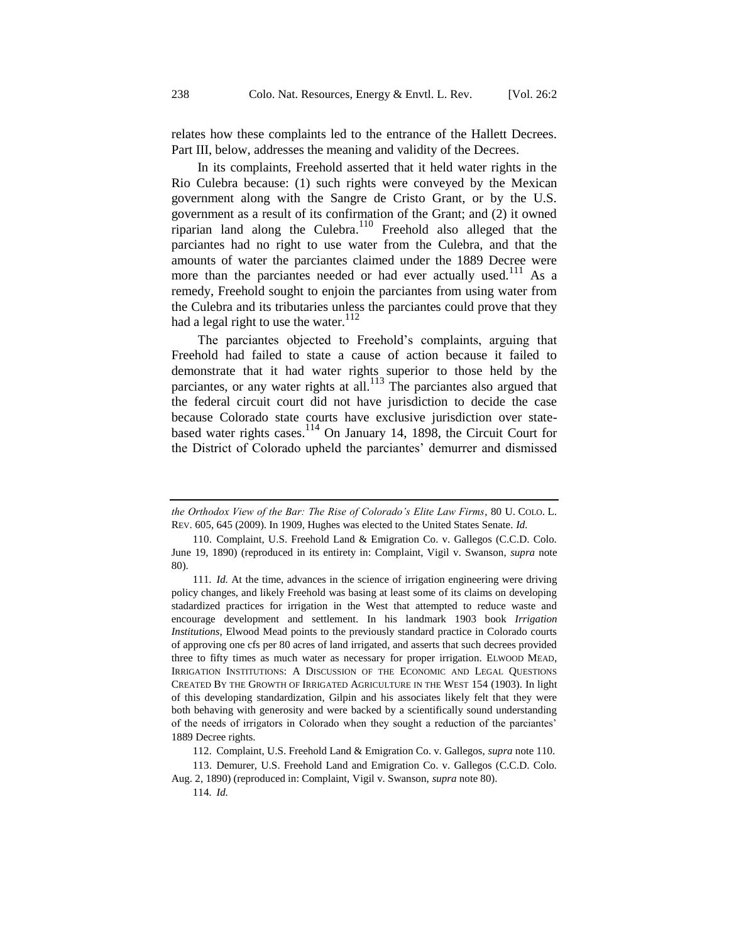relates how these complaints led to the entrance of the Hallett Decrees. Part III, below, addresses the meaning and validity of the Decrees.

<span id="page-19-0"></span>In its complaints, Freehold asserted that it held water rights in the Rio Culebra because: (1) such rights were conveyed by the Mexican government along with the Sangre de Cristo Grant, or by the U.S. government as a result of its confirmation of the Grant; and (2) it owned riparian land along the Culebra.<sup>110</sup> Freehold also alleged that the parciantes had no right to use water from the Culebra, and that the amounts of water the parciantes claimed under the 1889 Decree were more than the parciantes needed or had ever actually used.<sup>111</sup> As a remedy, Freehold sought to enjoin the parciantes from using water from the Culebra and its tributaries unless the parciantes could prove that they had a legal right to use the water. $112$ 

The parciantes objected to Freehold's complaints, arguing that Freehold had failed to state a cause of action because it failed to demonstrate that it had water rights superior to those held by the parciantes, or any water rights at all. $^{113}$  The parciantes also argued that the federal circuit court did not have jurisdiction to decide the case because Colorado state courts have exclusive jurisdiction over statebased water rights cases. $114$  On January 14, 1898, the Circuit Court for the District of Colorado upheld the parciantes' demurrer and dismissed

*the Orthodox View of the Bar: The Rise of Colorado's Elite Law Firms*, 80 U. COLO. L. REV. 605, 645 (2009). In 1909, Hughes was elected to the United States Senate. *Id.*

<sup>110.</sup> Complaint, U.S. Freehold Land & Emigration Co. v. Gallegos (C.C.D. Colo. June 19, 1890) (reproduced in its entirety in: Complaint, Vigil v. Swanson, *supra* note [80\)](#page-13-0).

<sup>111</sup>*. Id.* At the time, advances in the science of irrigation engineering were driving policy changes, and likely Freehold was basing at least some of its claims on developing stadardized practices for irrigation in the West that attempted to reduce waste and encourage development and settlement. In his landmark 1903 book *Irrigation Institutions*, Elwood Mead points to the previously standard practice in Colorado courts of approving one cfs per 80 acres of land irrigated, and asserts that such decrees provided three to fifty times as much water as necessary for proper irrigation. ELWOOD MEAD, IRRIGATION INSTITUTIONS: A DISCUSSION OF THE ECONOMIC AND LEGAL QUESTIONS CREATED BY THE GROWTH OF IRRIGATED AGRICULTURE IN THE WEST 154 (1903). In light of this developing standardization, Gilpin and his associates likely felt that they were both behaving with generosity and were backed by a scientifically sound understanding of the needs of irrigators in Colorado when they sought a reduction of the parciantes' 1889 Decree rights.

<sup>112.</sup> Complaint, U.S. Freehold Land & Emigration Co. v. Gallegos, *supra* not[e 110.](#page-19-0)

<sup>113.</sup> Demurer, U.S. Freehold Land and Emigration Co. v. Gallegos (C.C.D. Colo. Aug. 2, 1890) (reproduced in: Complaint, Vigil v. Swanson, *supra* not[e 80\)](#page-13-0).

<sup>114</sup>*. Id.*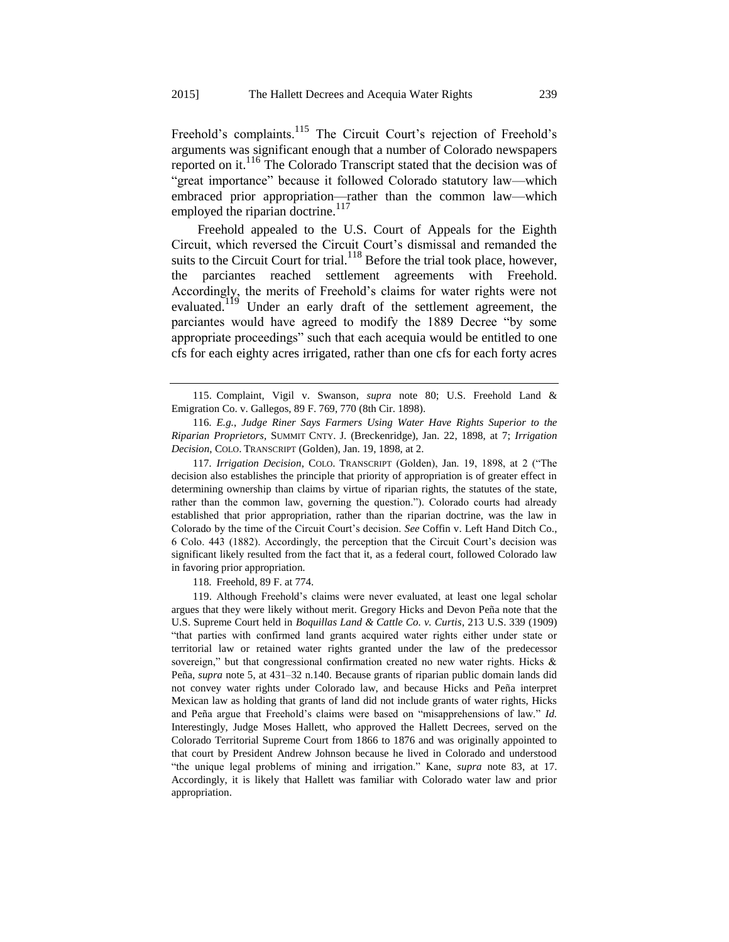Freehold's complaints.<sup>115</sup> The Circuit Court's rejection of Freehold's arguments was significant enough that a number of Colorado newspapers reported on it.<sup>116</sup> The Colorado Transcript stated that the decision was of "great importance" because it followed Colorado statutory law—which embraced prior appropriation—rather than the common law—which employed the riparian doctrine.<sup>117</sup>

<span id="page-20-0"></span>Freehold appealed to the U.S. Court of Appeals for the Eighth Circuit, which reversed the Circuit Court's dismissal and remanded the suits to the Circuit Court for trial.<sup>118</sup> Before the trial took place, however, the parciantes reached settlement agreements with Freehold. Accordingly, the merits of Freehold's claims for water rights were not evaluated.<sup>119</sup> Under an early draft of the settlement agreement, the parciantes would have agreed to modify the 1889 Decree "by some appropriate proceedings" such that each acequia would be entitled to one cfs for each eighty acres irrigated, rather than one cfs for each forty acres

117*. Irrigation Decision*, COLO. TRANSCRIPT (Golden), Jan. 19, 1898, at 2 ("The decision also establishes the principle that priority of appropriation is of greater effect in determining ownership than claims by virtue of riparian rights, the statutes of the state, rather than the common law, governing the question."). Colorado courts had already established that prior appropriation, rather than the riparian doctrine, was the law in Colorado by the time of the Circuit Court's decision. *See* Coffin v. Left Hand Ditch Co., 6 Colo. 443 (1882). Accordingly, the perception that the Circuit Court's decision was significant likely resulted from the fact that it, as a federal court, followed Colorado law in favoring prior appropriation.

118*.* Freehold, 89 F. at 774.

119. Although Freehold's claims were never evaluated, at least one legal scholar argues that they were likely without merit. Gregory Hicks and Devon Peña note that the U.S. Supreme Court held in *Boquillas Land & Cattle Co. v. Curtis*, 213 U.S. 339 (1909) "that parties with confirmed land grants acquired water rights either under state or territorial law or retained water rights granted under the law of the predecessor sovereign," but that congressional confirmation created no new water rights. Hicks  $\&$ Peña, *supra* note [5,](#page-3-1) at 431–32 n.140. Because grants of riparian public domain lands did not convey water rights under Colorado law, and because Hicks and Peña interpret Mexican law as holding that grants of land did not include grants of water rights, Hicks and Peña argue that Freehold's claims were based on "misapprehensions of law." *Id.* Interestingly, Judge Moses Hallett, who approved the Hallett Decrees, served on the Colorado Territorial Supreme Court from 1866 to 1876 and was originally appointed to that court by President Andrew Johnson because he lived in Colorado and understood "the unique legal problems of mining and irrigation." Kane, *supra* note [83,](#page-13-1) at 17. Accordingly, it is likely that Hallett was familiar with Colorado water law and prior appropriation.

<sup>115.</sup> Complaint, Vigil v. Swanson, *supra* note [80;](#page-13-0) U.S. Freehold Land & Emigration Co. v. Gallegos, 89 F. 769, 770 (8th Cir. 1898).

<sup>116</sup>*. E.g.*, *Judge Riner Says Farmers Using Water Have Rights Superior to the Riparian Proprietors*, SUMMIT CNTY. J. (Breckenridge), Jan. 22, 1898, at 7; *Irrigation Decision*, COLO. TRANSCRIPT (Golden), Jan. 19, 1898, at 2.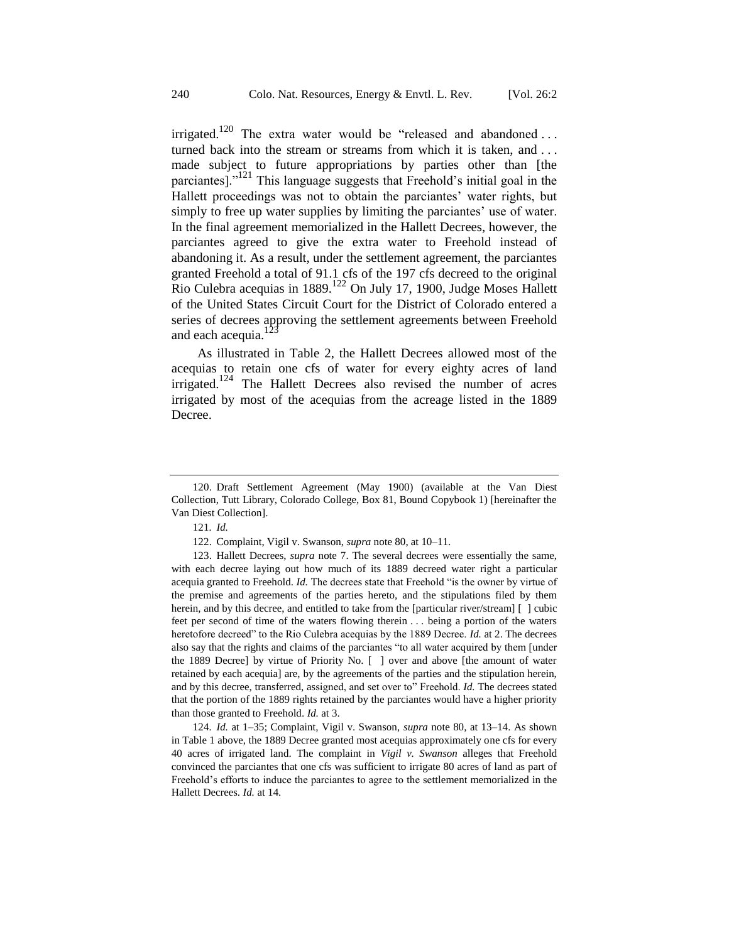irrigated.<sup>120</sup> The extra water would be "released and abandoned ... turned back into the stream or streams from which it is taken, and . . . made subject to future appropriations by parties other than [the parciantes]."<sup>121</sup> This language suggests that Freehold's initial goal in the Hallett proceedings was not to obtain the parciantes' water rights, but simply to free up water supplies by limiting the parciantes' use of water. In the final agreement memorialized in the Hallett Decrees, however, the parciantes agreed to give the extra water to Freehold instead of abandoning it. As a result, under the settlement agreement, the parciantes granted Freehold a total of 91.1 cfs of the 197 cfs decreed to the original Rio Culebra acequias in 1889.<sup>122</sup> On July 17, 1900, Judge Moses Hallett of the United States Circuit Court for the District of Colorado entered a series of decrees approving the settlement agreements between Freehold and each acequia.<sup>1</sup>

As illustrated in Table 2, the Hallett Decrees allowed most of the acequias to retain one cfs of water for every eighty acres of land irrigated.<sup>124</sup> The Hallett Decrees also revised the number of acres irrigated by most of the acequias from the acreage listed in the 1889 Decree.

124*. Id.* at 1–35; Complaint, Vigil v. Swanson, *supra* note [80,](#page-13-0) at 13–14. As shown in Table 1 above, the 1889 Decree granted most acequias approximately one cfs for every 40 acres of irrigated land. The complaint in *Vigil v. Swanson* alleges that Freehold convinced the parciantes that one cfs was sufficient to irrigate 80 acres of land as part of Freehold's efforts to induce the parciantes to agree to the settlement memorialized in the Hallett Decrees. *Id.* at 14.

<sup>120.</sup> Draft Settlement Agreement (May 1900) (available at the Van Diest Collection, Tutt Library, Colorado College, Box 81, Bound Copybook 1) [hereinafter the Van Diest Collection].

<sup>121</sup>*. Id.*

<sup>122.</sup> Complaint, Vigil v. Swanson, *supra* not[e 80,](#page-13-0) at 10–11.

<sup>123.</sup> Hallett Decrees, *supra* note [7.](#page-4-0) The several decrees were essentially the same, with each decree laying out how much of its 1889 decreed water right a particular acequia granted to Freehold. *Id.* The decrees state that Freehold "is the owner by virtue of the premise and agreements of the parties hereto, and the stipulations filed by them herein, and by this decree, and entitled to take from the [particular river/stream] [ ] cubic feet per second of time of the waters flowing therein . . . being a portion of the waters heretofore decreed" to the Rio Culebra acequias by the 1889 Decree. *Id.* at 2. The decrees also say that the rights and claims of the parciantes "to all water acquired by them [under the 1889 Decree] by virtue of Priority No. [ ] over and above [the amount of water retained by each acequia] are, by the agreements of the parties and the stipulation herein, and by this decree, transferred, assigned, and set over to" Freehold. *Id.* The decrees stated that the portion of the 1889 rights retained by the parciantes would have a higher priority than those granted to Freehold. *Id.* at 3.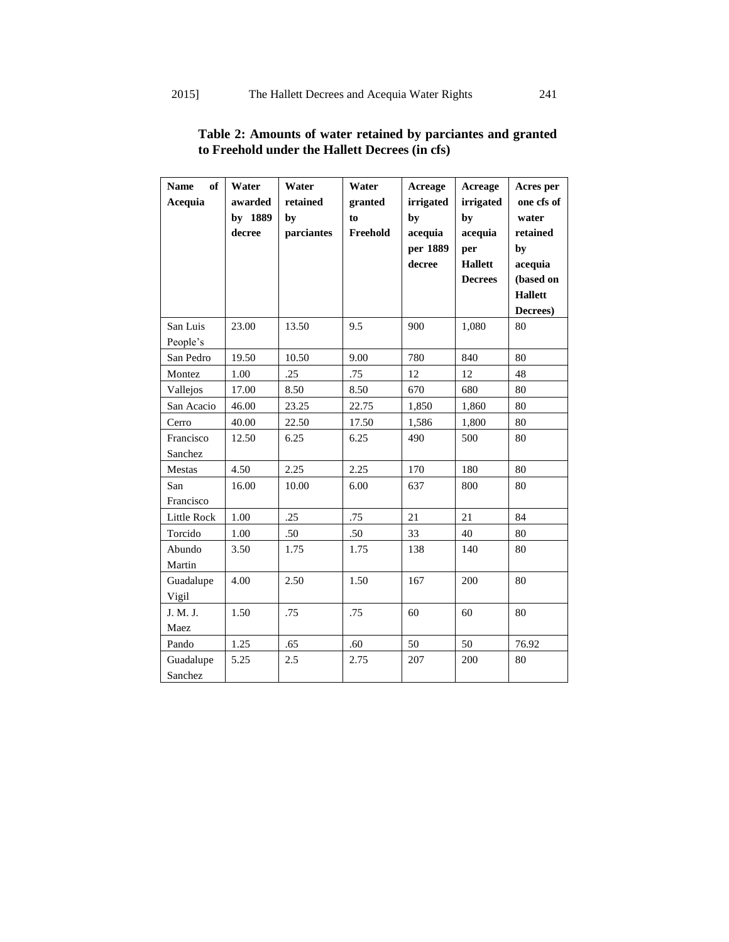| <b>Name</b><br>of<br>Acequia | Water<br>awarded<br>by 1889<br>decree | Water<br>retained<br>by<br>parciantes | Water<br>granted<br>to<br>Freehold | Acreage<br>irrigated<br>by<br>acequia<br>per 1889<br>decree | Acreage<br>irrigated<br>by<br>acequia<br>per<br><b>Hallett</b> | Acres per<br>one cfs of<br>water<br>retained<br>by<br>acequia |
|------------------------------|---------------------------------------|---------------------------------------|------------------------------------|-------------------------------------------------------------|----------------------------------------------------------------|---------------------------------------------------------------|
|                              |                                       |                                       |                                    |                                                             | <b>Decrees</b>                                                 | (based on                                                     |
|                              |                                       |                                       |                                    |                                                             |                                                                | <b>Hallett</b>                                                |
|                              |                                       |                                       |                                    |                                                             |                                                                | Decrees)                                                      |
| San Luis                     | 23.00                                 | 13.50                                 | 9.5                                | 900                                                         | 1,080                                                          | 80                                                            |
| People's                     |                                       |                                       |                                    |                                                             |                                                                |                                                               |
| San Pedro                    | 19.50                                 | 10.50                                 | 9.00                               | 780                                                         | 840                                                            | 80                                                            |
| Montez                       | 1.00                                  | .25                                   | .75                                | 12                                                          | 12                                                             | 48                                                            |
| Vallejos                     | 17.00                                 | 8.50                                  | 8.50                               | 670                                                         | 680                                                            | 80                                                            |
| San Acacio                   | 46.00                                 | 23.25                                 | 22.75                              | 1,850                                                       | 1,860                                                          | 80                                                            |
| Cerro                        | 40.00                                 | 22.50                                 | 17.50                              | 1,586                                                       | 1,800                                                          | 80                                                            |
| Francisco<br>Sanchez         | 12.50                                 | 6.25                                  | 6.25                               | 490                                                         | 500                                                            | 80                                                            |
| Mestas                       | 4.50                                  | 2.25                                  | 2.25                               | 170                                                         | 180                                                            | 80                                                            |
| San<br>Francisco             | 16.00                                 | 10.00                                 | 6.00                               | 637                                                         | 800                                                            | 80                                                            |
| Little Rock                  | 1.00                                  | .25                                   | .75                                | 21                                                          | 21                                                             | 84                                                            |
| Torcido                      | 1.00                                  | .50                                   | .50                                | 33                                                          | 40                                                             | 80                                                            |
| Abundo<br>Martin             | 3.50                                  | 1.75                                  | 1.75                               | 138                                                         | 140                                                            | 80                                                            |
| Guadalupe<br>Vigil           | 4.00                                  | 2.50                                  | 1.50                               | 167                                                         | 200                                                            | 80                                                            |
| J. M. J.<br>Maez             | 1.50                                  | .75                                   | .75                                | 60                                                          | 60                                                             | 80                                                            |
| Pando                        | 1.25                                  | .65                                   | .60                                | 50                                                          | 50                                                             | 76.92                                                         |
| Guadalupe<br>Sanchez         | 5.25                                  | 2.5                                   | 2.75                               | 207                                                         | 200                                                            | 80                                                            |

# **Table 2: Amounts of water retained by parciantes and granted to Freehold under the Hallett Decrees (in cfs)**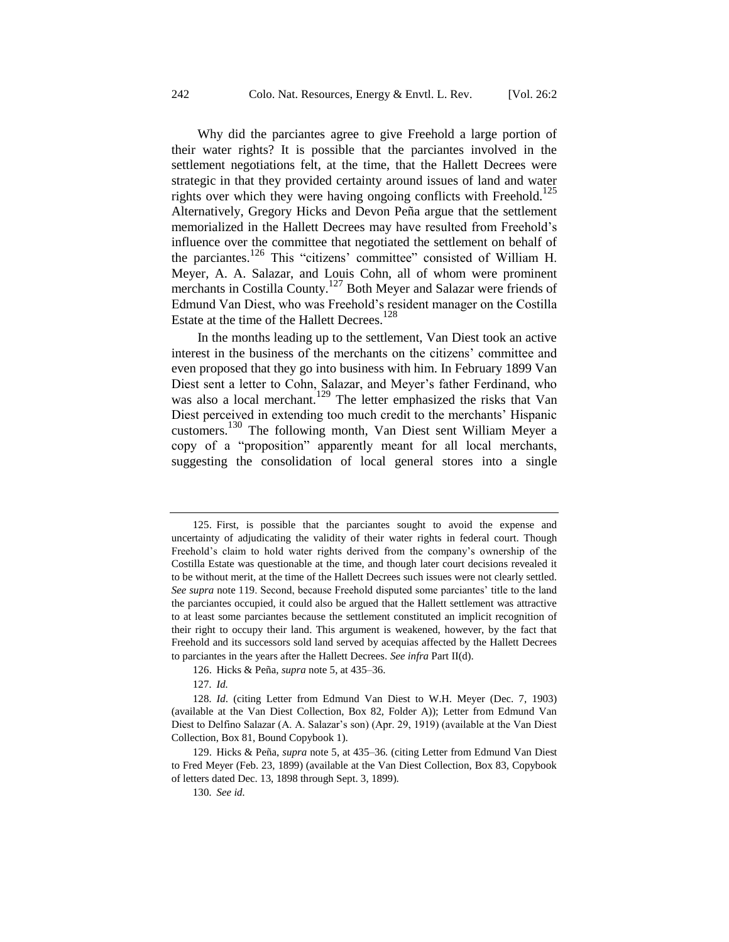Why did the parciantes agree to give Freehold a large portion of their water rights? It is possible that the parciantes involved in the settlement negotiations felt, at the time, that the Hallett Decrees were strategic in that they provided certainty around issues of land and water rights over which they were having ongoing conflicts with Freehold.<sup>125</sup> Alternatively, Gregory Hicks and Devon Peña argue that the settlement memorialized in the Hallett Decrees may have resulted from Freehold's influence over the committee that negotiated the settlement on behalf of the parciantes.<sup>126</sup> This "citizens' committee" consisted of William H. Meyer, A. A. Salazar, and Louis Cohn, all of whom were prominent merchants in Costilla County.<sup>127</sup> Both Meyer and Salazar were friends of Edmund Van Diest, who was Freehold's resident manager on the Costilla Estate at the time of the Hallett Decrees.<sup>128</sup>

In the months leading up to the settlement, Van Diest took an active interest in the business of the merchants on the citizens' committee and even proposed that they go into business with him. In February 1899 Van Diest sent a letter to Cohn, Salazar, and Meyer's father Ferdinand, who was also a local merchant.<sup>129</sup> The letter emphasized the risks that Van Diest perceived in extending too much credit to the merchants' Hispanic customers.<sup>130</sup> The following month, Van Diest sent William Meyer a copy of a "proposition" apparently meant for all local merchants, suggesting the consolidation of local general stores into a single

127*. Id.*

<sup>125.</sup> First, is possible that the parciantes sought to avoid the expense and uncertainty of adjudicating the validity of their water rights in federal court. Though Freehold's claim to hold water rights derived from the company's ownership of the Costilla Estate was questionable at the time, and though later court decisions revealed it to be without merit, at the time of the Hallett Decrees such issues were not clearly settled. *See supra* note [119.](#page-20-0) Second, because Freehold disputed some parciantes' title to the land the parciantes occupied, it could also be argued that the Hallett settlement was attractive to at least some parciantes because the settlement constituted an implicit recognition of their right to occupy their land. This argument is weakened, however, by the fact that Freehold and its successors sold land served by acequias affected by the Hallett Decrees to parciantes in the years after the Hallett Decrees. *See infra* Part II(d).

<sup>126.</sup> Hicks & Peña, *supra* not[e 5,](#page-3-1) at 435–36.

<sup>128</sup>*. Id*. (citing Letter from Edmund Van Diest to W.H. Meyer (Dec. 7, 1903) (available at the Van Diest Collection, Box 82, Folder A)); Letter from Edmund Van Diest to Delfino Salazar (A. A. Salazar's son) (Apr. 29, 1919) (available at the Van Diest Collection, Box 81, Bound Copybook 1).

<sup>129.</sup> Hicks & Peña, *supra* note [5,](#page-3-1) at 435–36*.* (citing Letter from Edmund Van Diest to Fred Meyer (Feb. 23, 1899) (available at the Van Diest Collection, Box 83, Copybook of letters dated Dec. 13, 1898 through Sept. 3, 1899).

<sup>130</sup>*. See id.*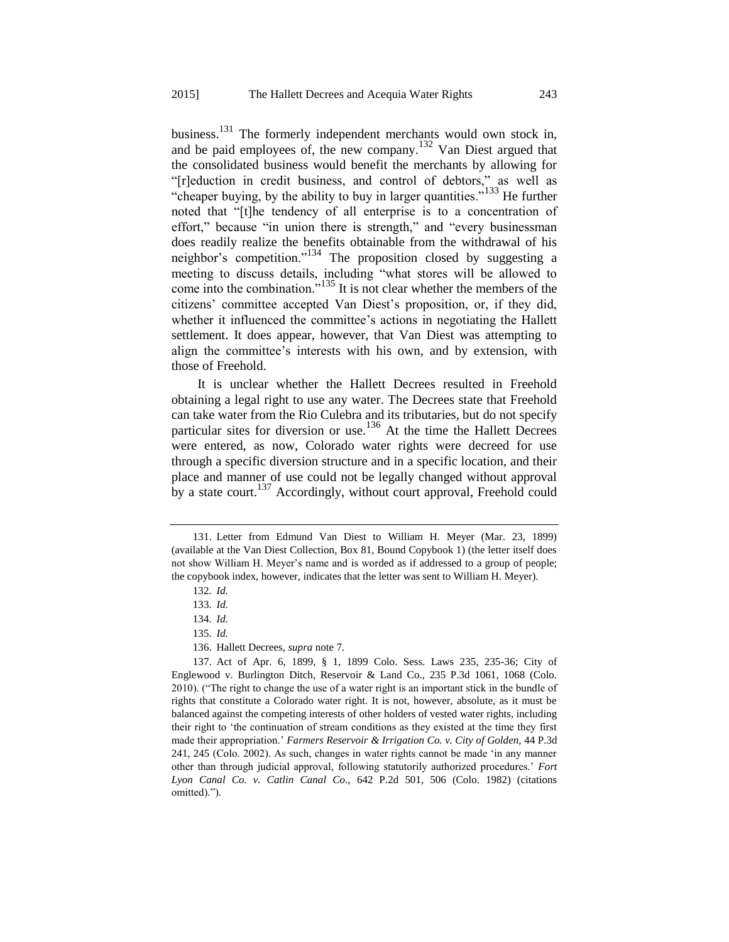business.<sup>131</sup> The formerly independent merchants would own stock in, and be paid employees of, the new company.<sup>132</sup> Van Diest argued that the consolidated business would benefit the merchants by allowing for "[r]eduction in credit business, and control of debtors," as well as "cheaper buying, by the ability to buy in larger quantities."<sup>133</sup> He further noted that "[t]he tendency of all enterprise is to a concentration of effort," because "in union there is strength," and "every businessman does readily realize the benefits obtainable from the withdrawal of his neighbor's competition."<sup>134</sup> The proposition closed by suggesting a meeting to discuss details, including "what stores will be allowed to come into the combination."<sup>135</sup> It is not clear whether the members of the citizens' committee accepted Van Diest's proposition, or, if they did, whether it influenced the committee's actions in negotiating the Hallett settlement. It does appear, however, that Van Diest was attempting to align the committee's interests with his own, and by extension, with those of Freehold.

It is unclear whether the Hallett Decrees resulted in Freehold obtaining a legal right to use any water. The Decrees state that Freehold can take water from the Rio Culebra and its tributaries, but do not specify particular sites for diversion or use.<sup>136</sup> At the time the Hallett Decrees were entered, as now, Colorado water rights were decreed for use through a specific diversion structure and in a specific location, and their place and manner of use could not be legally changed without approval by a state court.<sup>137</sup> Accordingly, without court approval, Freehold could

<sup>131.</sup> Letter from Edmund Van Diest to William H. Meyer (Mar. 23, 1899) (available at the Van Diest Collection, Box 81, Bound Copybook 1) (the letter itself does not show William H. Meyer's name and is worded as if addressed to a group of people; the copybook index, however, indicates that the letter was sent to William H. Meyer).

<sup>132</sup>*. Id.*

<sup>133</sup>*. Id.*

<sup>134</sup>*. Id.*

<sup>135</sup>*. Id.*

<sup>136.</sup> Hallett Decrees, *supra* not[e 7.](#page-4-0)

<sup>137.</sup> Act of Apr. 6, 1899, § 1, 1899 Colo. Sess. Laws 235, 235-36; City of Englewood v. Burlington Ditch, Reservoir & Land Co., 235 P.3d 1061, 1068 (Colo. 2010). ("The right to change the use of a water right is an important stick in the bundle of rights that constitute a Colorado water right. It is not, however, absolute, as it must be balanced against the competing interests of other holders of vested water rights, including their right to 'the continuation of stream conditions as they existed at the time they first made their appropriation.' *Farmers Reservoir & Irrigation Co. v. City of Golden,* 44 P.3d 241, 245 (Colo. 2002). As such, changes in water rights cannot be made 'in any manner other than through judicial approval, following statutorily authorized procedures.' *Fort Lyon Canal Co. v. Catlin Canal Co.,* 642 P.2d 501, 506 (Colo. 1982) (citations omitted).").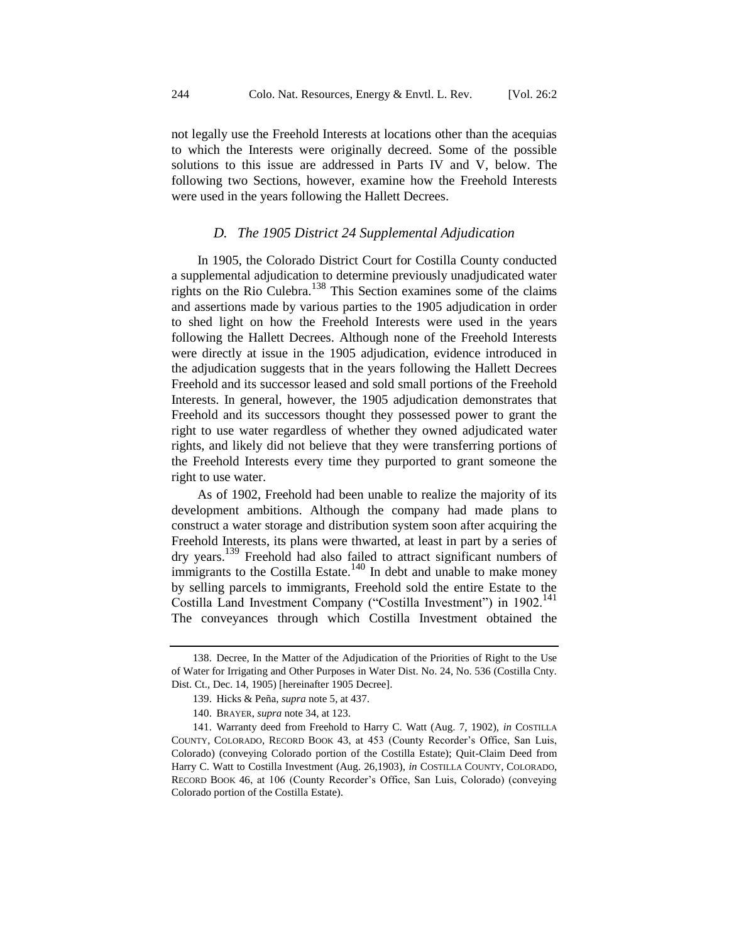not legally use the Freehold Interests at locations other than the acequias to which the Interests were originally decreed. Some of the possible solutions to this issue are addressed in Parts IV and V, below. The following two Sections, however, examine how the Freehold Interests were used in the years following the Hallett Decrees.

#### <span id="page-25-0"></span>*D. The 1905 District 24 Supplemental Adjudication*

In 1905, the Colorado District Court for Costilla County conducted a supplemental adjudication to determine previously unadjudicated water rights on the Rio Culebra.<sup>138</sup> This Section examines some of the claims and assertions made by various parties to the 1905 adjudication in order to shed light on how the Freehold Interests were used in the years following the Hallett Decrees. Although none of the Freehold Interests were directly at issue in the 1905 adjudication, evidence introduced in the adjudication suggests that in the years following the Hallett Decrees Freehold and its successor leased and sold small portions of the Freehold Interests. In general, however, the 1905 adjudication demonstrates that Freehold and its successors thought they possessed power to grant the right to use water regardless of whether they owned adjudicated water rights, and likely did not believe that they were transferring portions of the Freehold Interests every time they purported to grant someone the right to use water.

As of 1902, Freehold had been unable to realize the majority of its development ambitions. Although the company had made plans to construct a water storage and distribution system soon after acquiring the Freehold Interests, its plans were thwarted, at least in part by a series of dry years.<sup>139</sup> Freehold had also failed to attract significant numbers of immigrants to the Costilla Estate.<sup>140</sup> In debt and unable to make money by selling parcels to immigrants, Freehold sold the entire Estate to the Costilla Land Investment Company ("Costilla Investment") in 1902.<sup>141</sup> The conveyances through which Costilla Investment obtained the

<sup>138.</sup> Decree, In the Matter of the Adjudication of the Priorities of Right to the Use of Water for Irrigating and Other Purposes in Water Dist. No. 24, No. 536 (Costilla Cnty. Dist. Ct., Dec. 14, 1905) [hereinafter 1905 Decree].

<span id="page-25-1"></span><sup>139.</sup> Hicks & Peña, *supra* not[e 5,](#page-3-1) at 437.

<sup>140.</sup> BRAYER, *supra* not[e 34,](#page-8-0) at 123.

<sup>141.</sup> Warranty deed from Freehold to Harry C. Watt (Aug. 7, 1902), *in* COSTILLA COUNTY, COLORADO, RECORD BOOK 43, at 453 (County Recorder's Office, San Luis, Colorado) (conveying Colorado portion of the Costilla Estate); Quit-Claim Deed from Harry C. Watt to Costilla Investment (Aug. 26,1903), *in* COSTILLA COUNTY, COLORADO, RECORD BOOK 46, at 106 (County Recorder's Office, San Luis, Colorado) (conveying Colorado portion of the Costilla Estate).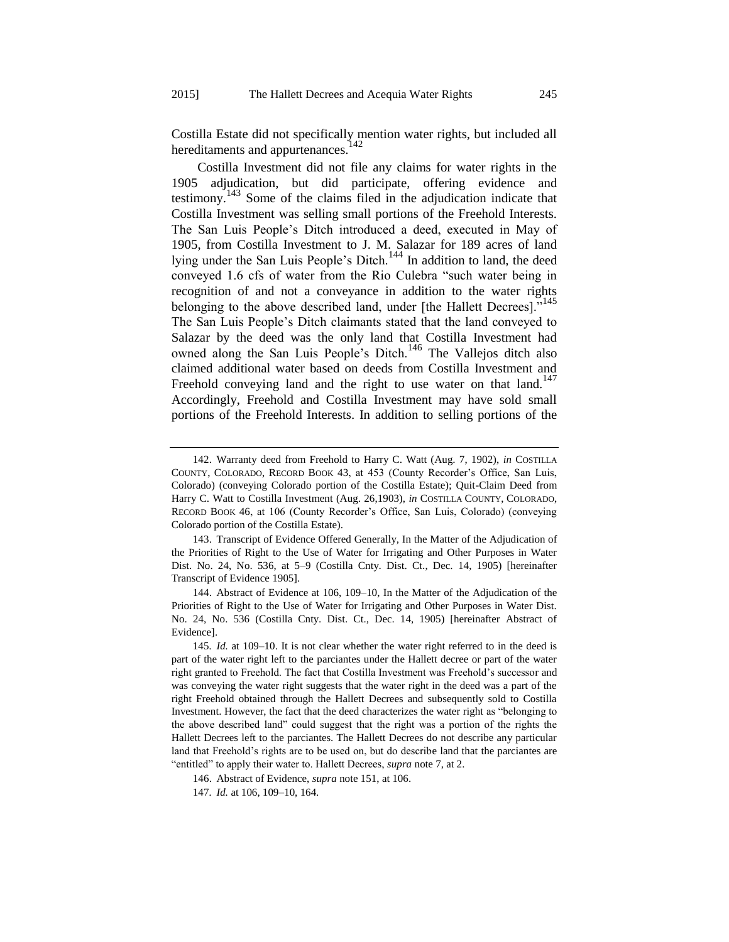<span id="page-26-1"></span>Costilla Estate did not specifically mention water rights, but included all hereditaments and appurtenances.<sup>142</sup>

<span id="page-26-0"></span>Costilla Investment did not file any claims for water rights in the 1905 adjudication, but did participate, offering evidence and testimony.<sup>143</sup> Some of the claims filed in the adjudication indicate that Costilla Investment was selling small portions of the Freehold Interests. The San Luis People's Ditch introduced a deed, executed in May of 1905, from Costilla Investment to J. M. Salazar for 189 acres of land lying under the San Luis People's Ditch.<sup>144</sup> In addition to land, the deed conveyed 1.6 cfs of water from the Rio Culebra "such water being in recognition of and not a conveyance in addition to the water rights belonging to the above described land, under [the Hallett Decrees]."<sup>145</sup> The San Luis People's Ditch claimants stated that the land conveyed to Salazar by the deed was the only land that Costilla Investment had owned along the San Luis People's Ditch.<sup>146</sup> The Vallejos ditch also claimed additional water based on deeds from Costilla Investment and Freehold conveying land and the right to use water on that land.<sup>147</sup> Accordingly, Freehold and Costilla Investment may have sold small portions of the Freehold Interests. In addition to selling portions of the

143. Transcript of Evidence Offered Generally, In the Matter of the Adjudication of the Priorities of Right to the Use of Water for Irrigating and Other Purposes in Water Dist. No. 24, No. 536, at 5–9 (Costilla Cnty. Dist. Ct., Dec. 14, 1905) [hereinafter Transcript of Evidence 1905].

144. Abstract of Evidence at 106, 109–10, In the Matter of the Adjudication of the Priorities of Right to the Use of Water for Irrigating and Other Purposes in Water Dist. No. 24, No. 536 (Costilla Cnty. Dist. Ct., Dec. 14, 1905) [hereinafter Abstract of Evidence].

<sup>142.</sup> Warranty deed from Freehold to Harry C. Watt (Aug. 7, 1902), *in* COSTILLA COUNTY, COLORADO, RECORD BOOK 43, at 453 (County Recorder's Office, San Luis, Colorado) (conveying Colorado portion of the Costilla Estate); Quit-Claim Deed from Harry C. Watt to Costilla Investment (Aug. 26,1903), *in* COSTILLA COUNTY, COLORADO, RECORD BOOK 46, at 106 (County Recorder's Office, San Luis, Colorado) (conveying Colorado portion of the Costilla Estate).

<sup>145</sup>*. Id.* at 109–10. It is not clear whether the water right referred to in the deed is part of the water right left to the parciantes under the Hallett decree or part of the water right granted to Freehold. The fact that Costilla Investment was Freehold's successor and was conveying the water right suggests that the water right in the deed was a part of the right Freehold obtained through the Hallett Decrees and subsequently sold to Costilla Investment. However, the fact that the deed characterizes the water right as "belonging to the above described land" could suggest that the right was a portion of the rights the Hallett Decrees left to the parciantes. The Hallett Decrees do not describe any particular land that Freehold's rights are to be used on, but do describe land that the parciantes are "entitled" to apply their water to. Hallett Decrees, *supra* note [7,](#page-4-0) at 2.

<sup>146.</sup> Abstract of Evidence, *supra* not[e 151,](#page-27-0) at 106.

<sup>147</sup>*. Id.* at 106, 109–10, 164.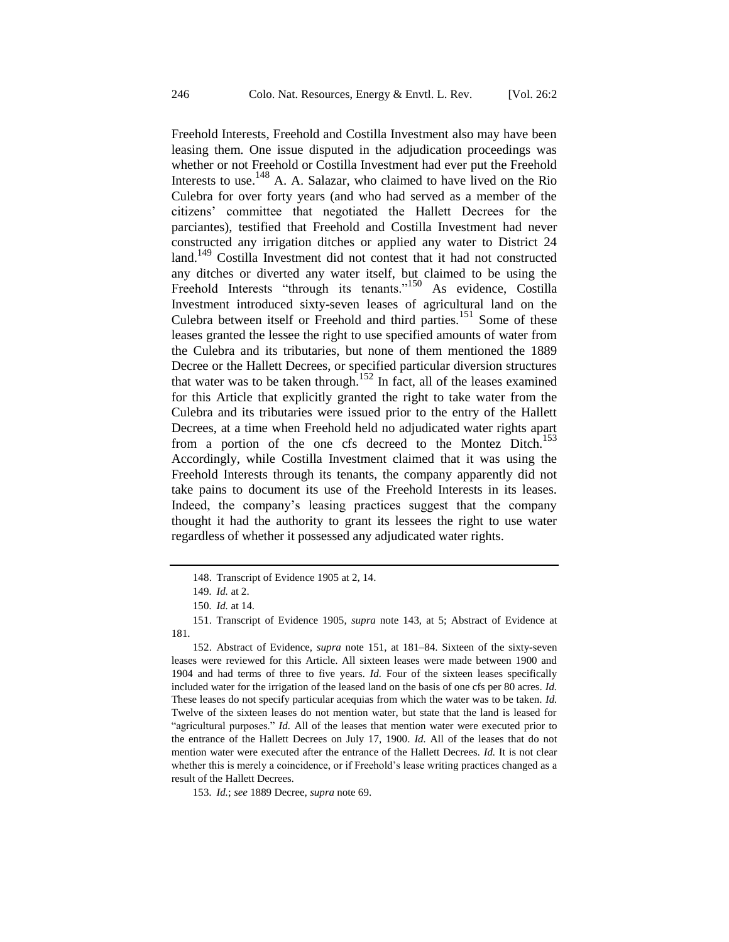<span id="page-27-0"></span>Freehold Interests, Freehold and Costilla Investment also may have been leasing them. One issue disputed in the adjudication proceedings was whether or not Freehold or Costilla Investment had ever put the Freehold Interests to use.<sup>148</sup> A. A. Salazar, who claimed to have lived on the Rio Culebra for over forty years (and who had served as a member of the citizens' committee that negotiated the Hallett Decrees for the parciantes), testified that Freehold and Costilla Investment had never constructed any irrigation ditches or applied any water to District 24 land.<sup>149</sup> Costilla Investment did not contest that it had not constructed any ditches or diverted any water itself, but claimed to be using the Freehold Interests "through its tenants."<sup>150</sup> As evidence, Costilla Investment introduced sixty-seven leases of agricultural land on the Culebra between itself or Freehold and third parties.<sup>151</sup> Some of these leases granted the lessee the right to use specified amounts of water from the Culebra and its tributaries, but none of them mentioned the 1889 Decree or the Hallett Decrees, or specified particular diversion structures that water was to be taken through.<sup>152</sup> In fact, all of the leases examined for this Article that explicitly granted the right to take water from the Culebra and its tributaries were issued prior to the entry of the Hallett Decrees, at a time when Freehold held no adjudicated water rights apart from a portion of the one cfs decreed to the Montez Ditch.<sup>153</sup> Accordingly, while Costilla Investment claimed that it was using the Freehold Interests through its tenants, the company apparently did not take pains to document its use of the Freehold Interests in its leases. Indeed, the company's leasing practices suggest that the company thought it had the authority to grant its lessees the right to use water regardless of whether it possessed any adjudicated water rights.

<sup>148.</sup> Transcript of Evidence 1905 at 2, 14.

<sup>149</sup>*. Id.* at 2.

<sup>150</sup>*. Id.* at 14.

<sup>151.</sup> Transcript of Evidence 1905, *supra* note [143,](#page-26-0) at 5; Abstract of Evidence at 181.

<sup>152.</sup> Abstract of Evidence, *supra* note [151,](#page-27-0) at 181–84. Sixteen of the sixty-seven leases were reviewed for this Article. All sixteen leases were made between 1900 and 1904 and had terms of three to five years. *Id.* Four of the sixteen leases specifically included water for the irrigation of the leased land on the basis of one cfs per 80 acres. *Id.* These leases do not specify particular acequias from which the water was to be taken. *Id.* Twelve of the sixteen leases do not mention water, but state that the land is leased for "agricultural purposes." *Id.* All of the leases that mention water were executed prior to the entrance of the Hallett Decrees on July 17, 1900. *Id.* All of the leases that do not mention water were executed after the entrance of the Hallett Decrees. *Id.* It is not clear whether this is merely a coincidence, or if Freehold's lease writing practices changed as a result of the Hallett Decrees.

<sup>153</sup>*. Id.*; *see* 1889 Decree, *supra* not[e 69.](#page-12-0)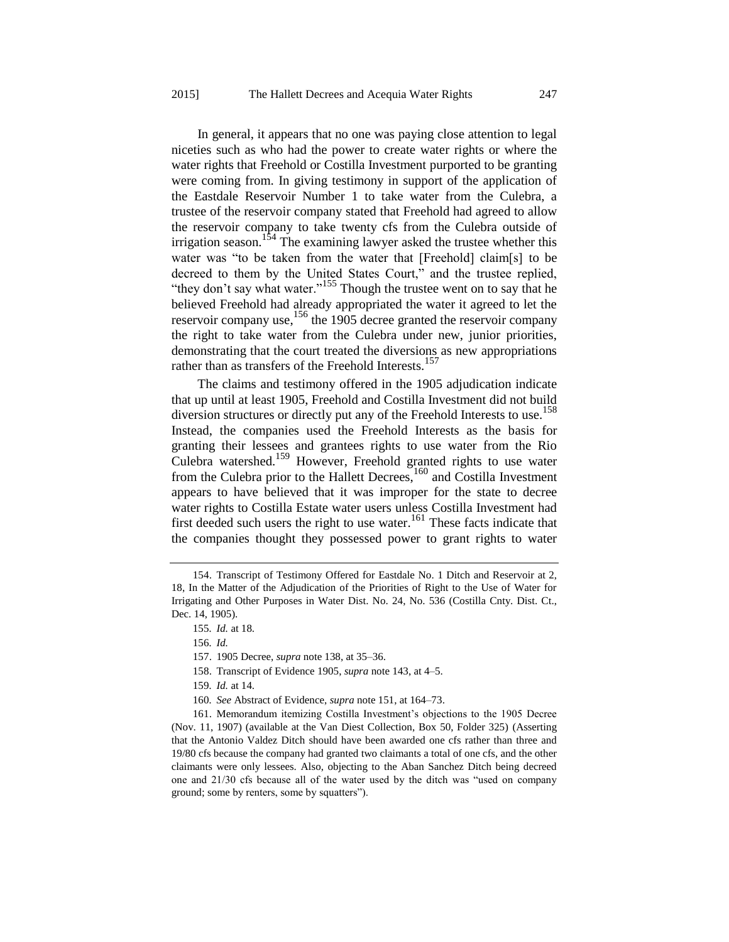In general, it appears that no one was paying close attention to legal niceties such as who had the power to create water rights or where the water rights that Freehold or Costilla Investment purported to be granting were coming from. In giving testimony in support of the application of the Eastdale Reservoir Number 1 to take water from the Culebra, a trustee of the reservoir company stated that Freehold had agreed to allow the reservoir company to take twenty cfs from the Culebra outside of irrigation season.<sup>154</sup> The examining lawyer asked the trustee whether this water was "to be taken from the water that [Freehold] claim[s] to be decreed to them by the United States Court," and the trustee replied, "they don't say what water."<sup>155</sup> Though the trustee went on to say that he believed Freehold had already appropriated the water it agreed to let the reservoir company use,<sup>156</sup> the 1905 decree granted the reservoir company the right to take water from the Culebra under new, junior priorities, demonstrating that the court treated the diversions as new appropriations rather than as transfers of the Freehold Interests.<sup>157</sup>

The claims and testimony offered in the 1905 adjudication indicate that up until at least 1905, Freehold and Costilla Investment did not build diversion structures or directly put any of the Freehold Interests to use.<sup>158</sup> Instead, the companies used the Freehold Interests as the basis for granting their lessees and grantees rights to use water from the Rio Culebra watershed.<sup>159</sup> However, Freehold granted rights to use water from the Culebra prior to the Hallett Decrees,<sup>160</sup> and Costilla Investment appears to have believed that it was improper for the state to decree water rights to Costilla Estate water users unless Costilla Investment had first deeded such users the right to use water.<sup>161</sup> These facts indicate that the companies thought they possessed power to grant rights to water

<sup>154.</sup> Transcript of Testimony Offered for Eastdale No. 1 Ditch and Reservoir at 2, 18, In the Matter of the Adjudication of the Priorities of Right to the Use of Water for Irrigating and Other Purposes in Water Dist. No. 24, No. 536 (Costilla Cnty. Dist. Ct., Dec. 14, 1905).

<sup>155</sup>*. Id.* at 18.

<sup>156</sup>*. Id.*

<sup>157.</sup> 1905 Decree, *supra* not[e 138,](#page-25-0) at 35–36.

<sup>158.</sup> Transcript of Evidence 1905, *supra* not[e 143,](#page-26-0) at 4–5.

<sup>159</sup>*. Id.* at 14.

<sup>160</sup>*. See* Abstract of Evidence, *supra* not[e 151,](#page-27-0) at 164–73.

<sup>161.</sup> Memorandum itemizing Costilla Investment's objections to the 1905 Decree (Nov. 11, 1907) (available at the Van Diest Collection, Box 50, Folder 325) (Asserting that the Antonio Valdez Ditch should have been awarded one cfs rather than three and 19/80 cfs because the company had granted two claimants a total of one cfs, and the other claimants were only lessees. Also, objecting to the Aban Sanchez Ditch being decreed one and 21/30 cfs because all of the water used by the ditch was "used on company ground; some by renters, some by squatters").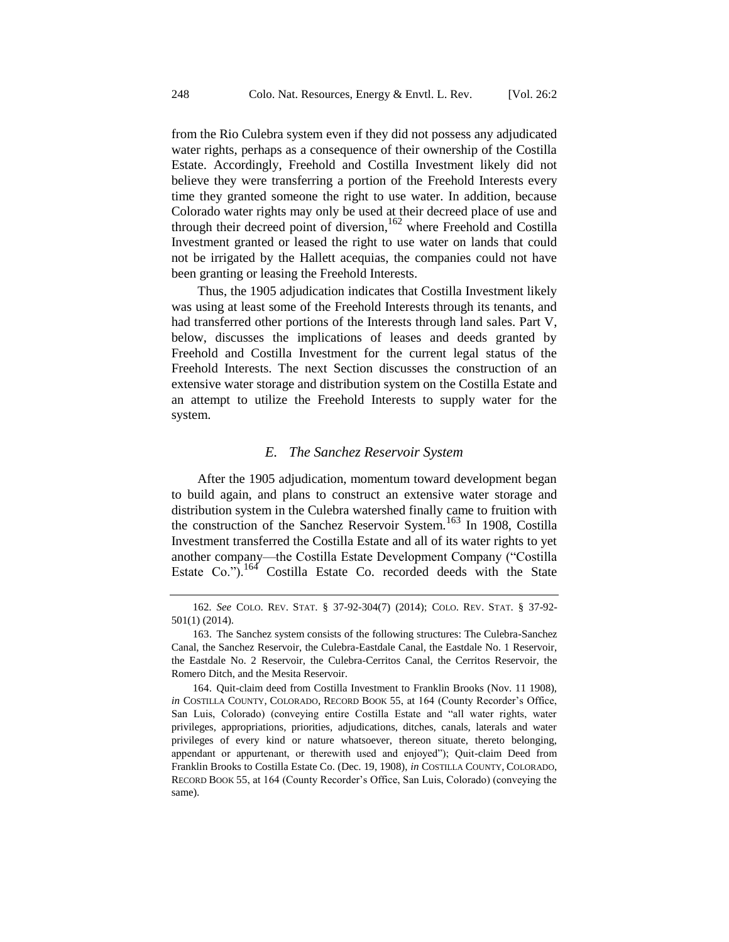from the Rio Culebra system even if they did not possess any adjudicated water rights, perhaps as a consequence of their ownership of the Costilla Estate. Accordingly, Freehold and Costilla Investment likely did not believe they were transferring a portion of the Freehold Interests every time they granted someone the right to use water. In addition, because Colorado water rights may only be used at their decreed place of use and through their decreed point of diversion,  $162$  where Freehold and Costilla Investment granted or leased the right to use water on lands that could not be irrigated by the Hallett acequias, the companies could not have been granting or leasing the Freehold Interests.

Thus, the 1905 adjudication indicates that Costilla Investment likely was using at least some of the Freehold Interests through its tenants, and had transferred other portions of the Interests through land sales. Part V, below, discusses the implications of leases and deeds granted by Freehold and Costilla Investment for the current legal status of the Freehold Interests. The next Section discusses the construction of an extensive water storage and distribution system on the Costilla Estate and an attempt to utilize the Freehold Interests to supply water for the system.

#### *E. The Sanchez Reservoir System*

After the 1905 adjudication, momentum toward development began to build again, and plans to construct an extensive water storage and distribution system in the Culebra watershed finally came to fruition with the construction of the Sanchez Reservoir System.<sup>163</sup> In 1908, Costilla Investment transferred the Costilla Estate and all of its water rights to yet another company—the Costilla Estate Development Company ("Costilla Estate Co.").<sup>164</sup> Costilla Estate Co. recorded deeds with the State

<sup>162</sup>*. See* COLO. REV. STAT. § 37-92-304(7) (2014); COLO. REV. STAT. § 37-92- 501(1) (2014).

<sup>163.</sup> The Sanchez system consists of the following structures: The Culebra-Sanchez Canal, the Sanchez Reservoir, the Culebra-Eastdale Canal, the Eastdale No. 1 Reservoir, the Eastdale No. 2 Reservoir, the Culebra-Cerritos Canal, the Cerritos Reservoir, the Romero Ditch, and the Mesita Reservoir.

<sup>164.</sup> Quit-claim deed from Costilla Investment to Franklin Brooks (Nov. 11 1908), *in* COSTILLA COUNTY, COLORADO, RECORD BOOK 55, at 164 (County Recorder's Office, San Luis, Colorado) (conveying entire Costilla Estate and "all water rights, water privileges, appropriations, priorities, adjudications, ditches, canals, laterals and water privileges of every kind or nature whatsoever, thereon situate, thereto belonging, appendant or appurtenant, or therewith used and enjoyed"); Quit-claim Deed from Franklin Brooks to Costilla Estate Co. (Dec. 19, 1908), *in* COSTILLA COUNTY, COLORADO, RECORD BOOK 55, at 164 (County Recorder's Office, San Luis, Colorado) (conveying the same).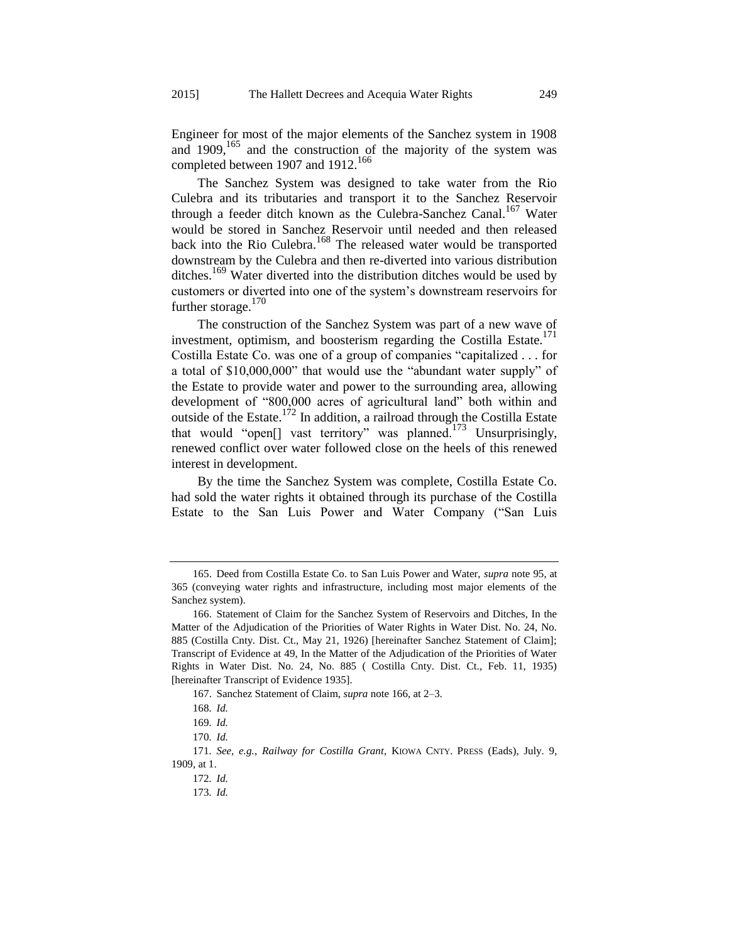Engineer for most of the major elements of the Sanchez system in 1908 and 1909,<sup>165</sup> and the construction of the majority of the system was completed between 1907 and 1912.<sup>166</sup>

<span id="page-30-0"></span>The Sanchez System was designed to take water from the Rio Culebra and its tributaries and transport it to the Sanchez Reservoir through a feeder ditch known as the Culebra-Sanchez Canal.<sup>167</sup> Water would be stored in Sanchez Reservoir until needed and then released back into the Rio Culebra.<sup>168</sup> The released water would be transported downstream by the Culebra and then re-diverted into various distribution ditches.<sup>169</sup> Water diverted into the distribution ditches would be used by customers or diverted into one of the system's downstream reservoirs for further storage.<sup>170</sup>

The construction of the Sanchez System was part of a new wave of investment, optimism, and boosterism regarding the Costilla Estate.<sup>171</sup> Costilla Estate Co. was one of a group of companies "capitalized . . . for a total of \$10,000,000" that would use the "abundant water supply" of the Estate to provide water and power to the surrounding area, allowing development of "800,000 acres of agricultural land" both within and outside of the Estate.<sup>172</sup> In addition, a railroad through the Costilla Estate that would "open[] vast territory" was planned.<sup>173</sup> Unsurprisingly, renewed conflict over water followed close on the heels of this renewed interest in development.

By the time the Sanchez System was complete, Costilla Estate Co. had sold the water rights it obtained through its purchase of the Costilla Estate to the San Luis Power and Water Company ("San Luis

<sup>165.</sup> Deed from Costilla Estate Co. to San Luis Power and Water, *supra* not[e 95,](#page-16-0) at 365 (conveying water rights and infrastructure, including most major elements of the Sanchez system).

<sup>166.</sup> Statement of Claim for the Sanchez System of Reservoirs and Ditches, In the Matter of the Adjudication of the Priorities of Water Rights in Water Dist. No. 24, No. 885 (Costilla Cnty. Dist. Ct., May 21, 1926) [hereinafter Sanchez Statement of Claim]; Transcript of Evidence at 49, In the Matter of the Adjudication of the Priorities of Water Rights in Water Dist. No. 24, No. 885 ( Costilla Cnty. Dist. Ct., Feb. 11, 1935) [hereinafter Transcript of Evidence 1935].

<sup>167.</sup> Sanchez Statement of Claim, *supra* note [166,](#page-30-0) at 2–3.

<sup>168</sup>*. Id.*

<sup>169</sup>*. Id.*

<sup>170</sup>*. Id.*

<sup>171</sup>*. See, e.g.*, *Railway for Costilla Grant*, KIOWA CNTY. PRESS (Eads), July. 9, 1909, at 1.

<sup>172</sup>*. Id.*

<sup>173</sup>*. Id.*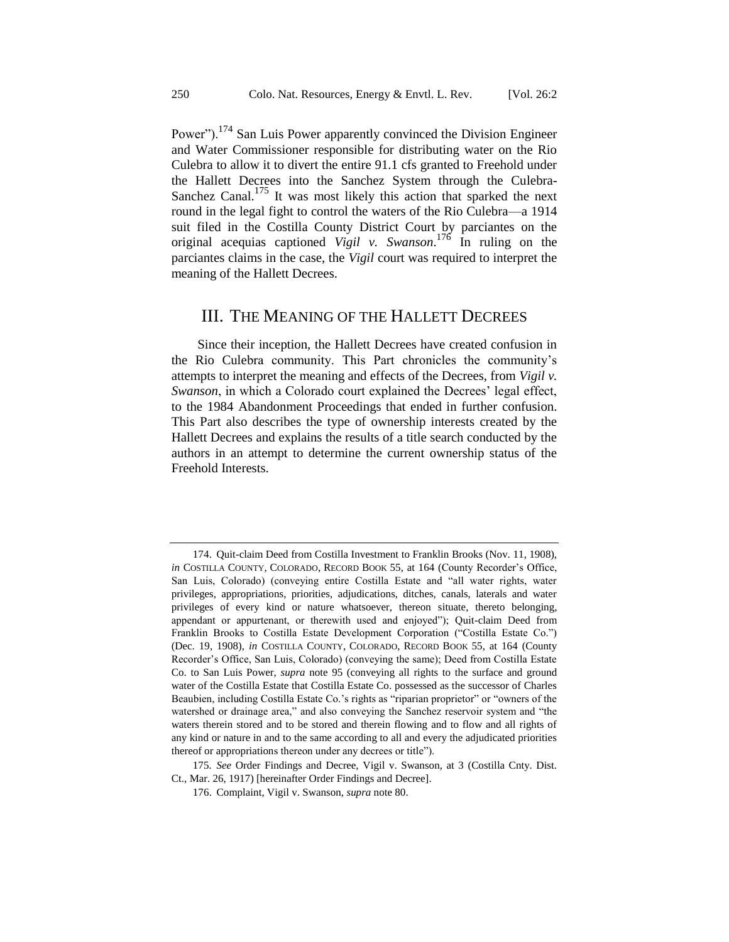<span id="page-31-0"></span>Power").<sup>174</sup> San Luis Power apparently convinced the Division Engineer and Water Commissioner responsible for distributing water on the Rio Culebra to allow it to divert the entire 91.1 cfs granted to Freehold under the Hallett Decrees into the Sanchez System through the Culebra-Sanchez Canal.<sup>175</sup> It was most likely this action that sparked the next round in the legal fight to control the waters of the Rio Culebra—a 1914 suit filed in the Costilla County District Court by parciantes on the original acequias captioned *Vigil v. Swanson*. <sup>176</sup> In ruling on the parciantes claims in the case, the *Vigil* court was required to interpret the meaning of the Hallett Decrees.

### III. THE MEANING OF THE HALLETT DECREES

Since their inception, the Hallett Decrees have created confusion in the Rio Culebra community. This Part chronicles the community's attempts to interpret the meaning and effects of the Decrees, from *Vigil v. Swanson*, in which a Colorado court explained the Decrees' legal effect, to the 1984 Abandonment Proceedings that ended in further confusion. This Part also describes the type of ownership interests created by the Hallett Decrees and explains the results of a title search conducted by the authors in an attempt to determine the current ownership status of the Freehold Interests.

<sup>174.</sup> Quit-claim Deed from Costilla Investment to Franklin Brooks (Nov. 11, 1908), *in* COSTILLA COUNTY, COLORADO, RECORD BOOK 55, at 164 (County Recorder's Office, San Luis, Colorado) (conveying entire Costilla Estate and "all water rights, water privileges, appropriations, priorities, adjudications, ditches, canals, laterals and water privileges of every kind or nature whatsoever, thereon situate, thereto belonging, appendant or appurtenant, or therewith used and enjoyed"); Quit-claim Deed from Franklin Brooks to Costilla Estate Development Corporation ("Costilla Estate Co.") (Dec. 19, 1908), *in* COSTILLA COUNTY, COLORADO, RECORD BOOK 55, at 164 (County Recorder's Office, San Luis, Colorado) (conveying the same); Deed from Costilla Estate Co. to San Luis Power, *supra* note [95](#page-16-0) (conveying all rights to the surface and ground water of the Costilla Estate that Costilla Estate Co. possessed as the successor of Charles Beaubien, including Costilla Estate Co.'s rights as "riparian proprietor" or "owners of the watershed or drainage area," and also conveying the Sanchez reservoir system and "the waters therein stored and to be stored and therein flowing and to flow and all rights of any kind or nature in and to the same according to all and every the adjudicated priorities thereof or appropriations thereon under any decrees or title").

<sup>175</sup>*. See* Order Findings and Decree, Vigil v. Swanson, at 3 (Costilla Cnty. Dist. Ct., Mar. 26, 1917) [hereinafter Order Findings and Decree].

<sup>176.</sup> Complaint, Vigil v. Swanson, *supra* not[e 80.](#page-13-0)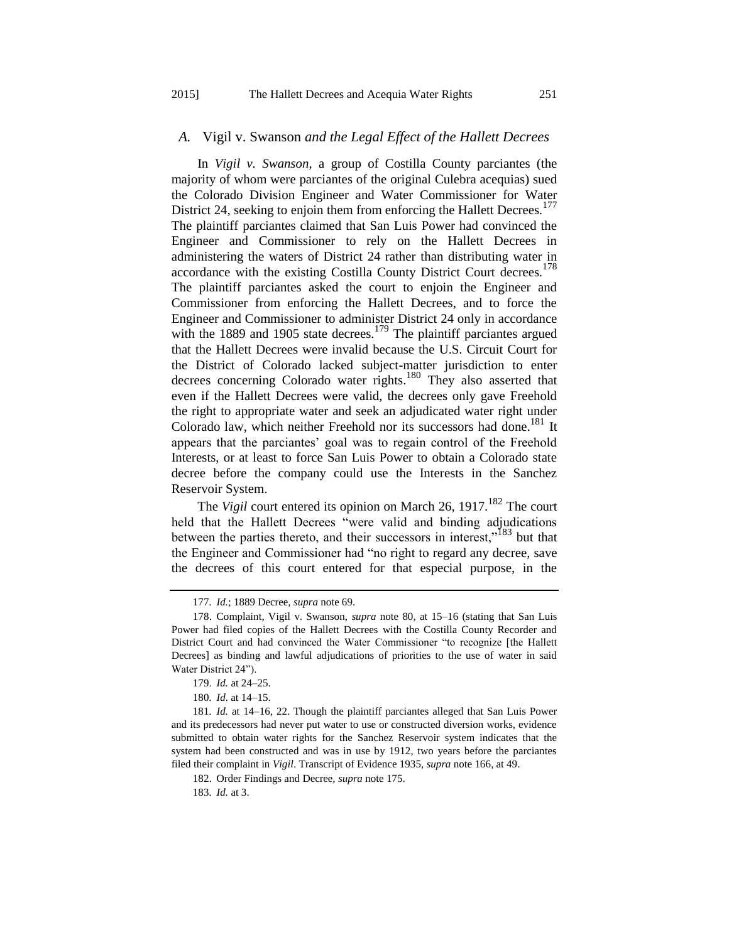#### *A.* Vigil v. Swanson *and the Legal Effect of the Hallett Decrees*

In *Vigil v. Swanson*, a group of Costilla County parciantes (the majority of whom were parciantes of the original Culebra acequias) sued the Colorado Division Engineer and Water Commissioner for Water District 24, seeking to enjoin them from enforcing the Hallett Decrees.<sup>177</sup> The plaintiff parciantes claimed that San Luis Power had convinced the Engineer and Commissioner to rely on the Hallett Decrees in administering the waters of District 24 rather than distributing water in accordance with the existing Costilla County District Court decrees.<sup>178</sup> The plaintiff parciantes asked the court to enjoin the Engineer and Commissioner from enforcing the Hallett Decrees, and to force the Engineer and Commissioner to administer District 24 only in accordance with the 1889 and 1905 state decrees.<sup>179</sup> The plaintiff parciantes argued that the Hallett Decrees were invalid because the U.S. Circuit Court for the District of Colorado lacked subject-matter jurisdiction to enter decrees concerning Colorado water rights.<sup>180</sup> They also asserted that even if the Hallett Decrees were valid, the decrees only gave Freehold the right to appropriate water and seek an adjudicated water right under Colorado law, which neither Freehold nor its successors had done.<sup>181</sup> It appears that the parciantes' goal was to regain control of the Freehold Interests, or at least to force San Luis Power to obtain a Colorado state decree before the company could use the Interests in the Sanchez Reservoir System.

The *Vigil* court entered its opinion on March 26, 1917.<sup>182</sup> The court held that the Hallett Decrees "were valid and binding adjudications" between the parties thereto, and their successors in interest.<sup>183</sup> but that the Engineer and Commissioner had "no right to regard any decree, save the decrees of this court entered for that especial purpose, in the

<sup>177</sup>*. Id.*; 1889 Decree, *supra* not[e 69.](#page-12-0)

<sup>178.</sup> Complaint, Vigil v. Swanson, *supra* note [80,](#page-13-0) at 15–16 (stating that San Luis Power had filed copies of the Hallett Decrees with the Costilla County Recorder and District Court and had convinced the Water Commissioner "to recognize [the Hallett Decrees] as binding and lawful adjudications of priorities to the use of water in said Water District 24").

<sup>179</sup>*. Id.* at 24–25.

<sup>180</sup>*. Id*. at 14–15.

<sup>181</sup>*. Id.* at 14–16, 22. Though the plaintiff parciantes alleged that San Luis Power and its predecessors had never put water to use or constructed diversion works, evidence submitted to obtain water rights for the Sanchez Reservoir system indicates that the system had been constructed and was in use by 1912, two years before the parciantes filed their complaint in *Vigil*. Transcript of Evidence 1935, *supra* not[e 166,](#page-30-0) at 49.

<sup>182.</sup> Order Findings and Decree, *supra* not[e 175.](#page-31-0)

<sup>183</sup>*. Id.* at 3.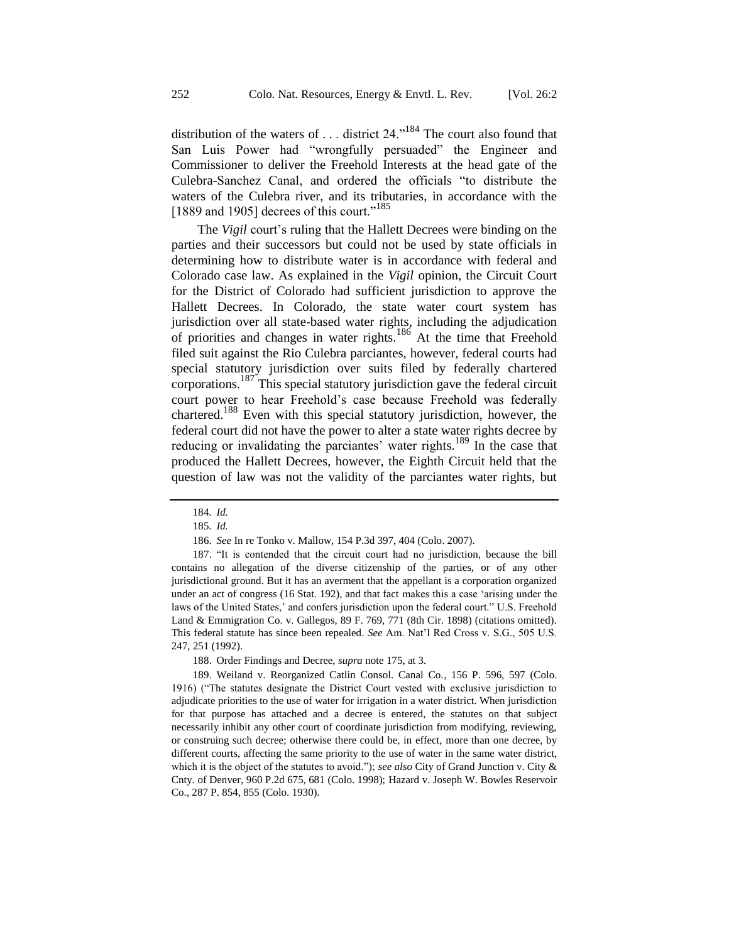distribution of the waters of  $\dots$  district 24.<sup> $n^{184}$ </sup> The court also found that San Luis Power had "wrongfully persuaded" the Engineer and Commissioner to deliver the Freehold Interests at the head gate of the Culebra-Sanchez Canal, and ordered the officials "to distribute the waters of the Culebra river, and its tributaries, in accordance with the [1889 and 1905] decrees of this court."<sup>185</sup>

The *Vigil* court's ruling that the Hallett Decrees were binding on the parties and their successors but could not be used by state officials in determining how to distribute water is in accordance with federal and Colorado case law. As explained in the *Vigil* opinion, the Circuit Court for the District of Colorado had sufficient jurisdiction to approve the Hallett Decrees. In Colorado, the state water court system has jurisdiction over all state-based water rights, including the adjudication of priorities and changes in water rights.<sup>186</sup> At the time that Freehold filed suit against the Rio Culebra parciantes, however, federal courts had special statutory jurisdiction over suits filed by federally chartered corporations.<sup>187</sup> This special statutory jurisdiction gave the federal circuit court power to hear Freehold's case because Freehold was federally chartered.<sup>188</sup> Even with this special statutory jurisdiction, however, the federal court did not have the power to alter a state water rights decree by reducing or invalidating the parciantes' water rights.<sup>189</sup> In the case that produced the Hallett Decrees, however, the Eighth Circuit held that the question of law was not the validity of the parciantes water rights, but

187. "It is contended that the circuit court had no jurisdiction, because the bill contains no allegation of the diverse citizenship of the parties, or of any other jurisdictional ground. But it has an averment that the appellant is a corporation organized under an act of congress (16 Stat. 192), and that fact makes this a case 'arising under the laws of the United States,' and confers jurisdiction upon the federal court." U.S. Freehold Land & Emmigration Co. v. Gallegos, 89 F. 769, 771 (8th Cir. 1898) (citations omitted). This federal statute has since been repealed. *See* Am. Nat'l Red Cross v. S.G., 505 U.S. 247, 251 (1992).

188. Order Findings and Decree, *supra* not[e 175,](#page-31-0) at 3.

189. Weiland v. Reorganized Catlin Consol. Canal Co.*,* 156 P. 596, 597 (Colo. 1916) ("The statutes designate the District Court vested with exclusive jurisdiction to adjudicate priorities to the use of water for irrigation in a water district. When jurisdiction for that purpose has attached and a decree is entered, the statutes on that subject necessarily inhibit any other court of coordinate jurisdiction from modifying, reviewing, or construing such decree; otherwise there could be, in effect, more than one decree, by different courts, affecting the same priority to the use of water in the same water district, which it is the object of the statutes to avoid."); *see also* City of Grand Junction v. City & Cnty. of Denver, 960 P.2d 675, 681 (Colo. 1998); Hazard v. Joseph W. Bowles Reservoir Co., 287 P. 854, 855 (Colo. 1930).

<sup>184</sup>*. Id.*

<sup>185</sup>*. Id.*

<sup>186</sup>*. See* In re Tonko v. Mallow, 154 P.3d 397, 404 (Colo. 2007).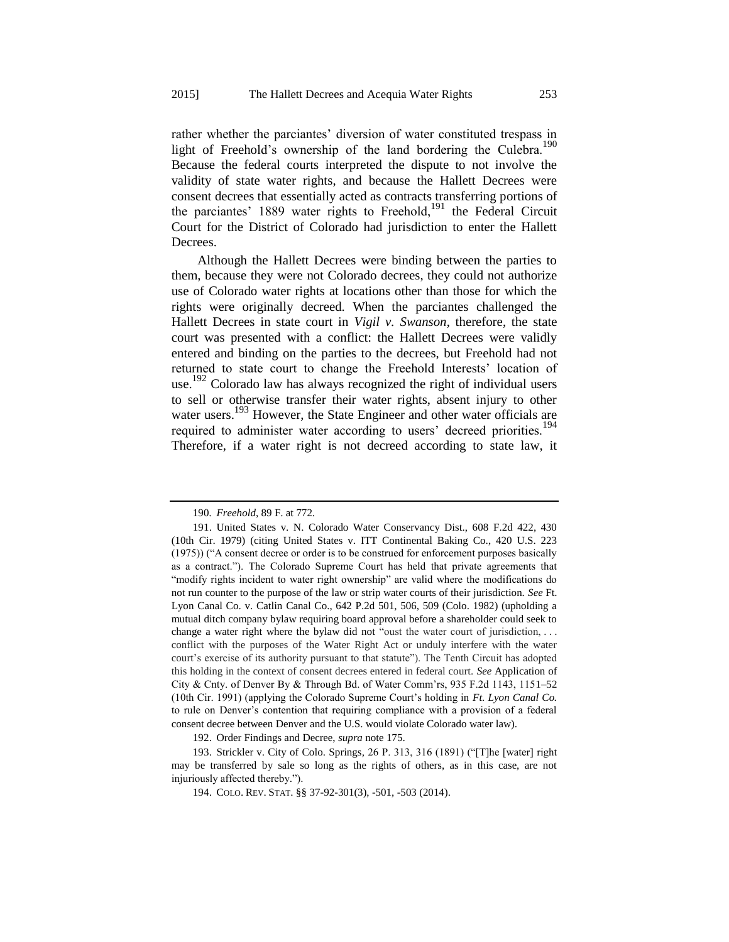rather whether the parciantes' diversion of water constituted trespass in light of Freehold's ownership of the land bordering the Culebra.<sup>190</sup> Because the federal courts interpreted the dispute to not involve the validity of state water rights, and because the Hallett Decrees were consent decrees that essentially acted as contracts transferring portions of the parciantes' 1889 water rights to Freehold,<sup>191</sup> the Federal Circuit Court for the District of Colorado had jurisdiction to enter the Hallett Decrees.

Although the Hallett Decrees were binding between the parties to them, because they were not Colorado decrees, they could not authorize use of Colorado water rights at locations other than those for which the rights were originally decreed. When the parciantes challenged the Hallett Decrees in state court in *Vigil v. Swanson*, therefore, the state court was presented with a conflict: the Hallett Decrees were validly entered and binding on the parties to the decrees, but Freehold had not returned to state court to change the Freehold Interests' location of use. <sup>192</sup> Colorado law has always recognized the right of individual users to sell or otherwise transfer their water rights, absent injury to other water users.<sup>193</sup> However, the State Engineer and other water officials are required to administer water according to users' decreed priorities.<sup>194</sup> Therefore, if a water right is not decreed according to state law, it

192. Order Findings and Decree, *supra* not[e 175.](#page-31-0)

193. Strickler v. City of Colo. Springs*,* 26 P. 313, 316 (1891) ("[T]he [water] right may be transferred by sale so long as the rights of others, as in this case, are not injuriously affected thereby.").

<sup>190</sup>*. Freehold*, 89 F. at 772.

<sup>191.</sup> United States v. N. Colorado Water Conservancy Dist., 608 F.2d 422, 430 (10th Cir. 1979) (citing United States v. ITT Continental Baking Co., 420 U.S. 223 (1975)) ("A consent decree or order is to be construed for enforcement purposes basically as a contract."). The Colorado Supreme Court has held that private agreements that "modify rights incident to water right ownership" are valid where the modifications do not run counter to the purpose of the law or strip water courts of their jurisdiction. *See* Ft. Lyon Canal Co. v. Catlin Canal Co., 642 P.2d 501, 506, 509 (Colo. 1982) (upholding a mutual ditch company bylaw requiring board approval before a shareholder could seek to change a water right where the bylaw did not "oust the water court of jurisdiction, ... conflict with the purposes of the Water Right Act or unduly interfere with the water court's exercise of its authority pursuant to that statute"). The Tenth Circuit has adopted this holding in the context of consent decrees entered in federal court. *See* Application of City & Cnty. of Denver By & Through Bd. of Water Comm'rs, 935 F.2d 1143, 1151–52 (10th Cir. 1991) (applying the Colorado Supreme Court's holding in *Ft. Lyon Canal Co.* to rule on Denver's contention that requiring compliance with a provision of a federal consent decree between Denver and the U.S. would violate Colorado water law).

<sup>194.</sup> COLO. REV. STAT. §§ 37-92-301(3), -501, -503 (2014).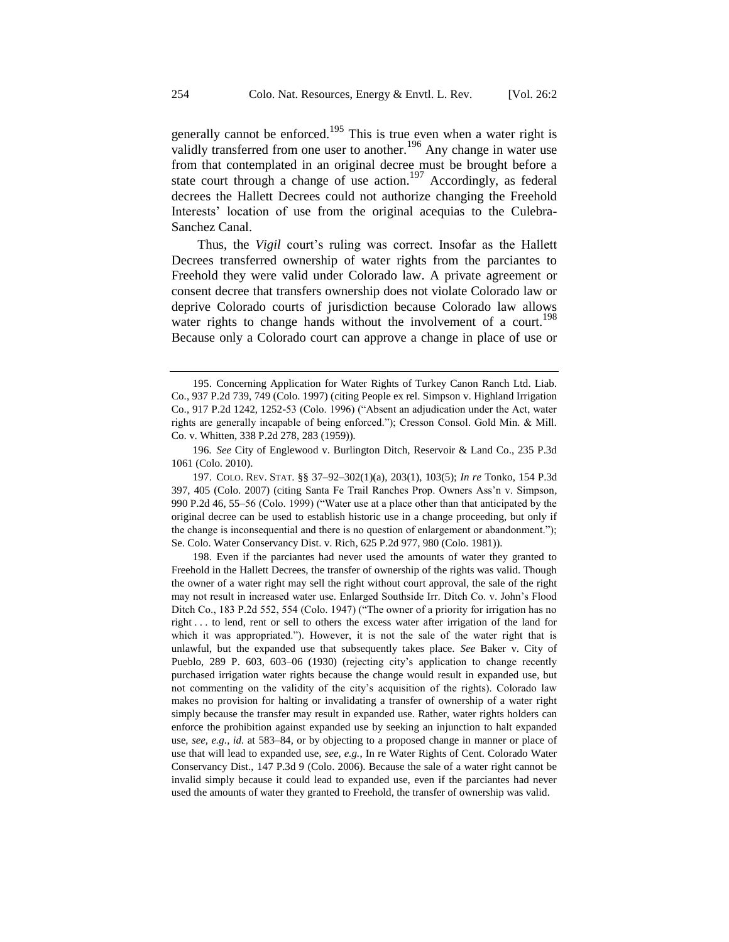generally cannot be enforced.<sup>195</sup> This is true even when a water right is validly transferred from one user to another.<sup>196</sup> Any change in water use from that contemplated in an original decree must be brought before a state court through a change of use action.<sup>197</sup> Accordingly, as federal decrees the Hallett Decrees could not authorize changing the Freehold Interests' location of use from the original acequias to the Culebra-Sanchez Canal.

Thus, the *Vigil* court's ruling was correct. Insofar as the Hallett Decrees transferred ownership of water rights from the parciantes to Freehold they were valid under Colorado law. A private agreement or consent decree that transfers ownership does not violate Colorado law or deprive Colorado courts of jurisdiction because Colorado law allows water rights to change hands without the involvement of a court.<sup>198</sup> Because only a Colorado court can approve a change in place of use or

<sup>195.</sup> Concerning Application for Water Rights of Turkey Canon Ranch Ltd. Liab. Co., 937 P.2d 739, 749 (Colo. 1997) (citing People ex rel. Simpson v. Highland Irrigation Co., 917 P.2d 1242, 1252-53 (Colo. 1996) ("Absent an adjudication under the Act, water rights are generally incapable of being enforced."); Cresson Consol. Gold Min. & Mill. Co. v. Whitten, 338 P.2d 278, 283 (1959))*.*

<sup>196</sup>*. See* City of Englewood v. Burlington Ditch, Reservoir & Land Co., 235 P.3d 1061 (Colo. 2010).

<sup>197.</sup> COLO. REV. STAT. §§ 37–92–302(1)(a), 203(1), 103(5); *In re* Tonko, 154 P.3d 397, 405 (Colo. 2007) (citing Santa Fe Trail Ranches Prop. Owners Ass'n v. Simpson*,* 990 P.2d 46, 55–56 (Colo. 1999) ("Water use at a place other than that anticipated by the original decree can be used to establish historic use in a change proceeding, but only if the change is inconsequential and there is no question of enlargement or abandonment."); Se. Colo. Water Conservancy Dist. v. Rich*,* 625 P.2d 977, 980 (Colo. 1981)).

<sup>198.</sup> Even if the parciantes had never used the amounts of water they granted to Freehold in the Hallett Decrees, the transfer of ownership of the rights was valid. Though the owner of a water right may sell the right without court approval, the sale of the right may not result in increased water use. Enlarged Southside Irr. Ditch Co. v. John's Flood Ditch Co., 183 P.2d 552, 554 (Colo. 1947) ("The owner of a priority for irrigation has no right . . . to lend, rent or sell to others the excess water after irrigation of the land for which it was appropriated."). However, it is not the sale of the water right that is unlawful, but the expanded use that subsequently takes place. *See* Baker v. City of Pueblo, 289 P. 603, 603–06 (1930) (rejecting city's application to change recently purchased irrigation water rights because the change would result in expanded use, but not commenting on the validity of the city's acquisition of the rights). Colorado law makes no provision for halting or invalidating a transfer of ownership of a water right simply because the transfer may result in expanded use. Rather, water rights holders can enforce the prohibition against expanded use by seeking an injunction to halt expanded use, *see*, *e.g.*, *id.* at 583–84, or by objecting to a proposed change in manner or place of use that will lead to expanded use, *see*, *e.g.*, In re Water Rights of Cent. Colorado Water Conservancy Dist., 147 P.3d 9 (Colo. 2006). Because the sale of a water right cannot be invalid simply because it could lead to expanded use, even if the parciantes had never used the amounts of water they granted to Freehold, the transfer of ownership was valid.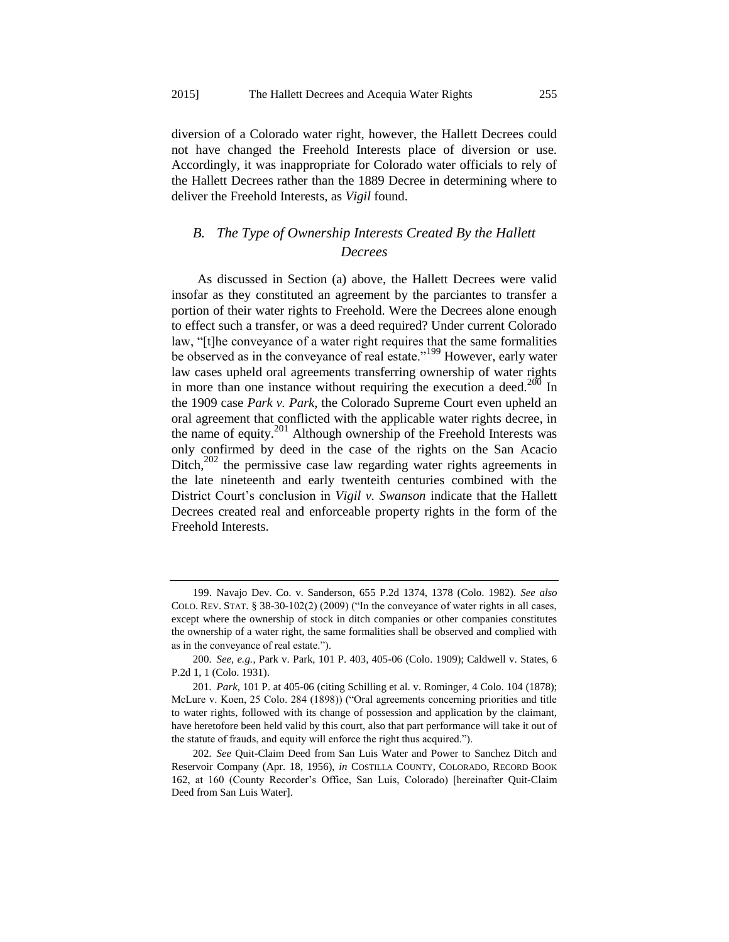diversion of a Colorado water right, however, the Hallett Decrees could not have changed the Freehold Interests place of diversion or use. Accordingly, it was inappropriate for Colorado water officials to rely of the Hallett Decrees rather than the 1889 Decree in determining where to deliver the Freehold Interests, as *Vigil* found.

# *B. The Type of Ownership Interests Created By the Hallett Decrees*

As discussed in Section (a) above, the Hallett Decrees were valid insofar as they constituted an agreement by the parciantes to transfer a portion of their water rights to Freehold. Were the Decrees alone enough to effect such a transfer, or was a deed required? Under current Colorado law, "[t]he conveyance of a water right requires that the same formalities be observed as in the conveyance of real estate."<sup>199</sup> However, early water law cases upheld oral agreements transferring ownership of water rights in more than one instance without requiring the execution a deed.<sup>200</sup> In the 1909 case *Park v. Park*, the Colorado Supreme Court even upheld an oral agreement that conflicted with the applicable water rights decree, in the name of equity.<sup>201</sup> Although ownership of the Freehold Interests was only confirmed by deed in the case of the rights on the San Acacio Ditch, $202$  the permissive case law regarding water rights agreements in the late nineteenth and early twenteith centuries combined with the District Court's conclusion in *Vigil v. Swanson* indicate that the Hallett Decrees created real and enforceable property rights in the form of the Freehold Interests.

<span id="page-36-0"></span><sup>199.</sup> Navajo Dev. Co. v. Sanderson, 655 P.2d 1374, 1378 (Colo. 1982). *See also* COLO. REV. STAT.  $\S$  38-30-102(2) (2009) ("In the conveyance of water rights in all cases, except where the ownership of stock in ditch companies or other companies constitutes the ownership of a water right, the same formalities shall be observed and complied with as in the conveyance of real estate.").

<sup>200</sup>*. See, e.g.*, Park v. Park, 101 P. 403, 405-06 (Colo. 1909); Caldwell v. States, 6 P.2d 1, 1 (Colo. 1931).

<sup>201</sup>*. Park*, 101 P. at 405-06 (citing Schilling et al. v. Rominger, 4 Colo. 104 (1878); McLure v. Koen, 25 Colo. 284 (1898)) ("Oral agreements concerning priorities and title to water rights, followed with its change of possession and application by the claimant, have heretofore been held valid by this court, also that part performance will take it out of the statute of frauds, and equity will enforce the right thus acquired.").

<sup>202</sup>*. See* Quit-Claim Deed from San Luis Water and Power to Sanchez Ditch and Reservoir Company (Apr. 18, 1956), *in* COSTILLA COUNTY, COLORADO, RECORD BOOK 162, at 160 (County Recorder's Office, San Luis, Colorado) [hereinafter Quit-Claim Deed from San Luis Water].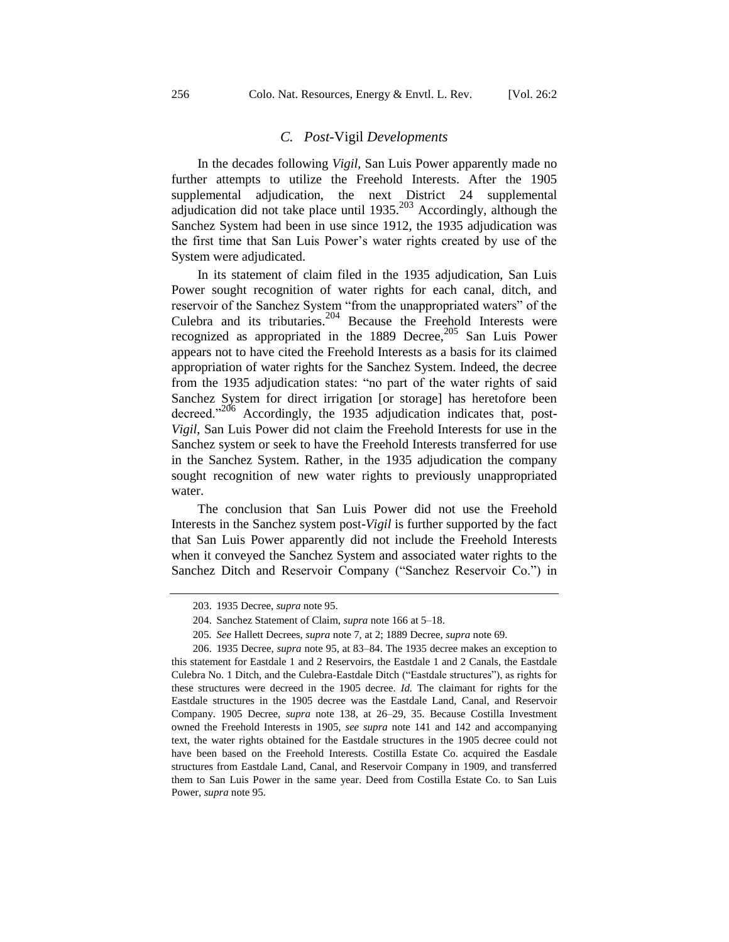#### *C. Post-*Vigil *Developments*

In the decades following *Vigil*, San Luis Power apparently made no further attempts to utilize the Freehold Interests. After the 1905 supplemental adjudication, the next District 24 supplemental adjudication did not take place until  $1935$ <sup>203</sup> Accordingly, although the Sanchez System had been in use since 1912, the 1935 adjudication was the first time that San Luis Power's water rights created by use of the System were adjudicated.

In its statement of claim filed in the 1935 adjudication, San Luis Power sought recognition of water rights for each canal, ditch, and reservoir of the Sanchez System "from the unappropriated waters" of the Culebra and its tributaries.<sup>204</sup> Because the Freehold Interests were recognized as appropriated in the 1889 Decree, $205$  San Luis Power appears not to have cited the Freehold Interests as a basis for its claimed appropriation of water rights for the Sanchez System. Indeed, the decree from the 1935 adjudication states: "no part of the water rights of said Sanchez System for direct irrigation [or storage] has heretofore been decreed."<sup>206</sup> Accordingly, the 1935 adjudication indicates that, post-*Vigil*, San Luis Power did not claim the Freehold Interests for use in the Sanchez system or seek to have the Freehold Interests transferred for use in the Sanchez System. Rather, in the 1935 adjudication the company sought recognition of new water rights to previously unappropriated water.

The conclusion that San Luis Power did not use the Freehold Interests in the Sanchez system post-*Vigil* is further supported by the fact that San Luis Power apparently did not include the Freehold Interests when it conveyed the Sanchez System and associated water rights to the Sanchez Ditch and Reservoir Company ("Sanchez Reservoir Co.") in

<sup>203.</sup> 1935 Decree, *supra* not[e 95.](#page-16-0)

<sup>204.</sup> Sanchez Statement of Claim, *supra* note [166](#page-30-0) at 5–18.

<sup>205</sup>*. See* Hallett Decrees, *supra* not[e 7,](#page-4-0) at 2; 1889 Decree, *supra* note [69.](#page-12-0)

<sup>206.</sup> 1935 Decree, *supra* not[e 95,](#page-16-0) at 83–84. The 1935 decree makes an exception to this statement for Eastdale 1 and 2 Reservoirs, the Eastdale 1 and 2 Canals, the Eastdale Culebra No. 1 Ditch, and the Culebra-Eastdale Ditch ("Eastdale structures"), as rights for these structures were decreed in the 1905 decree. *Id.* The claimant for rights for the Eastdale structures in the 1905 decree was the Eastdale Land, Canal, and Reservoir Company. 1905 Decree, *supra* note [138,](#page-25-0) at 26–29, 35. Because Costilla Investment owned the Freehold Interests in 1905, *see supra* note [141](#page-25-1) and [142](#page-26-1) and accompanying text, the water rights obtained for the Eastdale structures in the 1905 decree could not have been based on the Freehold Interests. Costilla Estate Co. acquired the Easdale structures from Eastdale Land, Canal, and Reservoir Company in 1909, and transferred them to San Luis Power in the same year. Deed from Costilla Estate Co. to San Luis Power, *supra* note [95.](#page-16-0)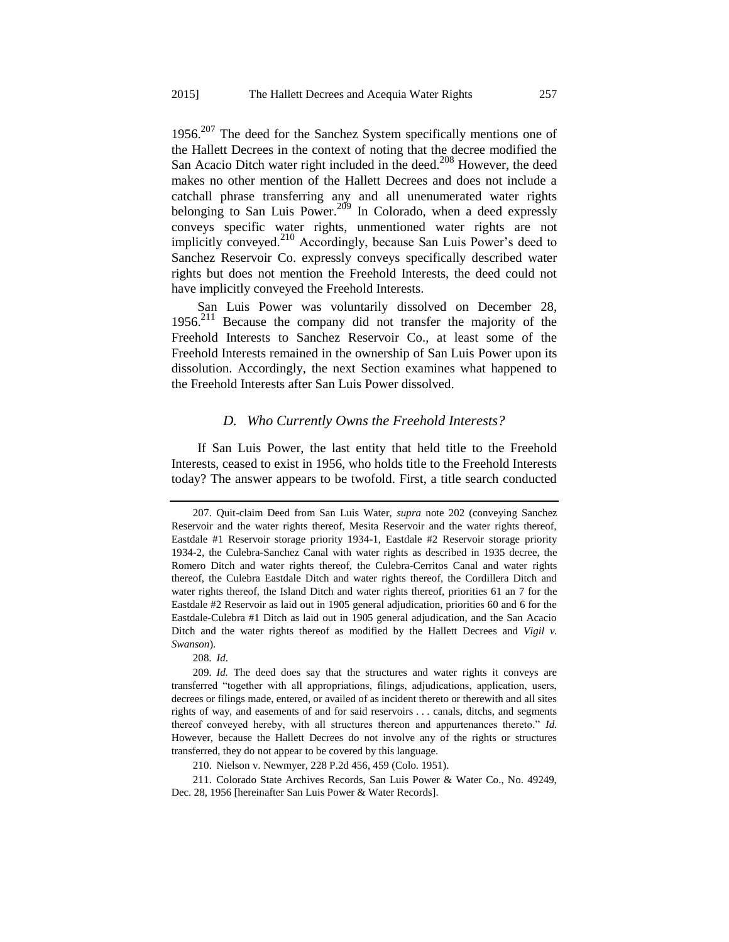1956. $207$  The deed for the Sanchez System specifically mentions one of the Hallett Decrees in the context of noting that the decree modified the San Acacio Ditch water right included in the deed.<sup>208</sup> However, the deed makes no other mention of the Hallett Decrees and does not include a catchall phrase transferring any and all unenumerated water rights belonging to San Luis Power.<sup>209</sup> In Colorado, when a deed expressly conveys specific water rights, unmentioned water rights are not implicitly conveyed.<sup>210</sup> Accordingly, because San Luis Power's deed to Sanchez Reservoir Co. expressly conveys specifically described water rights but does not mention the Freehold Interests, the deed could not have implicitly conveyed the Freehold Interests.

<span id="page-38-0"></span>San Luis Power was voluntarily dissolved on December 28, 1956.<sup>211</sup> Because the company did not transfer the majority of the Freehold Interests to Sanchez Reservoir Co., at least some of the Freehold Interests remained in the ownership of San Luis Power upon its dissolution. Accordingly, the next Section examines what happened to the Freehold Interests after San Luis Power dissolved.

#### *D. Who Currently Owns the Freehold Interests?*

If San Luis Power, the last entity that held title to the Freehold Interests, ceased to exist in 1956, who holds title to the Freehold Interests today? The answer appears to be twofold. First, a title search conducted

208*. Id*.

<sup>207.</sup> Quit-claim Deed from San Luis Water, *supra* note [202](#page-36-0) (conveying Sanchez Reservoir and the water rights thereof, Mesita Reservoir and the water rights thereof, Eastdale #1 Reservoir storage priority 1934-1, Eastdale #2 Reservoir storage priority 1934-2, the Culebra-Sanchez Canal with water rights as described in 1935 decree, the Romero Ditch and water rights thereof, the Culebra-Cerritos Canal and water rights thereof, the Culebra Eastdale Ditch and water rights thereof, the Cordillera Ditch and water rights thereof, the Island Ditch and water rights thereof, priorities 61 an 7 for the Eastdale #2 Reservoir as laid out in 1905 general adjudication, priorities 60 and 6 for the Eastdale-Culebra #1 Ditch as laid out in 1905 general adjudication, and the San Acacio Ditch and the water rights thereof as modified by the Hallett Decrees and *Vigil v. Swanson*).

<sup>209</sup>*. Id.* The deed does say that the structures and water rights it conveys are transferred "together with all appropriations, filings, adjudications, application, users, decrees or filings made, entered, or availed of as incident thereto or therewith and all sites rights of way, and easements of and for said reservoirs . . . canals, ditchs, and segments thereof conveyed hereby, with all structures thereon and appurtenances thereto." *Id.* However, because the Hallett Decrees do not involve any of the rights or structures transferred, they do not appear to be covered by this language.

<sup>210.</sup> Nielson v. Newmyer, 228 P.2d 456, 459 (Colo. 1951).

<sup>211.</sup> Colorado State Archives Records, San Luis Power & Water Co., No. 49249, Dec. 28, 1956 [hereinafter San Luis Power & Water Records].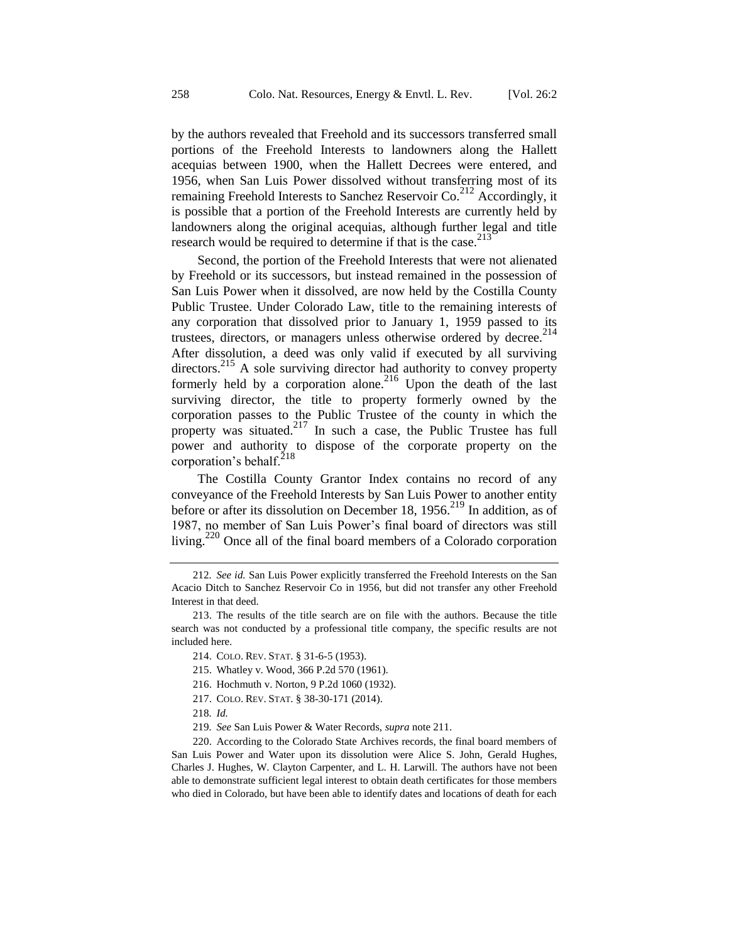by the authors revealed that Freehold and its successors transferred small portions of the Freehold Interests to landowners along the Hallett acequias between 1900, when the Hallett Decrees were entered, and 1956, when San Luis Power dissolved without transferring most of its remaining Freehold Interests to Sanchez Reservoir Co.<sup>212</sup> Accordingly, it is possible that a portion of the Freehold Interests are currently held by landowners along the original acequias, although further legal and title research would be required to determine if that is the case.<sup>213</sup>

Second, the portion of the Freehold Interests that were not alienated by Freehold or its successors, but instead remained in the possession of San Luis Power when it dissolved, are now held by the Costilla County Public Trustee. Under Colorado Law, title to the remaining interests of any corporation that dissolved prior to January 1, 1959 passed to its trustees, directors, or managers unless otherwise ordered by decree. $214$ After dissolution, a deed was only valid if executed by all surviving directors.<sup>215</sup> A sole surviving director had authority to convey property formerly held by a corporation alone.<sup>216</sup> Upon the death of the last surviving director, the title to property formerly owned by the corporation passes to the Public Trustee of the county in which the property was situated.<sup>217</sup> In such a case, the Public Trustee has full power and authority to dispose of the corporate property on the corporation's behalf. $^{218}$ 

The Costilla County Grantor Index contains no record of any conveyance of the Freehold Interests by San Luis Power to another entity before or after its dissolution on December 18, 1956.<sup>219</sup> In addition, as of 1987, no member of San Luis Power's final board of directors was still living.<sup>220</sup> Once all of the final board members of a Colorado corporation

- 216. Hochmuth v. Norton, 9 P.2d 1060 (1932).
- 217. COLO. REV. STAT. § 38-30-171 (2014).
- 218*. Id.*
- 219*. See* San Luis Power & Water Records, *supra* not[e 211.](#page-38-0)

220. According to the Colorado State Archives records, the final board members of San Luis Power and Water upon its dissolution were Alice S. John, Gerald Hughes, Charles J. Hughes, W. Clayton Carpenter, and L. H. Larwill. The authors have not been able to demonstrate sufficient legal interest to obtain death certificates for those members who died in Colorado, but have been able to identify dates and locations of death for each

<sup>212</sup>*. See id.* San Luis Power explicitly transferred the Freehold Interests on the San Acacio Ditch to Sanchez Reservoir Co in 1956, but did not transfer any other Freehold Interest in that deed.

<sup>213.</sup> The results of the title search are on file with the authors. Because the title search was not conducted by a professional title company, the specific results are not included here.

<sup>214.</sup> COLO. REV. STAT. § 31-6-5 (1953).

<sup>215.</sup> Whatley v. Wood, 366 P.2d 570 (1961).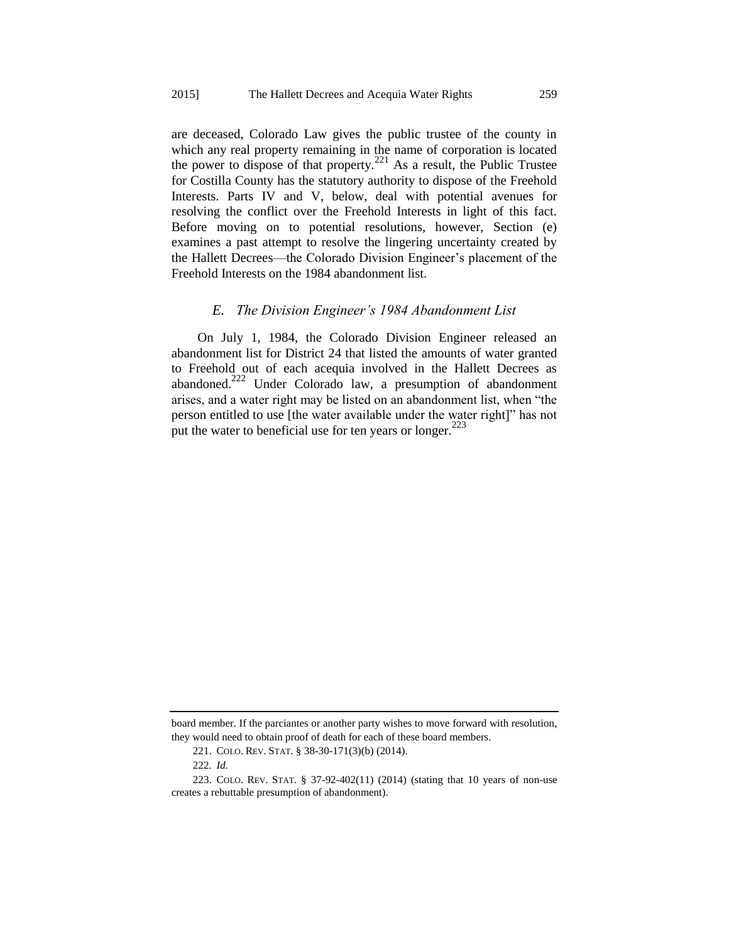are deceased, Colorado Law gives the public trustee of the county in which any real property remaining in the name of corporation is located the power to dispose of that property.<sup>221</sup> As a result, the Public Trustee for Costilla County has the statutory authority to dispose of the Freehold Interests. Parts IV and V, below, deal with potential avenues for resolving the conflict over the Freehold Interests in light of this fact. Before moving on to potential resolutions, however, Section (e) examines a past attempt to resolve the lingering uncertainty created by the Hallett Decrees—the Colorado Division Engineer's placement of the Freehold Interests on the 1984 abandonment list.

#### *E. The Division Engineer's 1984 Abandonment List*

On July 1, 1984, the Colorado Division Engineer released an abandonment list for District 24 that listed the amounts of water granted to Freehold out of each acequia involved in the Hallett Decrees as abandoned.<sup>222</sup> Under Colorado law, a presumption of abandonment arises, and a water right may be listed on an abandonment list, when "the person entitled to use [the water available under the water right]" has not put the water to beneficial use for ten years or longer.<sup> $223$ </sup>

board member. If the parciantes or another party wishes to move forward with resolution, they would need to obtain proof of death for each of these board members.

<sup>221.</sup> COLO. REV. STAT. § 38-30-171(3)(b) (2014).

<sup>222</sup>*. Id.*

<sup>223.</sup> COLO. REV. STAT. § 37-92-402(11) (2014) (stating that 10 years of non-use creates a rebuttable presumption of abandonment).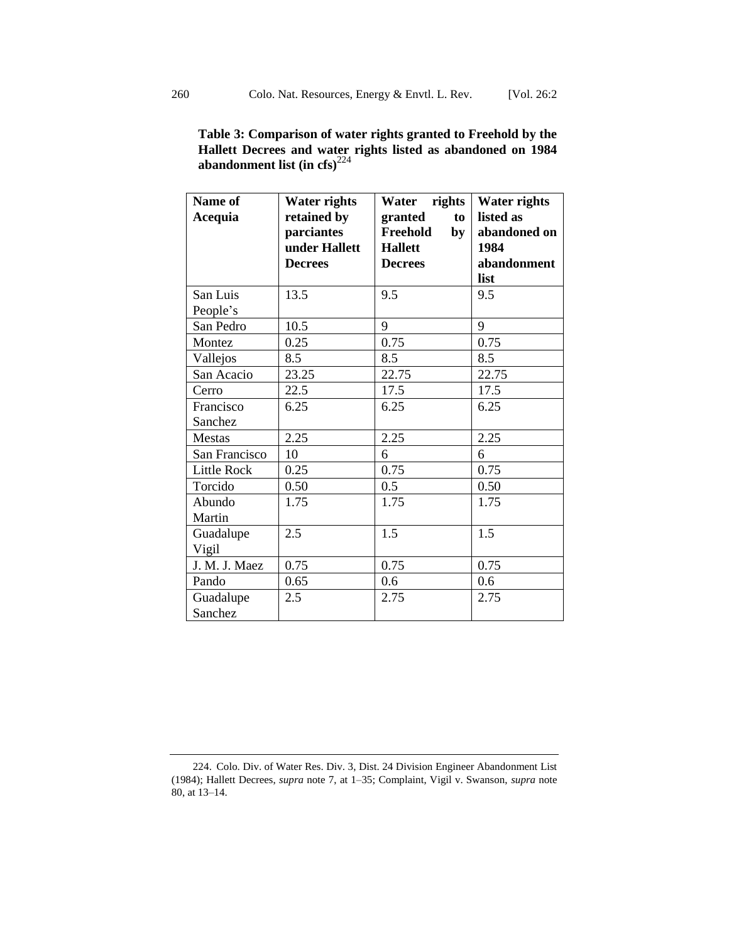| Table 3: Comparison of water rights granted to Freehold by the |  |  |  |  |
|----------------------------------------------------------------|--|--|--|--|
| Hallett Decrees and water rights listed as abandoned on 1984   |  |  |  |  |
| abandonment list (in cfs) $^{224}$                             |  |  |  |  |

| Name of<br>Acequia   | <b>Water rights</b><br>retained by<br>parciantes<br>under Hallett<br><b>Decrees</b> | rights<br>Water<br>granted<br>to<br>Freehold<br>by<br><b>Hallett</b><br><b>Decrees</b> | <b>Water rights</b><br>listed as<br>abandoned on<br>1984<br>abandonment<br>list |
|----------------------|-------------------------------------------------------------------------------------|----------------------------------------------------------------------------------------|---------------------------------------------------------------------------------|
| San Luis             | 13.5                                                                                | 9.5                                                                                    | 9.5                                                                             |
| People's             |                                                                                     |                                                                                        |                                                                                 |
| San Pedro            | 10.5                                                                                | 9                                                                                      | 9                                                                               |
| Montez               | 0.25                                                                                | 0.75                                                                                   | 0.75                                                                            |
| Vallejos             | 8.5                                                                                 | 8.5                                                                                    | 8.5                                                                             |
| San Acacio           | 23.25                                                                               | 22.75                                                                                  | 22.75                                                                           |
| Cerro                | 22.5                                                                                | 17.5                                                                                   | 17.5                                                                            |
| Francisco<br>Sanchez | 6.25                                                                                | 6.25                                                                                   | 6.25                                                                            |
| <b>Mestas</b>        | 2.25                                                                                | 2.25                                                                                   | 2.25                                                                            |
| San Francisco        | 10                                                                                  | 6                                                                                      | 6                                                                               |
| Little Rock          | 0.25                                                                                | 0.75                                                                                   | 0.75                                                                            |
| Torcido              | 0.50                                                                                | 0.5                                                                                    | 0.50                                                                            |
| Abundo<br>Martin     | 1.75                                                                                | 1.75                                                                                   | 1.75                                                                            |
| Guadalupe<br>Vigil   | 2.5                                                                                 | 1.5                                                                                    | 1.5                                                                             |
| J. M. J. Maez        | 0.75                                                                                | 0.75                                                                                   | 0.75                                                                            |
| Pando                | 0.65                                                                                | 0.6                                                                                    | 0.6                                                                             |
| Guadalupe<br>Sanchez | 2.5                                                                                 | 2.75                                                                                   | 2.75                                                                            |

<sup>224.</sup> Colo. Div. of Water Res. Div. 3, Dist. 24 Division Engineer Abandonment List (1984); Hallett Decrees, *supra* note [7,](#page-4-0) at 1–35; Complaint, Vigil v. Swanson, *supra* note [80,](#page-13-0) at 13–14.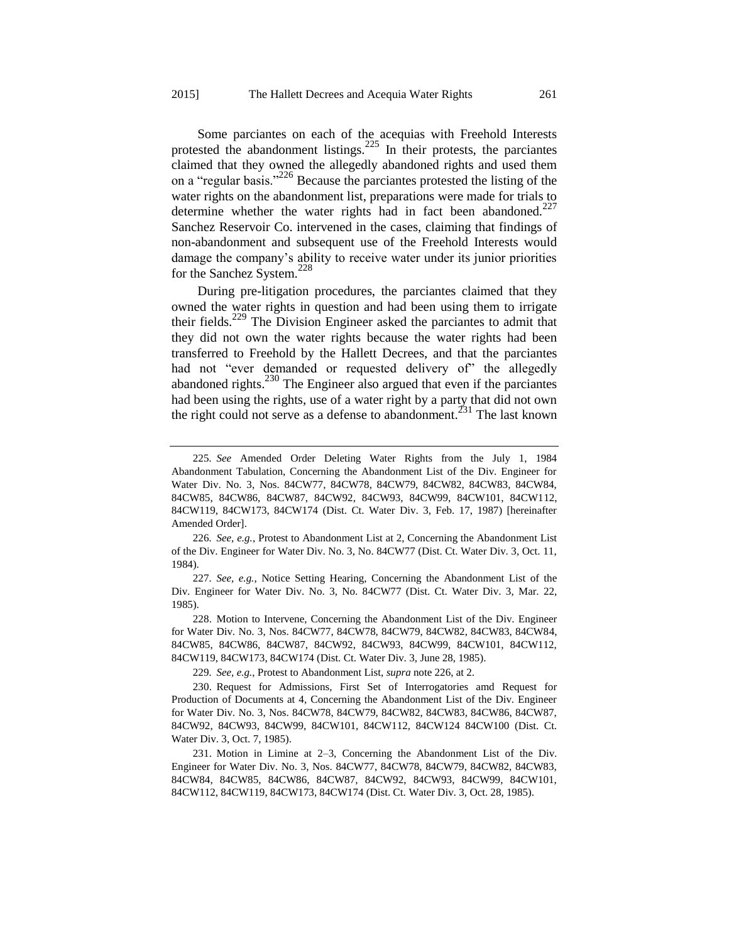<span id="page-42-1"></span><span id="page-42-0"></span>Some parciantes on each of the acequias with Freehold Interests protested the abandonment listings.<sup>225</sup> In their protests, the parciantes claimed that they owned the allegedly abandoned rights and used them on a "regular basis."<sup>226</sup> Because the parciantes protested the listing of the water rights on the abandonment list, preparations were made for trials to determine whether the water rights had in fact been abandoned.<sup>227</sup> Sanchez Reservoir Co. intervened in the cases, claiming that findings of non-abandonment and subsequent use of the Freehold Interests would damage the company's ability to receive water under its junior priorities for the Sanchez System.<sup>228</sup>

During pre-litigation procedures, the parciantes claimed that they owned the water rights in question and had been using them to irrigate their fields.<sup>229</sup> The Division Engineer asked the parciantes to admit that they did not own the water rights because the water rights had been transferred to Freehold by the Hallett Decrees, and that the parciantes had not "ever demanded or requested delivery of" the allegedly abandoned rights. $^{230}$  The Engineer also argued that even if the parciantes had been using the rights, use of a water right by a party that did not own the right could not serve as a defense to abandonment.<sup> $231$ </sup> The last known

229*. See, e.g.*, Protest to Abandonment List, *supra* note [226,](#page-42-0) at 2.

<sup>225</sup>*. See* Amended Order Deleting Water Rights from the July 1, 1984 Abandonment Tabulation, Concerning the Abandonment List of the Div. Engineer for Water Div. No. 3, Nos. 84CW77, 84CW78, 84CW79, 84CW82, 84CW83, 84CW84, 84CW85, 84CW86, 84CW87, 84CW92, 84CW93, 84CW99, 84CW101, 84CW112, 84CW119, 84CW173, 84CW174 (Dist. Ct. Water Div. 3, Feb. 17, 1987) [hereinafter Amended Order].

<sup>226</sup>*. See, e.g.*, Protest to Abandonment List at 2, Concerning the Abandonment List of the Div. Engineer for Water Div. No. 3, No. 84CW77 (Dist. Ct. Water Div. 3, Oct. 11, 1984).

<sup>227</sup>*. See, e.g.*, Notice Setting Hearing, Concerning the Abandonment List of the Div. Engineer for Water Div. No. 3, No. 84CW77 (Dist. Ct. Water Div. 3, Mar. 22, 1985).

<sup>228.</sup> Motion to Intervene, Concerning the Abandonment List of the Div. Engineer for Water Div. No. 3, Nos. 84CW77, 84CW78, 84CW79, 84CW82, 84CW83, 84CW84, 84CW85, 84CW86, 84CW87, 84CW92, 84CW93, 84CW99, 84CW101, 84CW112, 84CW119, 84CW173, 84CW174 (Dist. Ct. Water Div. 3, June 28, 1985).

<sup>230.</sup> Request for Admissions, First Set of Interrogatories amd Request for Production of Documents at 4, Concerning the Abandonment List of the Div. Engineer for Water Div. No. 3, Nos. 84CW78, 84CW79, 84CW82, 84CW83, 84CW86, 84CW87, 84CW92, 84CW93, 84CW99, 84CW101, 84CW112, 84CW124 84CW100 (Dist. Ct. Water Div. 3, Oct. 7, 1985).

<sup>231.</sup> Motion in Limine at 2–3, Concerning the Abandonment List of the Div. Engineer for Water Div. No. 3, Nos. 84CW77, 84CW78, 84CW79, 84CW82, 84CW83, 84CW84, 84CW85, 84CW86, 84CW87, 84CW92, 84CW93, 84CW99, 84CW101, 84CW112, 84CW119, 84CW173, 84CW174 (Dist. Ct. Water Div. 3, Oct. 28, 1985).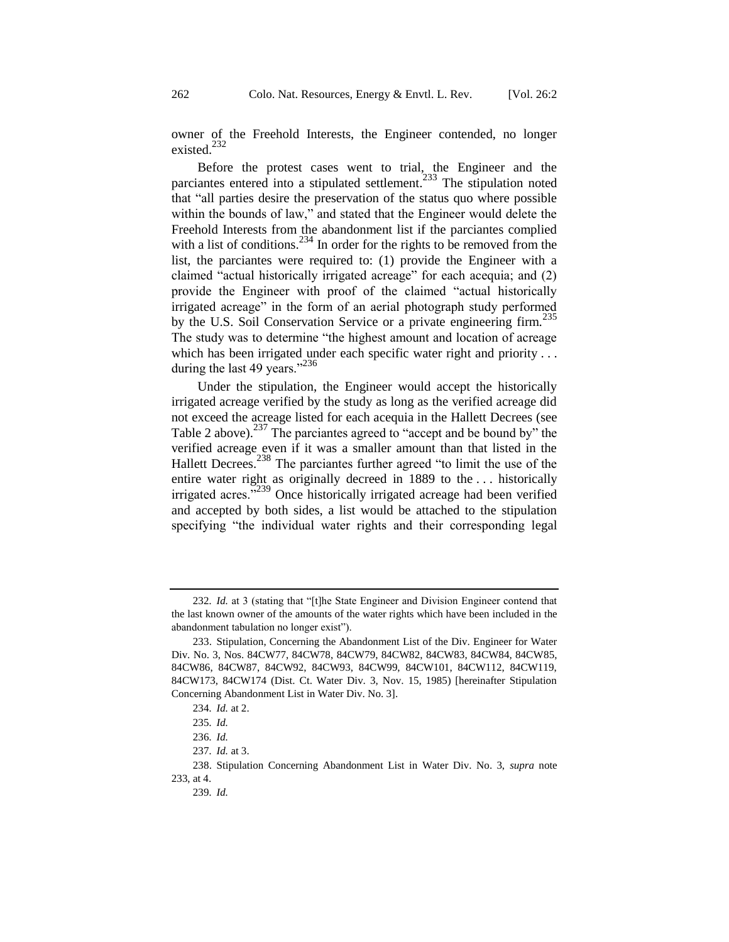owner of the Freehold Interests, the Engineer contended, no longer existed.<sup>232</sup>

<span id="page-43-0"></span>Before the protest cases went to trial, the Engineer and the parciantes entered into a stipulated settlement.<sup>233</sup> The stipulation noted that "all parties desire the preservation of the status quo where possible within the bounds of law," and stated that the Engineer would delete the Freehold Interests from the abandonment list if the parciantes complied with a list of conditions.<sup>234</sup> In order for the rights to be removed from the list, the parciantes were required to: (1) provide the Engineer with a claimed "actual historically irrigated acreage" for each acequia; and (2) provide the Engineer with proof of the claimed "actual historically irrigated acreage" in the form of an aerial photograph study performed by the U.S. Soil Conservation Service or a private engineering firm.<sup>235</sup> The study was to determine "the highest amount and location of acreage which has been irrigated under each specific water right and priority . . . during the last 49 years."<sup>236</sup>

Under the stipulation, the Engineer would accept the historically irrigated acreage verified by the study as long as the verified acreage did not exceed the acreage listed for each acequia in the Hallett Decrees (see Table 2 above).<sup>237</sup> The parciantes agreed to "accept and be bound by" the verified acreage even if it was a smaller amount than that listed in the Hallett Decrees.<sup>238</sup> The parciantes further agreed "to limit the use of the entire water right as originally decreed in 1889 to the . . . historically irrigated acres."<sup>239</sup> Once historically irrigated acreage had been verified and accepted by both sides, a list would be attached to the stipulation specifying "the individual water rights and their corresponding legal

<sup>232</sup>*. Id.* at 3 (stating that "[t]he State Engineer and Division Engineer contend that the last known owner of the amounts of the water rights which have been included in the abandonment tabulation no longer exist").

<sup>233.</sup> Stipulation, Concerning the Abandonment List of the Div. Engineer for Water Div. No. 3, Nos. 84CW77, 84CW78, 84CW79, 84CW82, 84CW83, 84CW84, 84CW85, 84CW86, 84CW87, 84CW92, 84CW93, 84CW99, 84CW101, 84CW112, 84CW119, 84CW173, 84CW174 (Dist. Ct. Water Div. 3, Nov. 15, 1985) [hereinafter Stipulation Concerning Abandonment List in Water Div. No. 3].

<sup>234</sup>*. Id.* at 2.

<sup>235</sup>*. Id.*

<sup>236</sup>*. Id.*

<sup>237</sup>*. Id.* at 3.

<sup>238.</sup> Stipulation Concerning Abandonment List in Water Div. No. 3, *supra* note [233,](#page-43-0) at 4.

<sup>239</sup>*. Id.*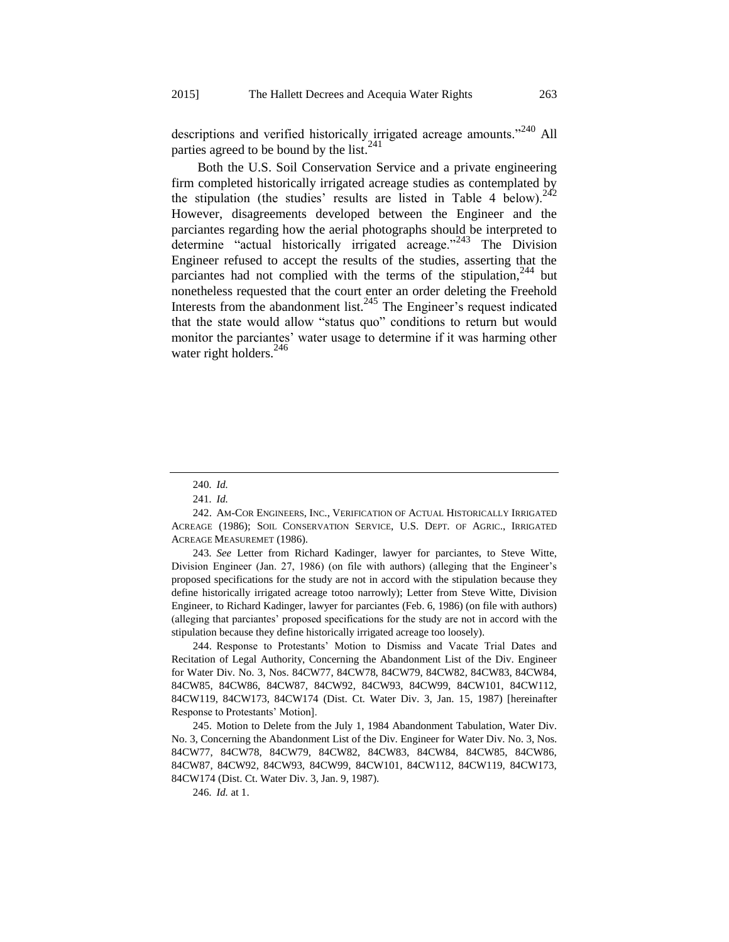descriptions and verified historically irrigated acreage amounts."<sup>240</sup> All parties agreed to be bound by the list.  $241$ 

<span id="page-44-1"></span><span id="page-44-0"></span>Both the U.S. Soil Conservation Service and a private engineering firm completed historically irrigated acreage studies as contemplated by the stipulation (the studies' results are listed in Table 4 below).<sup>242</sup> However, disagreements developed between the Engineer and the parciantes regarding how the aerial photographs should be interpreted to determine "actual historically irrigated acreage."<sup>243</sup> The Division Engineer refused to accept the results of the studies, asserting that the parciantes had not complied with the terms of the stipulation,  $244$  but nonetheless requested that the court enter an order deleting the Freehold Interests from the abandonment list.<sup>245</sup> The Engineer's request indicated that the state would allow "status quo" conditions to return but would monitor the parciantes' water usage to determine if it was harming other water right holders.<sup>246</sup>

243*. See* Letter from Richard Kadinger, lawyer for parciantes, to Steve Witte, Division Engineer (Jan. 27, 1986) (on file with authors) (alleging that the Engineer's proposed specifications for the study are not in accord with the stipulation because they define historically irrigated acreage totoo narrowly); Letter from Steve Witte, Division Engineer, to Richard Kadinger, lawyer for parciantes (Feb. 6, 1986) (on file with authors) (alleging that parciantes' proposed specifications for the study are not in accord with the stipulation because they define historically irrigated acreage too loosely).

244. Response to Protestants' Motion to Dismiss and Vacate Trial Dates and Recitation of Legal Authority, Concerning the Abandonment List of the Div. Engineer for Water Div. No. 3, Nos. 84CW77, 84CW78, 84CW79, 84CW82, 84CW83, 84CW84, 84CW85, 84CW86, 84CW87, 84CW92, 84CW93, 84CW99, 84CW101, 84CW112, 84CW119, 84CW173, 84CW174 (Dist. Ct. Water Div. 3, Jan. 15, 1987) [hereinafter Response to Protestants' Motion].

245. Motion to Delete from the July 1, 1984 Abandonment Tabulation, Water Div. No. 3, Concerning the Abandonment List of the Div. Engineer for Water Div. No. 3, Nos. 84CW77, 84CW78, 84CW79, 84CW82, 84CW83, 84CW84, 84CW85, 84CW86, 84CW87, 84CW92, 84CW93, 84CW99, 84CW101, 84CW112, 84CW119, 84CW173, 84CW174 (Dist. Ct. Water Div. 3, Jan. 9, 1987).

246*. Id.* at 1.

<sup>240</sup>*. Id.*

<sup>241</sup>*. Id.*

<sup>242.</sup> AM-COR ENGINEERS, INC., VERIFICATION OF ACTUAL HISTORICALLY IRRIGATED ACREAGE (1986); SOIL CONSERVATION SERVICE, U.S. DEPT. OF AGRIC., IRRIGATED ACREAGE MEASUREMET (1986).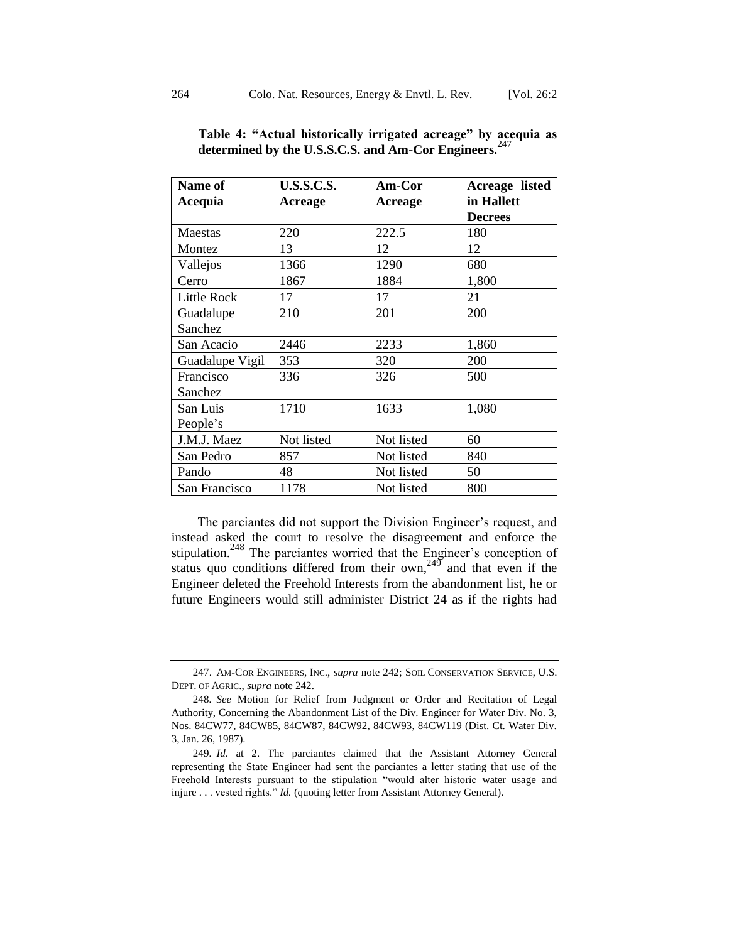| Name of            | <b>U.S.S.C.S.</b> | Am-Cor     | Acreage listed |
|--------------------|-------------------|------------|----------------|
| Acequia            | <b>Acreage</b>    | Acreage    | in Hallett     |
|                    |                   |            | <b>Decrees</b> |
| Maestas            | 220               | 222.5      | 180            |
| Montez             | 13                | 12         | 12             |
| Vallejos           | 1366              | 1290       | 680            |
| Cerro              | 1867              | 1884       | 1,800          |
| <b>Little Rock</b> | 17                | 17         | 21             |
| Guadalupe          | 210               | 201        | 200            |
| Sanchez            |                   |            |                |
| San Acacio         | 2446              | 2233       | 1,860          |
| Guadalupe Vigil    | 353               | 320        | 200            |
| Francisco          | 336               | 326        | 500            |
| Sanchez            |                   |            |                |
| San Luis           | 1710              | 1633       | 1,080          |
| People's           |                   |            |                |
| J.M.J. Maez        | Not listed        | Not listed | 60             |
| San Pedro          | 857               | Not listed | 840            |
| Pando              | 48                | Not listed | 50             |
| San Francisco      | 1178              | Not listed | 800            |

**Table 4: "Actual historically irrigated acreage" by acequia as determined by the U.S.S.C.S. and Am-Cor Engineers.**<sup>247</sup>

The parciantes did not support the Division Engineer's request, and instead asked the court to resolve the disagreement and enforce the stipulation.<sup>248</sup> The parciantes worried that the Engineer's conception of status quo conditions differed from their own,<sup>249</sup> and that even if the Engineer deleted the Freehold Interests from the abandonment list, he or future Engineers would still administer District 24 as if the rights had

<sup>247.</sup> AM-COR ENGINEERS, INC., *supra* not[e 242;](#page-44-0) SOIL CONSERVATION SERVICE, U.S. DEPT. OF AGRIC., *supra* not[e 242.](#page-44-0)

<sup>248</sup>*. See* Motion for Relief from Judgment or Order and Recitation of Legal Authority, Concerning the Abandonment List of the Div. Engineer for Water Div. No. 3, Nos. 84CW77, 84CW85, 84CW87, 84CW92, 84CW93, 84CW119 (Dist. Ct. Water Div. 3, Jan. 26, 1987).

<sup>249</sup>*. Id.* at 2. The parciantes claimed that the Assistant Attorney General representing the State Engineer had sent the parciantes a letter stating that use of the Freehold Interests pursuant to the stipulation "would alter historic water usage and injure . . . vested rights." *Id.* (quoting letter from Assistant Attorney General).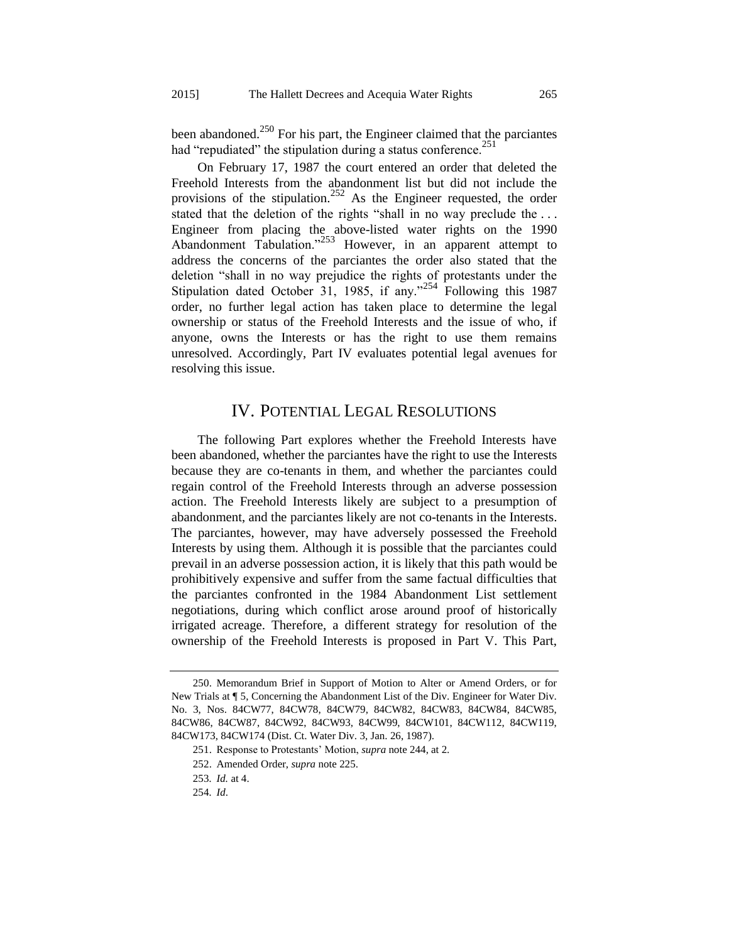been abandoned.<sup>250</sup> For his part, the Engineer claimed that the parciantes had "repudiated" the stipulation during a status conference. $^{251}$ 

On February 17, 1987 the court entered an order that deleted the Freehold Interests from the abandonment list but did not include the provisions of the stipulation.<sup>252</sup> As the Engineer requested, the order stated that the deletion of the rights "shall in no way preclude the . . . Engineer from placing the above-listed water rights on the 1990 Abandonment Tabulation."<sup>253</sup> However, in an apparent attempt to address the concerns of the parciantes the order also stated that the deletion "shall in no way prejudice the rights of protestants under the Stipulation dated October 31, 1985, if any."<sup>254</sup> Following this 1987 order, no further legal action has taken place to determine the legal ownership or status of the Freehold Interests and the issue of who, if anyone, owns the Interests or has the right to use them remains unresolved. Accordingly, Part IV evaluates potential legal avenues for resolving this issue.

# IV. POTENTIAL LEGAL RESOLUTIONS

The following Part explores whether the Freehold Interests have been abandoned, whether the parciantes have the right to use the Interests because they are co-tenants in them, and whether the parciantes could regain control of the Freehold Interests through an adverse possession action. The Freehold Interests likely are subject to a presumption of abandonment, and the parciantes likely are not co-tenants in the Interests. The parciantes, however, may have adversely possessed the Freehold Interests by using them. Although it is possible that the parciantes could prevail in an adverse possession action, it is likely that this path would be prohibitively expensive and suffer from the same factual difficulties that the parciantes confronted in the 1984 Abandonment List settlement negotiations, during which conflict arose around proof of historically irrigated acreage. Therefore, a different strategy for resolution of the ownership of the Freehold Interests is proposed in Part V. This Part,

<sup>250.</sup> Memorandum Brief in Support of Motion to Alter or Amend Orders, or for New Trials at ¶ 5, Concerning the Abandonment List of the Div. Engineer for Water Div. No. 3, Nos. 84CW77, 84CW78, 84CW79, 84CW82, 84CW83, 84CW84, 84CW85, 84CW86, 84CW87, 84CW92, 84CW93, 84CW99, 84CW101, 84CW112, 84CW119, 84CW173, 84CW174 (Dist. Ct. Water Div. 3, Jan. 26, 1987).

<sup>251.</sup> Response to Protestants' Motion, *supra* not[e 244,](#page-44-1) at 2.

<sup>252.</sup> Amended Order, *supra* not[e 225.](#page-42-1)

<sup>253</sup>*. Id.* at 4.

<sup>254</sup>*. Id*.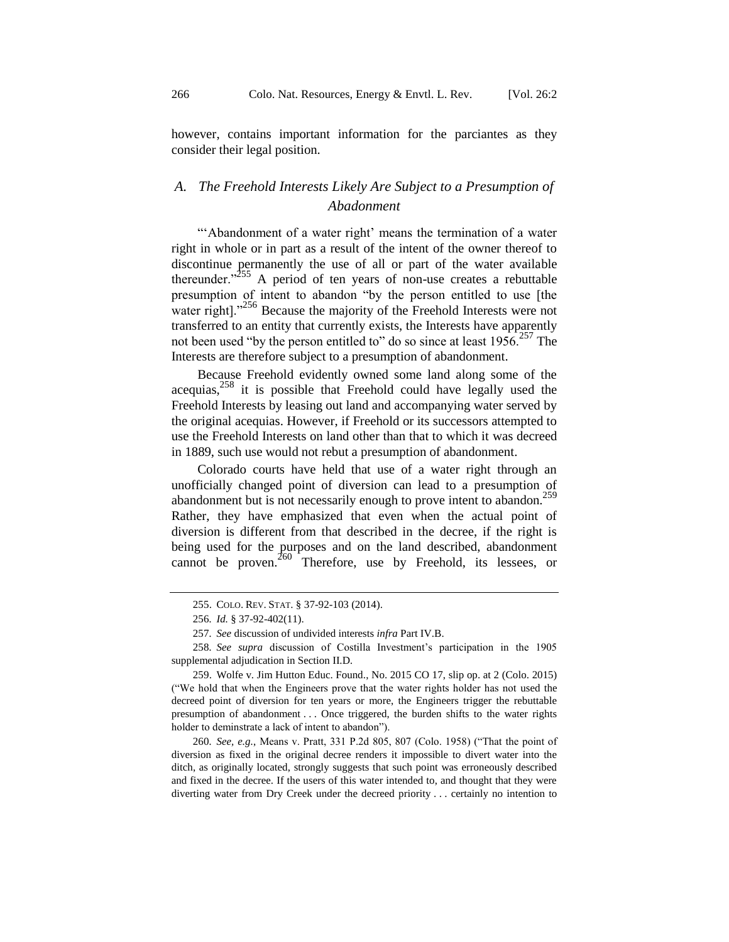however, contains important information for the parciantes as they consider their legal position.

## *A. The Freehold Interests Likely Are Subject to a Presumption of Abadonment*

"'Abandonment of a water right' means the termination of a water right in whole or in part as a result of the intent of the owner thereof to discontinue permanently the use of all or part of the water available thereunder."<sup>255</sup> A period of ten years of non-use creates a rebuttable presumption of intent to abandon "by the person entitled to use [the water right]."<sup>256</sup> Because the majority of the Freehold Interests were not transferred to an entity that currently exists, the Interests have apparently not been used "by the person entitled to" do so since at least 1956.<sup>257</sup> The Interests are therefore subject to a presumption of abandonment.

Because Freehold evidently owned some land along some of the acequias, $258$  it is possible that Freehold could have legally used the Freehold Interests by leasing out land and accompanying water served by the original acequias. However, if Freehold or its successors attempted to use the Freehold Interests on land other than that to which it was decreed in 1889, such use would not rebut a presumption of abandonment.

Colorado courts have held that use of a water right through an unofficially changed point of diversion can lead to a presumption of abandonment but is not necessarily enough to prove intent to abandon.<sup>259</sup> Rather, they have emphasized that even when the actual point of diversion is different from that described in the decree, if the right is being used for the purposes and on the land described, abandonment cannot be proven.<sup>260</sup> Therefore, use by Freehold, its lessees, or

258*. See supra* discussion of Costilla Investment's participation in the 1905 supplemental adjudication in Section II.D*.*

260*. See, e.g.*, Means v. Pratt, 331 P.2d 805, 807 (Colo. 1958) ("That the point of diversion as fixed in the original decree renders it impossible to divert water into the ditch, as originally located, strongly suggests that such point was erroneously described and fixed in the decree. If the users of this water intended to, and thought that they were diverting water from Dry Creek under the decreed priority . . . certainly no intention to

<sup>255.</sup> COLO. REV. STAT. § 37-92-103 (2014).

<sup>256</sup>*. Id.* § 37-92-402(11).

<sup>257</sup>*. See* discussion of undivided interests *infra* Part IV.B.

<sup>259.</sup> Wolfe v. Jim Hutton Educ. Found., No. 2015 CO 17, slip op. at 2 (Colo. 2015) ("We hold that when the Engineers prove that the water rights holder has not used the decreed point of diversion for ten years or more, the Engineers trigger the rebuttable presumption of abandonment . . . Once triggered, the burden shifts to the water rights holder to deminstrate a lack of intent to abandon").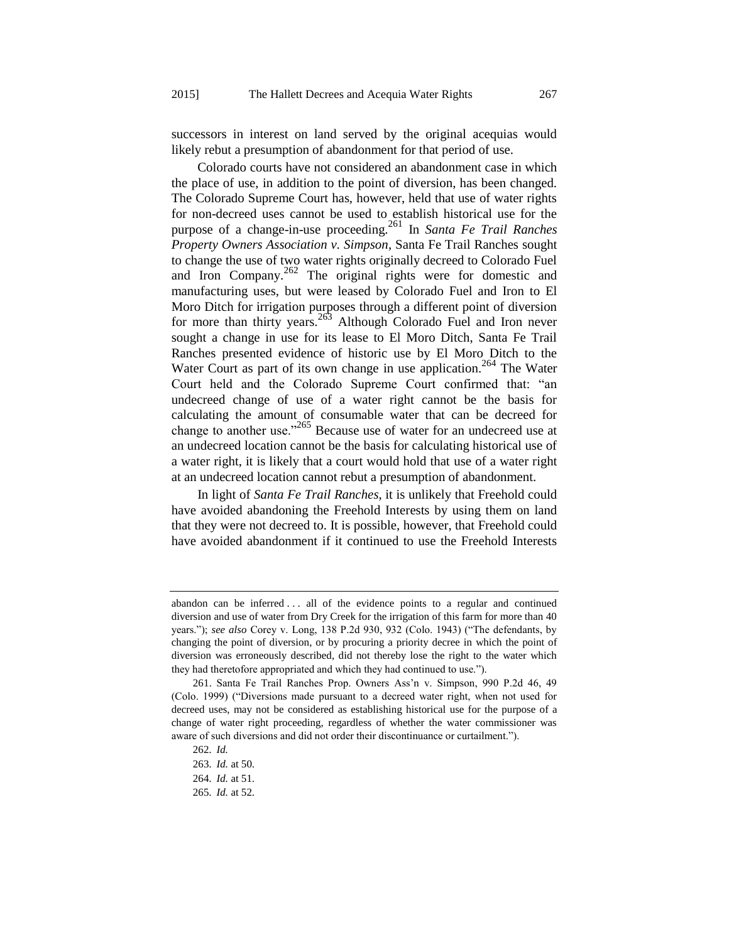successors in interest on land served by the original acequias would likely rebut a presumption of abandonment for that period of use.

Colorado courts have not considered an abandonment case in which the place of use, in addition to the point of diversion, has been changed. The Colorado Supreme Court has, however, held that use of water rights for non-decreed uses cannot be used to establish historical use for the purpose of a change-in-use proceeding.<sup>261</sup> In *Santa Fe Trail Ranches Property Owners Association v. Simpson*, Santa Fe Trail Ranches sought to change the use of two water rights originally decreed to Colorado Fuel and Iron Company.<sup>262</sup> The original rights were for domestic and manufacturing uses, but were leased by Colorado Fuel and Iron to El Moro Ditch for irrigation purposes through a different point of diversion for more than thirty years.<sup>263</sup> Although Colorado Fuel and Iron never sought a change in use for its lease to El Moro Ditch, Santa Fe Trail Ranches presented evidence of historic use by El Moro Ditch to the Water Court as part of its own change in use application.<sup>264</sup> The Water Court held and the Colorado Supreme Court confirmed that: "an undecreed change of use of a water right cannot be the basis for calculating the amount of consumable water that can be decreed for change to another use."<sup>265</sup> Because use of water for an undecreed use at an undecreed location cannot be the basis for calculating historical use of a water right, it is likely that a court would hold that use of a water right at an undecreed location cannot rebut a presumption of abandonment.

In light of *Santa Fe Trail Ranches*, it is unlikely that Freehold could have avoided abandoning the Freehold Interests by using them on land that they were not decreed to. It is possible, however, that Freehold could have avoided abandonment if it continued to use the Freehold Interests

abandon can be inferred . . . all of the evidence points to a regular and continued diversion and use of water from Dry Creek for the irrigation of this farm for more than 40 years."); *see also* Corey v. Long, 138 P.2d 930, 932 (Colo. 1943) ("The defendants, by changing the point of diversion, or by procuring a priority decree in which the point of diversion was erroneously described, did not thereby lose the right to the water which they had theretofore appropriated and which they had continued to use.").

<sup>261.</sup> Santa Fe Trail Ranches Prop. Owners Ass'n v. Simpson, 990 P.2d 46, 49 (Colo. 1999) ("Diversions made pursuant to a decreed water right, when not used for decreed uses, may not be considered as establishing historical use for the purpose of a change of water right proceeding, regardless of whether the water commissioner was aware of such diversions and did not order their discontinuance or curtailment.").

<sup>262</sup>*. Id.*

<sup>263</sup>*. Id.* at 50.

<sup>264</sup>*. Id.* at 51.

<sup>265</sup>*. Id.* at 52.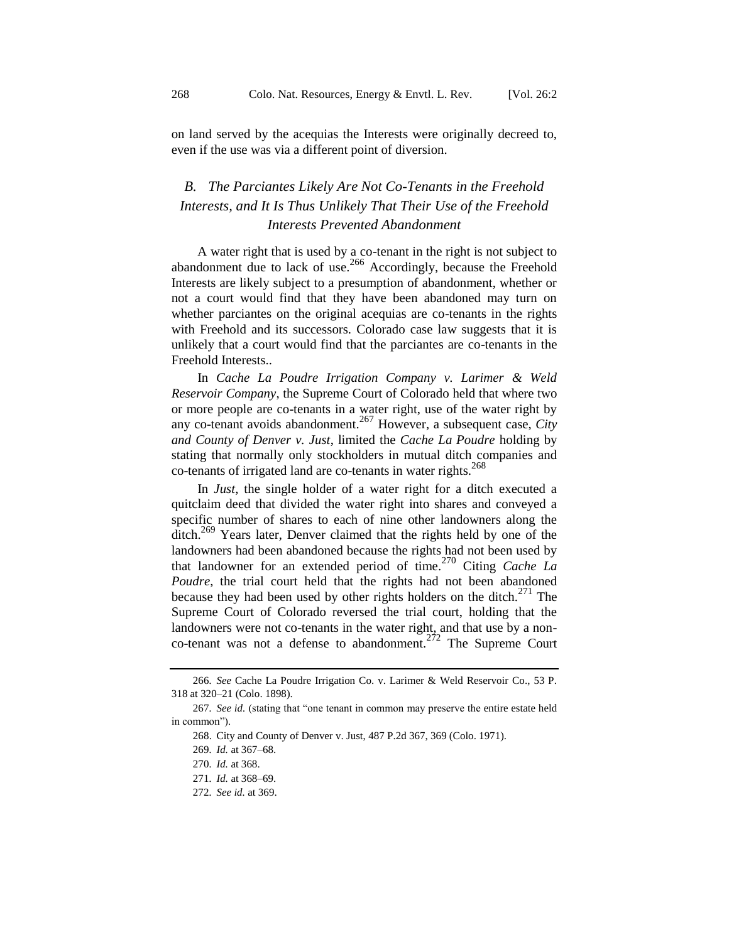on land served by the acequias the Interests were originally decreed to, even if the use was via a different point of diversion.

# *B. The Parciantes Likely Are Not Co-Tenants in the Freehold Interests, and It Is Thus Unlikely That Their Use of the Freehold Interests Prevented Abandonment*

A water right that is used by a co-tenant in the right is not subject to abandonment due to lack of use.<sup>266</sup> Accordingly, because the Freehold Interests are likely subject to a presumption of abandonment, whether or not a court would find that they have been abandoned may turn on whether parciantes on the original acequias are co-tenants in the rights with Freehold and its successors. Colorado case law suggests that it is unlikely that a court would find that the parciantes are co-tenants in the Freehold Interests..

In *Cache La Poudre Irrigation Company v. Larimer & Weld Reservoir Company*, the Supreme Court of Colorado held that where two or more people are co-tenants in a water right, use of the water right by any co-tenant avoids abandonment.<sup>267</sup> However, a subsequent case, *City and County of Denver v. Just*, limited the *Cache La Poudre* holding by stating that normally only stockholders in mutual ditch companies and co-tenants of irrigated land are co-tenants in water rights.<sup>268</sup>

In *Just*, the single holder of a water right for a ditch executed a quitclaim deed that divided the water right into shares and conveyed a specific number of shares to each of nine other landowners along the ditch.<sup>269</sup> Years later, Denver claimed that the rights held by one of the landowners had been abandoned because the rights had not been used by that landowner for an extended period of time.<sup>270</sup> Citing *Cache La Poudre*, the trial court held that the rights had not been abandoned because they had been used by other rights holders on the ditch.<sup>271</sup> The Supreme Court of Colorado reversed the trial court, holding that the landowners were not co-tenants in the water right, and that use by a nonco-tenant was not a defense to abandonment.<sup>272</sup> The Supreme Court

<sup>266</sup>*. See* Cache La Poudre Irrigation Co. v. Larimer & Weld Reservoir Co., 53 P. 318 at 320–21 (Colo. 1898).

<sup>267</sup>*. See id.* (stating that "one tenant in common may preserve the entire estate held in common").

<sup>268.</sup> City and County of Denver v. Just, 487 P.2d 367, 369 (Colo. 1971).

<sup>269</sup>*. Id.* at 367–68.

<sup>270</sup>*. Id.* at 368.

<sup>271</sup>*. Id.* at 368–69.

<sup>272</sup>*. See id.* at 369.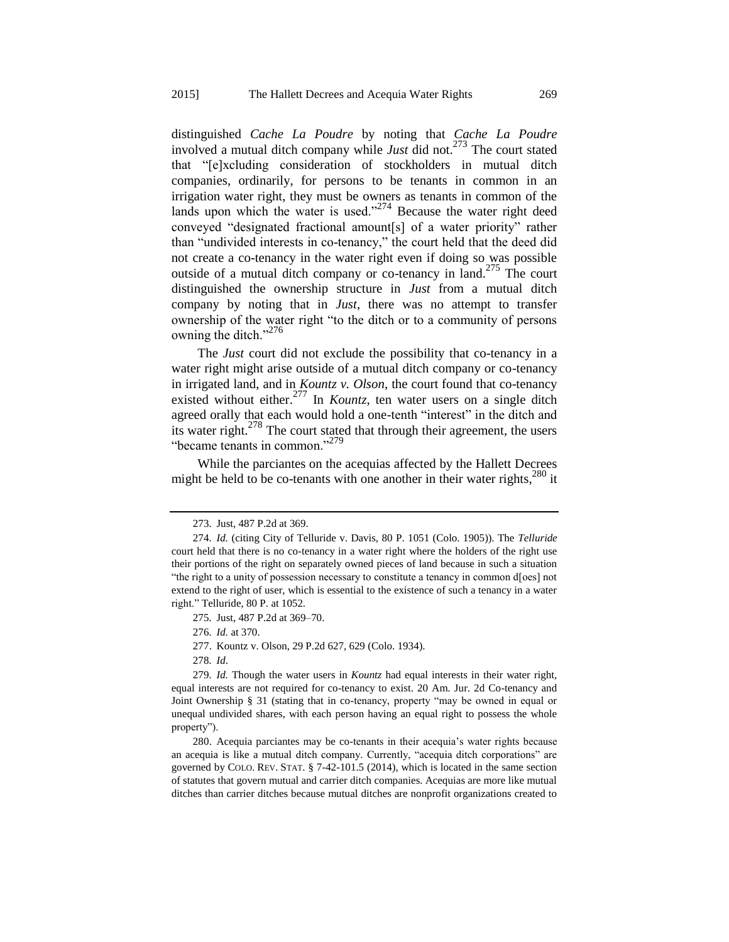distinguished *Cache La Poudre* by noting that *Cache La Poudre* involved a mutual ditch company while *Just* did not.<sup>273</sup> The court stated that "[e]xcluding consideration of stockholders in mutual ditch companies, ordinarily, for persons to be tenants in common in an irrigation water right, they must be owners as tenants in common of the lands upon which the water is used." $274$  Because the water right deed conveyed "designated fractional amount[s] of a water priority" rather than "undivided interests in co-tenancy," the court held that the deed did not create a co-tenancy in the water right even if doing so was possible outside of a mutual ditch company or co-tenancy in land.<sup>275</sup> The court distinguished the ownership structure in *Just* from a mutual ditch company by noting that in *Just*, there was no attempt to transfer ownership of the water right "to the ditch or to a community of persons owning the ditch."<sup>276</sup>

The *Just* court did not exclude the possibility that co-tenancy in a water right might arise outside of a mutual ditch company or co-tenancy in irrigated land, and in *Kountz v. Olson*, the court found that co-tenancy existed without either.<sup>277</sup> In *Kountz*, ten water users on a single ditch agreed orally that each would hold a one-tenth "interest" in the ditch and its water right. $278$  The court stated that through their agreement, the users "became tenants in common."<sup>279</sup>

While the parciantes on the acequias affected by the Hallett Decrees might be held to be co-tenants with one another in their water rights, $280$  it

<sup>273</sup>*.* Just, 487 P.2d at 369.

<sup>274</sup>*. Id.* (citing City of Telluride v. Davis, 80 P. 1051 (Colo. 1905)). The *Telluride* court held that there is no co-tenancy in a water right where the holders of the right use their portions of the right on separately owned pieces of land because in such a situation "the right to a unity of possession necessary to constitute a tenancy in common d[oes] not extend to the right of user, which is essential to the existence of such a tenancy in a water right." Telluride, 80 P. at 1052.

<sup>275</sup>*.* Just, 487 P.2d at 369–70.

<sup>276</sup>*. Id.* at 370.

<sup>277.</sup> Kountz v. Olson, 29 P.2d 627, 629 (Colo. 1934).

<sup>278</sup>*. Id*.

<sup>279</sup>*. Id.* Though the water users in *Kountz* had equal interests in their water right, equal interests are not required for co-tenancy to exist. 20 Am. Jur. 2d Co-tenancy and Joint Ownership § 31 (stating that in co-tenancy, property "may be owned in equal or unequal undivided shares, with each person having an equal right to possess the whole property").

<sup>280.</sup> Acequia parciantes may be co-tenants in their acequia's water rights because an acequia is like a mutual ditch company. Currently, "acequia ditch corporations" are governed by COLO. REV. STAT. § 7-42-101.5 (2014), which is located in the same section of statutes that govern mutual and carrier ditch companies. Acequias are more like mutual ditches than carrier ditches because mutual ditches are nonprofit organizations created to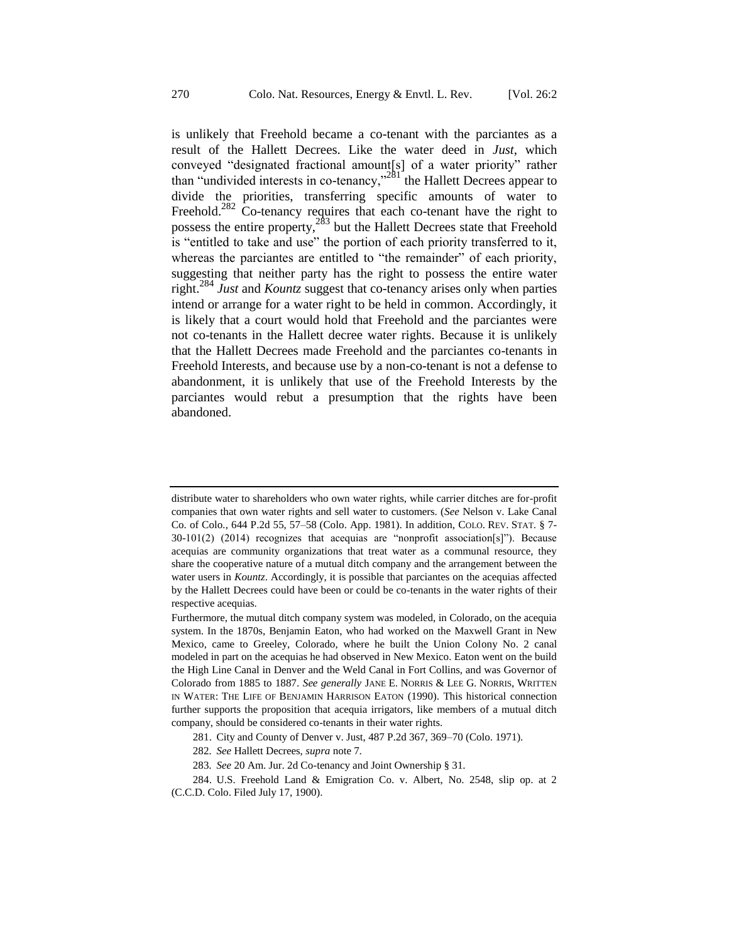is unlikely that Freehold became a co-tenant with the parciantes as a result of the Hallett Decrees. Like the water deed in *Just*, which conveyed "designated fractional amount[s] of a water priority" rather than "undivided interests in co-tenancy,"<sup>281</sup> the Hallett Decrees appear to divide the priorities, transferring specific amounts of water to Freehold.<sup>282</sup> Co-tenancy requires that each co-tenant have the right to possess the entire property,<sup>283</sup> but the Hallett Decrees state that Freehold is "entitled to take and use" the portion of each priority transferred to it, whereas the parciantes are entitled to "the remainder" of each priority, suggesting that neither party has the right to possess the entire water right.<sup>284</sup> *Just* and *Kountz* suggest that co-tenancy arises only when parties intend or arrange for a water right to be held in common. Accordingly, it is likely that a court would hold that Freehold and the parciantes were not co-tenants in the Hallett decree water rights. Because it is unlikely that the Hallett Decrees made Freehold and the parciantes co-tenants in Freehold Interests, and because use by a non-co-tenant is not a defense to abandonment, it is unlikely that use of the Freehold Interests by the parciantes would rebut a presumption that the rights have been abandoned.

distribute water to shareholders who own water rights, while carrier ditches are for-profit companies that own water rights and sell water to customers. (*See* Nelson v. Lake Canal Co. of Colo*.*, 644 P.2d 55, 57–58 (Colo. App. 1981). In addition, COLO. REV. STAT. § 7- 30-101(2) (2014) recognizes that acequias are "nonprofit association[s]"). Because acequias are community organizations that treat water as a communal resource, they share the cooperative nature of a mutual ditch company and the arrangement between the water users in *Kountz*. Accordingly, it is possible that parciantes on the acequias affected by the Hallett Decrees could have been or could be co-tenants in the water rights of their respective acequias.

Furthermore, the mutual ditch company system was modeled, in Colorado, on the acequia system. In the 1870s, Benjamin Eaton, who had worked on the Maxwell Grant in New Mexico, came to Greeley, Colorado, where he built the Union Colony No. 2 canal modeled in part on the acequias he had observed in New Mexico. Eaton went on the build the High Line Canal in Denver and the Weld Canal in Fort Collins, and was Governor of Colorado from 1885 to 1887. *See generally* JANE E. NORRIS & LEE G. NORRIS, WRITTEN IN WATER: THE LIFE OF BENJAMIN HARRISON EATON (1990). This historical connection further supports the proposition that acequia irrigators, like members of a mutual ditch company, should be considered co-tenants in their water rights.

<sup>281.</sup> City and County of Denver v. Just, 487 P.2d 367, 369–70 (Colo. 1971).

<sup>282</sup>*. See* Hallett Decrees, *supra* not[e 7.](#page-4-0)

<sup>283</sup>*. See* 20 Am. Jur. 2d Co-tenancy and Joint Ownership § 31.

<sup>284.</sup> U.S. Freehold Land & Emigration Co. v. Albert, No. 2548, slip op. at 2 (C.C.D. Colo. Filed July 17, 1900).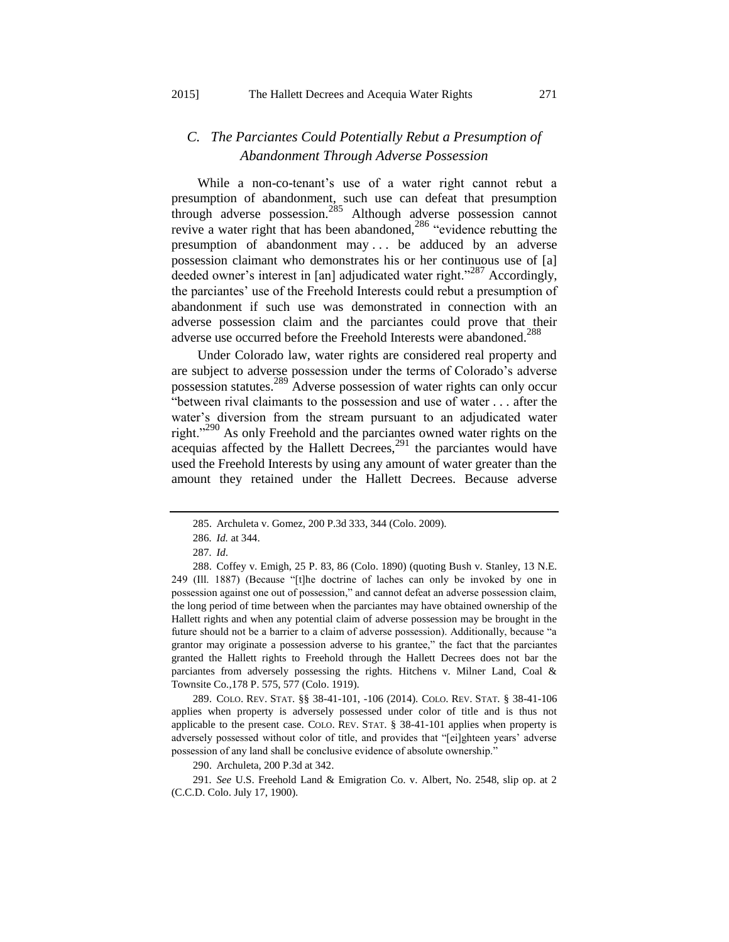# *C. The Parciantes Could Potentially Rebut a Presumption of Abandonment Through Adverse Possession*

While a non-co-tenant's use of a water right cannot rebut a presumption of abandonment, such use can defeat that presumption through adverse possession.<sup>285</sup> Although adverse possession cannot revive a water right that has been abandoned,<sup>286</sup> "evidence rebutting the presumption of abandonment may . . . be adduced by an adverse possession claimant who demonstrates his or her continuous use of [a] deeded owner's interest in [an] adjudicated water right."<sup>287</sup> Accordingly, the parciantes' use of the Freehold Interests could rebut a presumption of abandonment if such use was demonstrated in connection with an adverse possession claim and the parciantes could prove that their adverse use occurred before the Freehold Interests were abandoned.<sup>288</sup>

Under Colorado law, water rights are considered real property and are subject to adverse possession under the terms of Colorado's adverse possession statutes.<sup>289</sup> Adverse possession of water rights can only occur "between rival claimants to the possession and use of water . . . after the water's diversion from the stream pursuant to an adjudicated water right."<sup>290</sup> As only Freehold and the parciantes owned water rights on the acequias affected by the Hallett Decrees,  $291$  the parciantes would have used the Freehold Interests by using any amount of water greater than the amount they retained under the Hallett Decrees. Because adverse

289. COLO. REV. STAT. §§ 38-41-101, -106 (2014). COLO. REV. STAT. § 38-41-106 applies when property is adversely possessed under color of title and is thus not applicable to the present case. COLO. REV. STAT. § 38-41-101 applies when property is adversely possessed without color of title, and provides that "[ei]ghteen years' adverse possession of any land shall be conclusive evidence of absolute ownership."

290. Archuleta, 200 P.3d at 342.

291*. See* U.S. Freehold Land & Emigration Co. v. Albert, No. 2548, slip op. at 2 (C.C.D. Colo. July 17, 1900).

<sup>285.</sup> Archuleta v. Gomez, 200 P.3d 333, 344 (Colo. 2009).

<sup>286</sup>*. Id.* at 344.

<sup>287</sup>*. Id*.

<sup>288.</sup> Coffey v. Emigh, 25 P. 83, 86 (Colo. 1890) (quoting Bush v. Stanley, 13 N.E. 249 (Ill. 1887) (Because "[t]he doctrine of laches can only be invoked by one in possession against one out of possession," and cannot defeat an adverse possession claim, the long period of time between when the parciantes may have obtained ownership of the Hallett rights and when any potential claim of adverse possession may be brought in the future should not be a barrier to a claim of adverse possession). Additionally, because "a grantor may originate a possession adverse to his grantee," the fact that the parciantes granted the Hallett rights to Freehold through the Hallett Decrees does not bar the parciantes from adversely possessing the rights. Hitchens v. Milner Land, Coal & Townsite Co*.*,178 P. 575, 577 (Colo. 1919).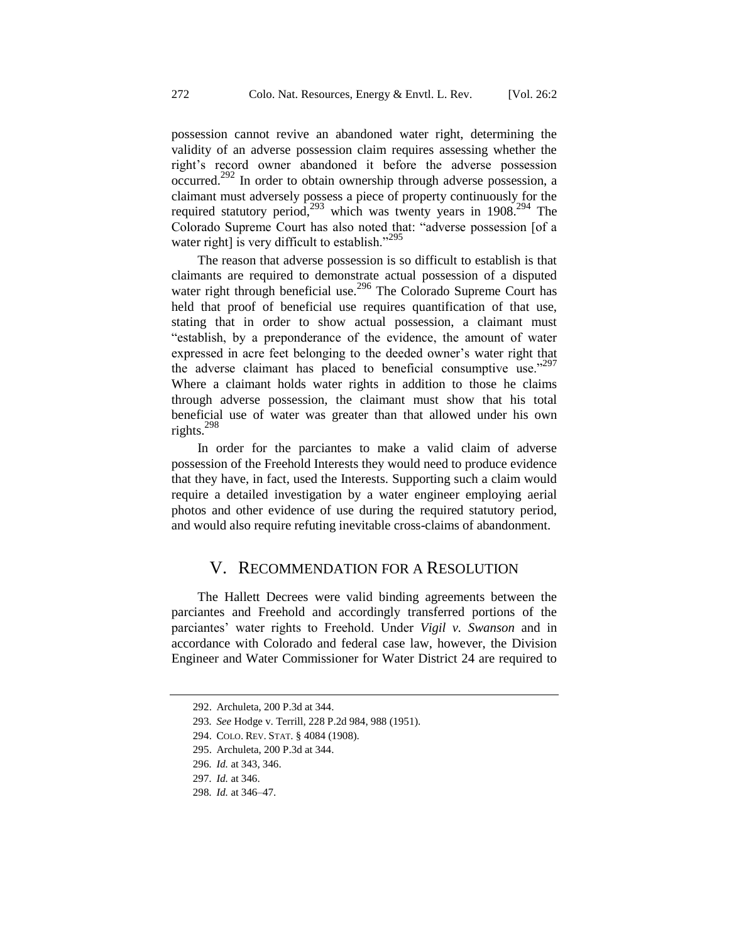possession cannot revive an abandoned water right, determining the validity of an adverse possession claim requires assessing whether the right's record owner abandoned it before the adverse possession occurred.<sup>292</sup> In order to obtain ownership through adverse possession, a claimant must adversely possess a piece of property continuously for the required statutory period,<sup>293</sup> which was twenty years in 1908.<sup>294</sup> The Colorado Supreme Court has also noted that: "adverse possession [of a water right] is very difficult to establish."<sup>295</sup>

The reason that adverse possession is so difficult to establish is that claimants are required to demonstrate actual possession of a disputed water right through beneficial use.<sup>296</sup> The Colorado Supreme Court has held that proof of beneficial use requires quantification of that use, stating that in order to show actual possession, a claimant must "establish, by a preponderance of the evidence, the amount of water expressed in acre feet belonging to the deeded owner's water right that the adverse claimant has placed to beneficial consumptive use." Where a claimant holds water rights in addition to those he claims through adverse possession, the claimant must show that his total beneficial use of water was greater than that allowed under his own rights.<sup>298</sup>

In order for the parciantes to make a valid claim of adverse possession of the Freehold Interests they would need to produce evidence that they have, in fact, used the Interests. Supporting such a claim would require a detailed investigation by a water engineer employing aerial photos and other evidence of use during the required statutory period, and would also require refuting inevitable cross-claims of abandonment.

## V. RECOMMENDATION FOR A RESOLUTION

The Hallett Decrees were valid binding agreements between the parciantes and Freehold and accordingly transferred portions of the parciantes' water rights to Freehold. Under *Vigil v. Swanson* and in accordance with Colorado and federal case law, however, the Division Engineer and Water Commissioner for Water District 24 are required to

<sup>292.</sup> Archuleta, 200 P.3d at 344.

<sup>293</sup>*. See* Hodge v. Terrill, 228 P.2d 984, 988 (1951).

<sup>294.</sup> COLO. REV. STAT. § 4084 (1908).

<sup>295.</sup> Archuleta, 200 P.3d at 344.

<sup>296</sup>*. Id.* at 343, 346.

<sup>297</sup>*. Id.* at 346.

<sup>298</sup>*. Id.* at 346–47.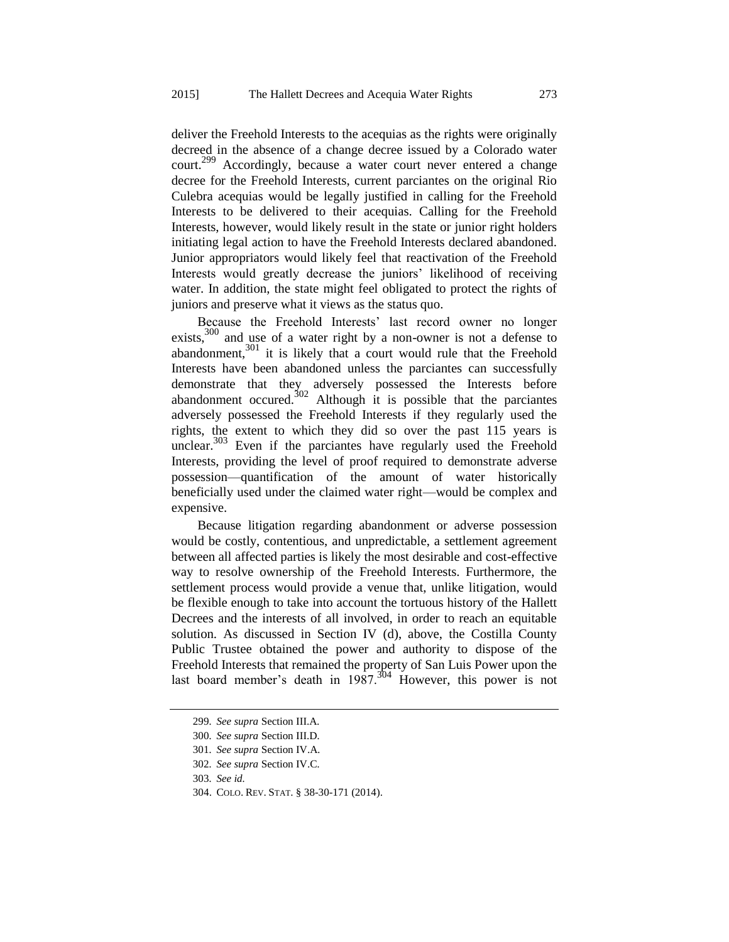deliver the Freehold Interests to the acequias as the rights were originally decreed in the absence of a change decree issued by a Colorado water court.<sup>299</sup> Accordingly, because a water court never entered a change decree for the Freehold Interests, current parciantes on the original Rio Culebra acequias would be legally justified in calling for the Freehold Interests to be delivered to their acequias. Calling for the Freehold Interests, however, would likely result in the state or junior right holders initiating legal action to have the Freehold Interests declared abandoned. Junior appropriators would likely feel that reactivation of the Freehold Interests would greatly decrease the juniors' likelihood of receiving water. In addition, the state might feel obligated to protect the rights of juniors and preserve what it views as the status quo.

Because the Freehold Interests' last record owner no longer exists,<sup>300</sup> and use of a water right by a non-owner is not a defense to abandonment, $301$  it is likely that a court would rule that the Freehold Interests have been abandoned unless the parciantes can successfully demonstrate that they adversely possessed the Interests before abandonment occured.<sup>302</sup> Although it is possible that the parciantes adversely possessed the Freehold Interests if they regularly used the rights, the extent to which they did so over the past 115 years is unclear.<sup>303</sup> Even if the parciantes have regularly used the Freehold Interests, providing the level of proof required to demonstrate adverse possession—quantification of the amount of water historically beneficially used under the claimed water right—would be complex and expensive.

Because litigation regarding abandonment or adverse possession would be costly, contentious, and unpredictable, a settlement agreement between all affected parties is likely the most desirable and cost-effective way to resolve ownership of the Freehold Interests. Furthermore, the settlement process would provide a venue that, unlike litigation, would be flexible enough to take into account the tortuous history of the Hallett Decrees and the interests of all involved, in order to reach an equitable solution. As discussed in Section IV (d), above, the Costilla County Public Trustee obtained the power and authority to dispose of the Freehold Interests that remained the property of San Luis Power upon the last board member's death in  $1987$ .<sup>304</sup> However, this power is not

<sup>299</sup>*. See supra* Section III.A*.*

<sup>300</sup>*. See supra* Section III.D*.*

<sup>301</sup>*. See supra* Section IV.A*.*

<sup>302</sup>*. See supra* Section IV.C*.*

<sup>303</sup>*. See id.*

<sup>304.</sup> COLO. REV. STAT. § 38-30-171 (2014).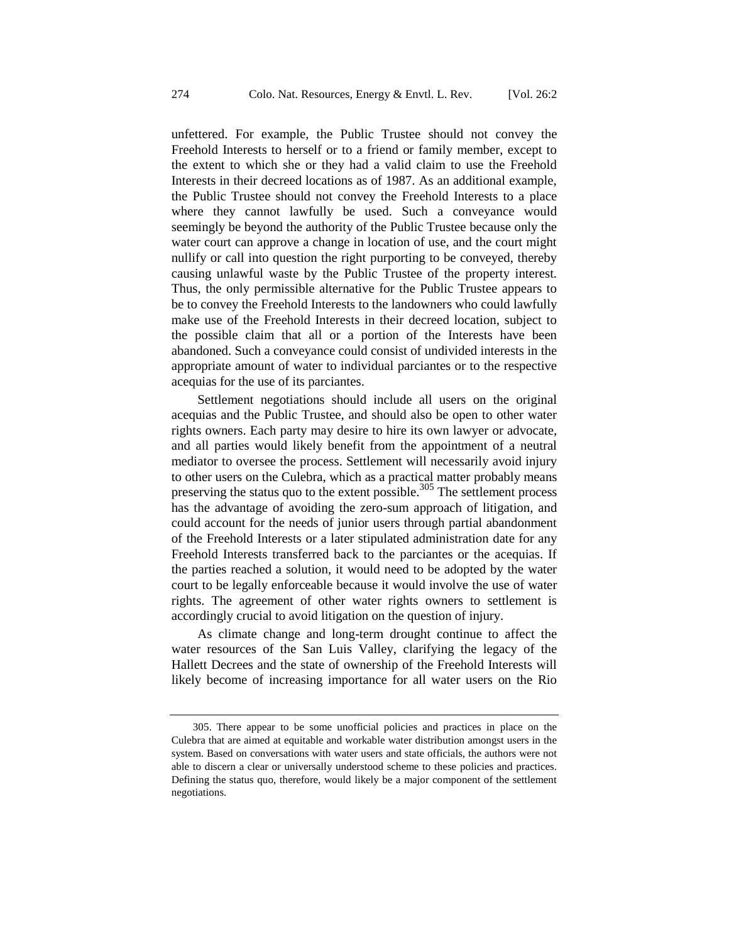unfettered. For example, the Public Trustee should not convey the Freehold Interests to herself or to a friend or family member, except to the extent to which she or they had a valid claim to use the Freehold Interests in their decreed locations as of 1987. As an additional example, the Public Trustee should not convey the Freehold Interests to a place where they cannot lawfully be used. Such a conveyance would seemingly be beyond the authority of the Public Trustee because only the water court can approve a change in location of use, and the court might nullify or call into question the right purporting to be conveyed, thereby causing unlawful waste by the Public Trustee of the property interest. Thus, the only permissible alternative for the Public Trustee appears to be to convey the Freehold Interests to the landowners who could lawfully make use of the Freehold Interests in their decreed location, subject to the possible claim that all or a portion of the Interests have been abandoned. Such a conveyance could consist of undivided interests in the appropriate amount of water to individual parciantes or to the respective acequias for the use of its parciantes.

Settlement negotiations should include all users on the original acequias and the Public Trustee, and should also be open to other water rights owners. Each party may desire to hire its own lawyer or advocate, and all parties would likely benefit from the appointment of a neutral mediator to oversee the process. Settlement will necessarily avoid injury to other users on the Culebra, which as a practical matter probably means preserving the status quo to the extent possible.<sup>305</sup> The settlement process has the advantage of avoiding the zero-sum approach of litigation, and could account for the needs of junior users through partial abandonment of the Freehold Interests or a later stipulated administration date for any Freehold Interests transferred back to the parciantes or the acequias. If the parties reached a solution, it would need to be adopted by the water court to be legally enforceable because it would involve the use of water rights. The agreement of other water rights owners to settlement is accordingly crucial to avoid litigation on the question of injury.

As climate change and long-term drought continue to affect the water resources of the San Luis Valley, clarifying the legacy of the Hallett Decrees and the state of ownership of the Freehold Interests will likely become of increasing importance for all water users on the Rio

<sup>305.</sup> There appear to be some unofficial policies and practices in place on the Culebra that are aimed at equitable and workable water distribution amongst users in the system. Based on conversations with water users and state officials, the authors were not able to discern a clear or universally understood scheme to these policies and practices. Defining the status quo, therefore, would likely be a major component of the settlement negotiations.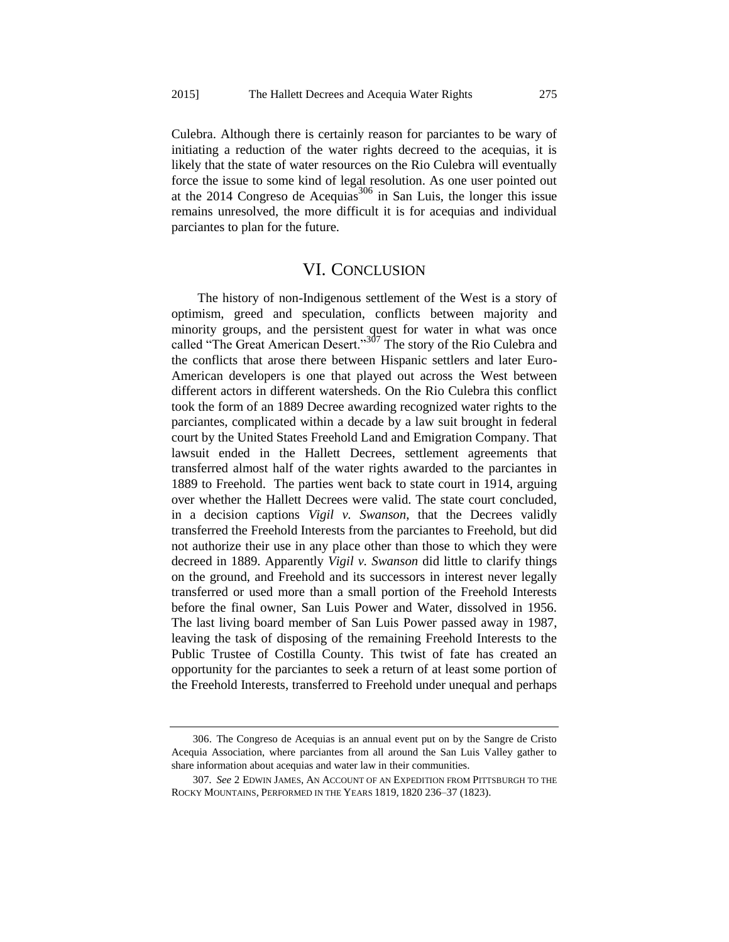Culebra. Although there is certainly reason for parciantes to be wary of initiating a reduction of the water rights decreed to the acequias, it is likely that the state of water resources on the Rio Culebra will eventually force the issue to some kind of legal resolution. As one user pointed out at the 2014 Congreso de Acequias<sup>306</sup> in San Luis, the longer this issue remains unresolved, the more difficult it is for acequias and individual parciantes to plan for the future.

# VI. CONCLUSION

The history of non-Indigenous settlement of the West is a story of optimism, greed and speculation, conflicts between majority and minority groups, and the persistent quest for water in what was once called "The Great American Desert."<sup>307</sup> The story of the Rio Culebra and the conflicts that arose there between Hispanic settlers and later Euro-American developers is one that played out across the West between different actors in different watersheds. On the Rio Culebra this conflict took the form of an 1889 Decree awarding recognized water rights to the parciantes, complicated within a decade by a law suit brought in federal court by the United States Freehold Land and Emigration Company. That lawsuit ended in the Hallett Decrees, settlement agreements that transferred almost half of the water rights awarded to the parciantes in 1889 to Freehold. The parties went back to state court in 1914, arguing over whether the Hallett Decrees were valid. The state court concluded, in a decision captions *Vigil v. Swanson*, that the Decrees validly transferred the Freehold Interests from the parciantes to Freehold, but did not authorize their use in any place other than those to which they were decreed in 1889. Apparently *Vigil v. Swanson* did little to clarify things on the ground, and Freehold and its successors in interest never legally transferred or used more than a small portion of the Freehold Interests before the final owner, San Luis Power and Water, dissolved in 1956. The last living board member of San Luis Power passed away in 1987, leaving the task of disposing of the remaining Freehold Interests to the Public Trustee of Costilla County. This twist of fate has created an opportunity for the parciantes to seek a return of at least some portion of the Freehold Interests, transferred to Freehold under unequal and perhaps

<sup>306.</sup> The Congreso de Acequias is an annual event put on by the Sangre de Cristo Acequia Association, where parciantes from all around the San Luis Valley gather to share information about acequias and water law in their communities.

<sup>307</sup>*. See* 2 EDWIN JAMES, AN ACCOUNT OF AN EXPEDITION FROM PITTSBURGH TO THE ROCKY MOUNTAINS, PERFORMED IN THE YEARS 1819, 1820 236–37 (1823).